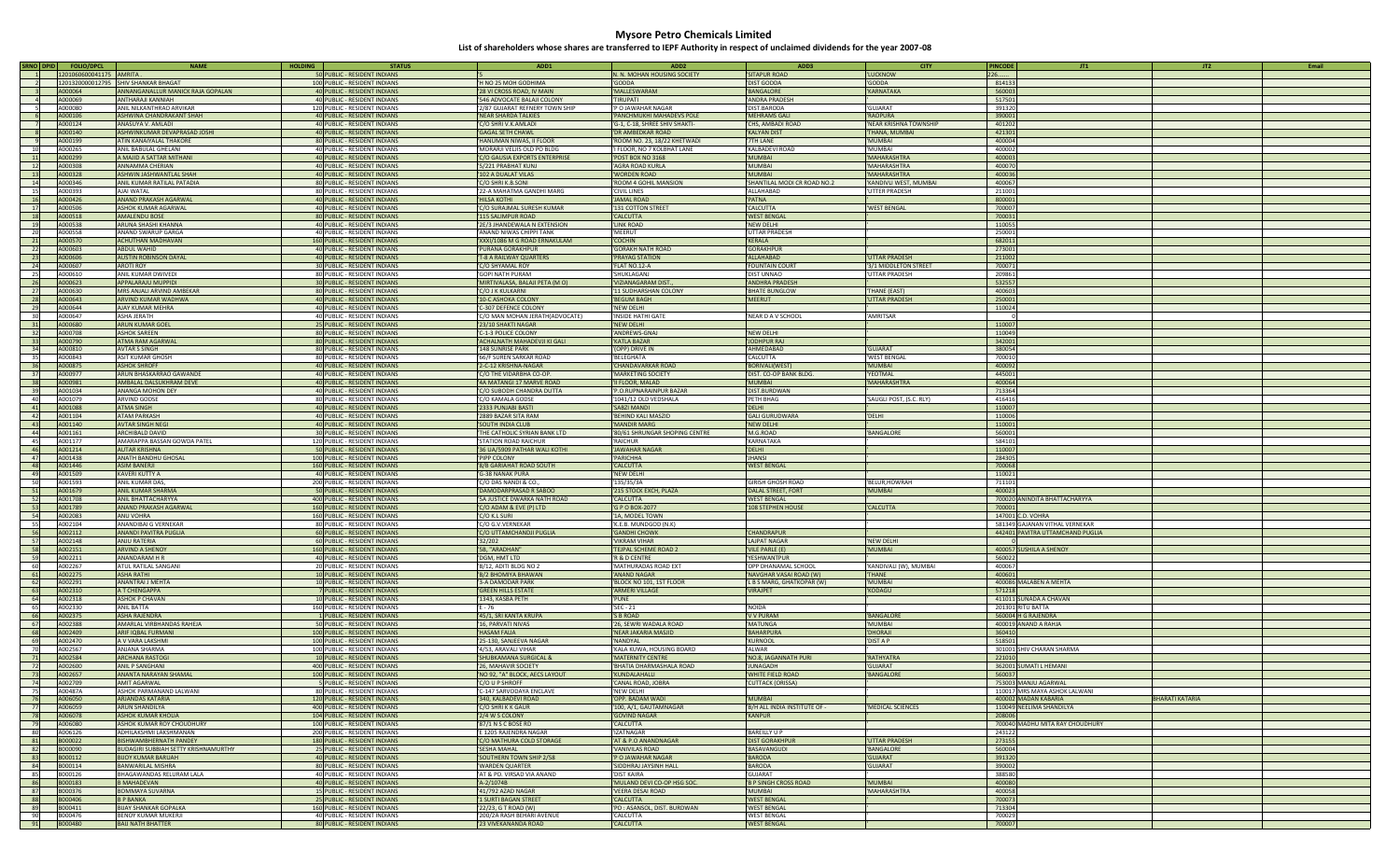| SRNO DPID  | <b>FOLIO/DPCL</b>       | <b>NAME</b>                                   | <b>HOLDING</b><br><b>STATUS</b>                               | ADD1                                                    | ADD <sub>2</sub>                                     | ADD3                             | <b>CITY</b>                 | <b>PINCODE</b>   | JT1<br>JT2                                                         | Email |
|------------|-------------------------|-----------------------------------------------|---------------------------------------------------------------|---------------------------------------------------------|------------------------------------------------------|----------------------------------|-----------------------------|------------------|--------------------------------------------------------------------|-------|
|            | 1201060600041175 AMRITA |                                               | 50 PUBLIC - RESIDENT INDIANS                                  |                                                         | N. N. MOHAN HOUSING SOCIETY                          | 'SITAPUR ROAD                    | 'LUCKNOW                    | 226              |                                                                    |       |
|            | 1201320000012795        | <b>SHIV SHANKAR BHAGAT</b>                    | 100 PUBLIC - RESIDENT INDIANS                                 | H NO 25 MOH GODHIMA                                     | 'GODDA                                               | 'DIST GODDA                      | 'GODDA                      | 814133           |                                                                    |       |
|            | A000064                 | ANNANGANALLUR MANICK RAJA GOPALAN             | 40 PUBLIC - RESIDENT INDIANS                                  | 28 VI CROSS ROAD, IV MAIN                               | 'MALLESWARAM                                         | 'BANGALORE                       | 'KARNATAKA                  | 560003           |                                                                    |       |
| $\sim$ 4   | A000069                 | ANTHARAJI KANNIAH                             | 40 PUBLIC - RESIDENT INDIANS                                  | 546 ADVOCATE BALAJI COLONY                              | 'TIRUPATI                                            | 'ANDRA PRADESH                   |                             | 517501           |                                                                    |       |
|            | A000080                 | ANIL NILKANTHRAO ARVIKAR                      | 120 PUBLIC - RESIDENT INDIANS                                 | 2/87 GUJARAT REFNERY TOWN SHIP                          | P O JAWAHAR NAGAR                                    | 'DIST.BARODA                     | 'GUJARAT                    | 391320           |                                                                    |       |
|            | A000106                 | ASHWINA CHANDRAKANT SHAH                      | 40 PUBLIC - RESIDENT INDIANS                                  | NEAR SHARDA TALKIES                                     | 'PANCHMUKHI MAHADEVS POLE                            | 'MEHRAMS GAL                     | 'RAOPURA                    | 390001           |                                                                    |       |
|            | A000124                 | ANASUYA V. AMLADI                             | 40 PUBLIC - RESIDENT INDIANS                                  | C/O SHRI V.K.AMLADI                                     | 'G-1, C-18, SHREE SHIV SHAKTI-                       | 'CHS, AMBADI ROAD                | 'NEAR KRISHNA TOWNSHIP      | 401202           |                                                                    |       |
|            | A000140                 | ASHWINKUMAR DEVAPRASAD JOSHI                  | 40 PUBLIC - RESIDENT INDIANS                                  | <b>GAGAL SETH CHAWL</b>                                 | DR AMBEDKAR ROAD                                     | 'KALYAN DIST                     | 'THANA, MUMBAI              | 421301           |                                                                    |       |
|            | A000199                 | ATIN KANAIYALAL THAKORE                       | 80 PUBLIC - RESIDENT INDIANS                                  | 'HANUMAN NIWAS, II FLOOR                                | ROOM NO. 23, 18/22 KHETWADI                          | '7TH LANE                        | 'MUMBAI                     | 400004           |                                                                    |       |
| 10         | A000265                 | ANIL BABULAL GHELANI                          | 40 PUBLIC - RESIDENT INDIANS                                  | 'MORARJI VELJIS OLD PO BLDG                             | I FLOOR, NO 7 KOLBHAT LANE                           | 'KALBADEVI ROAD                  | 'MUMBAI                     | 400002           |                                                                    |       |
| 11         | A000299                 | <b>MAJID A SATTAR MITHANI</b>                 | 40 PUBLIC - RESIDENT INDIANS                                  | C/O GAUSIA EXPORTS ENTERPRISE                           | 'POST BOX NO 3168                                    | 'MUMBAI                          | 'MAHARASHTRA                | 400003           |                                                                    |       |
| 12         | A000308                 | ANNAMMA CHERIAN                               | 40 PUBLIC - RESIDENT INDIANS                                  | 5/221 PRABHAT KUNJ                                      | 'AGRA ROAD KURLA                                     | 'MUMBAI                          | 'MAHARASHTRA                | 400070           |                                                                    |       |
| 13         | A000328                 | ASHWIN JASHWANTLAL SHAH                       | 40 PUBLIC - RESIDENT INDIANS                                  | 102 A DUALAT VILAS                                      | 'WORDEN ROAD                                         | 'MUMBAI                          | 'MAHARASHTRA                | 400036           |                                                                    |       |
| 14         | A000346                 | ANIL KUMAR RATILAL PATADIA                    | 80 PUBLIC - RESIDENT INDIANS                                  | /O SHRI K.B.SONI                                        | ROOM 4 GOHIL MANSION                                 | 'SHANTILAL MODI CR ROAD NO.2     | 'KANDIVLI WEST, MUMBAI      | 400067           |                                                                    |       |
| 15         | A000393                 | AJAI WATAL                                    | 80 PUBLIC - RESIDENT INDIANS                                  | 22-A MAHATMA GANDHI MARG                                | 'CIVIL LINES                                         | 'ALLAHABAD                       | <b>'UTTER PRADESH</b>       | 211001           |                                                                    |       |
| 16         | A000426                 | ANAND PRAKASH AGARWAL                         | 40 PUBLIC - RESIDENT INDIANS                                  | 'HILSA KOTHI                                            | <b>JAMAL ROAD</b>                                    | 'PATNA                           |                             | 800001           |                                                                    |       |
| 17         | A000506                 | ASHOK KUMAR AGARWAL                           | 40 PUBLIC - RESIDENT INDIANS                                  | C/O SURAJMAL SURESH KUMAR                               | '131 COTTON STREET                                   | 'CALCUTTA                        | 'WEST BENGAL                | 700007           |                                                                    |       |
| 18         | A000518                 | AMALENDU BOSE                                 | 80 PUBLIC - RESIDENT INDIANS                                  | 15 SALIMPUR ROAD                                        | 'CALCUTTA                                            | 'WEST BENGAI                     |                             | 700031           |                                                                    |       |
| 19         | A000538                 | ARUNA SHASHI KHANNA                           | 40 PUBLIC - RESIDENT INDIANS                                  | 2E/3 JHANDEWALA N EXTENSION                             | 'LINK ROAD                                           | 'NEW DELHI                       |                             | 110055           |                                                                    |       |
| 20         | A000558                 | ANAND SWARUP GARGA                            | 40 PUBLIC - RESIDENT INDIANS                                  | ANAND NIWAS CHIPPI TANK                                 | 'MEERUT                                              | UTTAR PRADESH                    |                             | 250001           |                                                                    |       |
| 21         | A000570                 | ACHUTHAN MADHAVAN                             | 160 PUBLIC - RESIDENT INDIANS                                 | 'XXXI/1086 M G ROAD ERNAKULAM                           | 'COCHIN                                              | 'KERALA                          |                             | 682011           |                                                                    |       |
| 22         | A000603                 | ABDUL WAHID                                   | 40 PUBLIC - RESIDENT INDIANS                                  | PURANA GORAKHPUR                                        | <b>GORAKH NATH ROAD</b>                              | 'GORAKHPUR                       |                             | 273001           |                                                                    |       |
| 23         | A000606                 | <b>AUSTIN ROBINSON DAYAL</b>                  | 40 PUBLIC - RESIDENT INDIANS                                  | T-8 A RAILWAY QUARTERS                                  | PRAYAG STATION                                       | 'ALLAHABAD                       | <b>'UTTAR PRADESH</b>       | 211002           |                                                                    |       |
| 24         | A000607                 | AROTI ROY                                     | 30 PUBLIC - RESIDENT INDIANS                                  | C/O SHYAMAL ROY                                         | 'FLAT NO.12-A                                        | 'FOUNTAIN COURT                  | '3/1 MIDDLETON STREET       | 700071           |                                                                    |       |
| 25         | A000610                 | ANIL KUMAR DWIVEDI                            | 80 PUBLIC - RESIDENT INDIANS                                  | GOPI NATH PURAM                                         | SHUKLAGANJ                                           | 'DIST UNNAO                      | 'UTTAR PRADESH              | 209861           |                                                                    |       |
| 26         | A000623                 | APPALARAJU MUPPIDI                            | 30 PUBLIC - RESIDENT INDIANS                                  | 'MIRTIVALASA, BALAJI PETA (M O)                         | VIZIANAGARAM DIST.                                   | 'ANDHRA PRADESH                  |                             | 532557           |                                                                    |       |
| 27         | A000630                 | MRS ANJALI ARVIND AMBEKAR                     | 80 PUBLIC - RESIDENT INDIANS                                  | C/O J K KULKARNI                                        | 11 SUDHARSHAN COLONY                                 | 'BHATE BUNGLOW                   | 'THANE (EAST)               | 400603           |                                                                    |       |
| 28         | A000643                 | ARVIND KUMAR WADHWA                           | 40 PUBLIC - RESIDENT INDIANS                                  | <b>LO-C ASHOKA COLONY</b>                               | <b>BEGUM BAGH</b>                                    | 'MEERUT                          | <b>'UTTAR PRADESH</b>       | 250001           |                                                                    |       |
| 29         | A000644                 | AJAY KUMAR MEHRA                              | 40 PUBLIC - RESIDENT INDIANS                                  | C-307 DEFENCE COLONY                                    | 'NEW DELHI                                           |                                  |                             | 110024           |                                                                    |       |
| 30         | A000647                 | <b>ASHA JERATH</b>                            | 40 PUBLIC - RESIDENT INDIANS                                  | C/O MAN MOHAN JERATH(ADVOCATE)                          | 'INSIDE HATHI GATE                                   | 'NEAR D A V SCHOOL               | 'AMRITSAR                   |                  |                                                                    |       |
| 31         | A000680                 | ARUN KUMAR GOEL                               | 25 PUBLIC - RESIDENT INDIANS                                  | 23/10 SHAKTI NAGAR                                      | 'NEW DELHI                                           |                                  |                             | 110007           |                                                                    |       |
| 32         | A000708                 | ASHOK SAREEN                                  | 80 PUBLIC - RESIDENT INDIANS                                  | C-1-3 POLICE COLONY                                     | 'ANDREWS-GNAJ                                        | 'NEW DELHI                       |                             | 110049           |                                                                    |       |
| 33         | A000790                 | ATMA RAM AGARWAL                              | 80 PUBLIC - RESIDENT INDIANS                                  | ACHALNATH MAHADEVJI KI GALI                             | 'KATLA BAZAR                                         | 'JODHPUR RAJ                     |                             | 342001           |                                                                    |       |
| 34         | A000810                 | AVTAR S SINGH                                 | 80 PUBLIC - RESIDENT INDIANS                                  | 148 SUNRISE PARK                                        | '(OPP) DRIVE IN                                      | 'AHMEDABAD                       | 'GUJARAT                    | 380054           |                                                                    |       |
| 35         | A000843                 | ASIT KUMAR GHOSH                              | 80 PUBLIC - RESIDENT INDIANS                                  | '66/F SUREN SARKAR ROAD                                 | <b>BELEGHATA</b>                                     | 'CALCUTTA                        | 'WEST BENGAL                | 700010           |                                                                    |       |
| 36         | A000875                 | <b>ASHOK SHROFF</b>                           | 40 PUBLIC - RESIDENT INDIANS                                  | 2-C-12 KRISHNA-NAGAR                                    | 'CHANDAVARKAR ROAD                                   | 'BORIVALI(WEST)                  | 'MUMBAI                     | 400092           |                                                                    |       |
| 37         | A000977                 | ARUN BHASKARRAO GAWANDE                       | 40 PUBLIC - RESIDENT INDIANS                                  | C/O THE VIDARBHA CO-OP.                                 | 'MARKETING SOCIETY                                   | 'DIST. CO-OP BANK BLDG.          | 'YEOTMAL                    | 445001           |                                                                    |       |
|            | A000981                 | AMBALAL DALSUKHRAM DEVE                       |                                                               | 4A MATANGI 17 MARVE ROAD                                | 'II FLOOR, MALAD                                     | 'MUMBAI                          | 'MAHARASHTRA                | 400064           |                                                                    |       |
| 38         | A001034                 |                                               | 40 PUBLIC - RESIDENT INDIANS                                  |                                                         | 'P.O.RUPNARAINPUR BAZAR                              |                                  |                             | 713364           |                                                                    |       |
| 39         | A001079                 | ANANGA MOHON DEY                              | 40 PUBLIC - RESIDENT INDIANS                                  | C/O SUBODH CHANDRA DUTTA                                |                                                      | 'DIST.BURDWAN                    |                             | 416416           |                                                                    |       |
| 40<br>41   | A001088                 | ARVIND GODSE<br>ATMA SINGH                    | 80 PUBLIC - RESIDENT INDIANS<br>40 PUBLIC - RESIDENT INDIANS  | :/O KAMALA GODSE<br>2333 PUNJABI BASTI                  | 1041/12 OLD VEDSHALA<br>'SABZI MANDI                 | 'PETH BHAG<br>'DELHI             | 'SAUGLI POST, (S.C. RLY)    | 110007           |                                                                    |       |
|            | A001104                 | <b>ATAM PARKASH</b>                           |                                                               |                                                         |                                                      | 'GALI GURUDWARA                  |                             |                  |                                                                    |       |
| 42         |                         |                                               | 40 PUBLIC - RESIDENT INDIANS                                  | 2889 BAZAR SITA RAM                                     | <b>BEHIND KALI MASZID</b>                            |                                  | 'DELHI                      | 110006           |                                                                    |       |
| 43<br>44   | A001140<br>A001161      | AVTAR SINGH NEGI<br>ARCHIBALD DAVID           | 40 PUBLIC - RESIDENT INDIANS<br>30 PUBLIC - RESIDENT INDIANS  | <b>SOUTH INDIA CLUB</b><br>THE CATHOLIC SYRIAN BANK LTD | <b>MANDIR MARG</b><br>'80/61 SHRUNGAR SHOPING CENTRE | 'NEW DELHI<br>'M.G.ROAD          | 'BANGALORE                  | 110001<br>560001 |                                                                    |       |
| 45         | A001177                 | AMARAPPA BASSAN GOWDA PATEL                   |                                                               | STATION ROAD RAICHUR                                    | 'RAICHUR                                             | 'KARNATAKA                       |                             | 584101           |                                                                    |       |
|            | A001214                 | AUTAR KRISHNA                                 | 120 PUBLIC - RESIDENT INDIANS                                 | 36 UA/5909 PATHAR WALI KOTHI                            | <b>JAWAHAR NAGAR</b>                                 | 'DELHI                           |                             | 110007           |                                                                    |       |
| 46<br>47   | A001438                 | ANATH BANDHU GHOSAL                           | 50 PUBLIC - RESIDENT INDIANS<br>100 PUBLIC - RESIDENT INDIANS | PIPP COLONY                                             | 'PARICHHA                                            | 'JHANSI                          |                             | 284305           |                                                                    |       |
|            | A001446                 | <b>ASIM BANERJI</b>                           |                                                               |                                                         | 'CALCUTTA                                            |                                  |                             | 700068           |                                                                    |       |
| 48         |                         |                                               | 160 PUBLIC - RESIDENT INDIANS                                 | 8/B GARIAHAT ROAD SOUTH                                 |                                                      | 'WEST BENGAL                     |                             |                  |                                                                    |       |
| 49<br>50   | A001509<br>A001593      | KAVERI KUTTY A<br>ANIL KUMAR DAS              | 40 PUBLIC - RESIDENT INDIANS<br>200 PUBLIC - RESIDENT INDIANS | G-38 NANAK PURA<br>C/O DAS NANDI & CO                   | 'NEW DELHI<br>135/35/3A                              | 'GIRISH GHOSH ROAD               | 'BELUR.HOWRAH               | 110021<br>711101 |                                                                    |       |
|            | A001679                 | ANIL KUMAR SHARMA                             |                                                               | DAMODARPRASAD R SABOO                                   |                                                      | 'DALAL STREET, FORT              | 'MUMBAI                     | 400023           |                                                                    |       |
| 51<br>52   | A001708                 | ANIL BHATTACHARYYA                            | 50 PUBLIC - RESIDENT INDIANS<br>400 PUBLIC - RESIDENT INDIANS | 5A JUSTICE DWARKA NATH ROAD                             | '215 STOCK EXCH, PLAZA<br>'CALCUTTA                  | 'WEST BENGAL                     |                             |                  | 700020 ANINDITA BHATTACHARYYA                                      |       |
|            | A001789                 | ANAND PRAKASH AGARWAL                         |                                                               | C/O ADAM & EVE (P) LTD                                  | 'G P O BOX-2077                                      | '108 STEPHEN HOUSE               | 'CALCUTTA                   | 700001           |                                                                    |       |
| 53         |                         |                                               | 160 PUBLIC - RESIDENT INDIANS                                 |                                                         |                                                      |                                  |                             |                  |                                                                    |       |
| 54         | A002083<br>A002104      | ANU VOHRA                                     | 160 PUBLIC - RESIDENT INDIANS                                 | C/O K.L SURI                                            | 1A, MODEL TOWN                                       |                                  |                             |                  | 147001 C.D. VOHRA                                                  |       |
| 55<br>56   | A002112                 | ANANDIBAI G VERNEKAR<br>ANANDI PAVITRA PUGLIA | 80 PUBLIC - RESIDENT INDIANS<br>60 PUBLIC - RESIDENT INDIANS  | C/O G.V.VERNEKAR<br>C/O UTTAMCHANDJI PUGLIA             | 'K.E.B. MUNDGOD (N.K)<br>'GANDHI CHOWK               | 'CHANDRAPUR                      |                             |                  | 581349 GAJANAN VITHAL VERNEKAR<br>442401 PAVITRA UTTAMCHAND PUGLIA |       |
| 57         | A002148                 | ANJU RATERIA                                  |                                                               | 32/202                                                  | VIKRAM VIHAR                                         | 'LAJPAT NAGAR                    | 'NEW DELHI                  |                  |                                                                    |       |
|            |                         |                                               | 60 PUBLIC - RESIDENT INDIANS                                  |                                                         |                                                      |                                  | 'MUMBAI                     |                  |                                                                    |       |
| 58<br>59   | A002151<br>A002211      | <b>ARVIND A SHENOY</b><br>ANANDARAM H R       | 160 PUBLIC - RESIDENT INDIANS<br>40 PUBLIC - RESIDENT INDIANS | '5B, "ARADHAN"<br>'DGM, HMT LTD                         | 'TEJPAL SCHEME ROAD 2<br>'R & D CENTRE               | 'VILE PARLE (E)<br>'YESHWANTPUR  |                             | 560022           | 400057 SUSHILA A SHENOY                                            |       |
| 60         | A002267                 | <b>ATUL RATILAL SANGANI</b>                   | 20 PUBLIC - RESIDENT INDIANS                                  | 'B/12, ADITI BLDG NO 2                                  | 'MATHURADAS ROAD EXT                                 | 'OPP DHANAMAL SCHOOL             | 'KANDIVALI (W), MUMBAI      | 400067           |                                                                    |       |
| 61         | A002275                 | <b>ASHA RATHI</b>                             |                                                               | B/2 BHOMIYA BHAWAN                                      | 'ANAND NAGAR                                         | 'NAVGHAR VASAI ROAD (W)          | 'THANE                      | 400601           |                                                                    |       |
|            | A002291                 | <b>ANANTRAI J MEHTA</b>                       | 10 PUBLIC - RESIDENT INDIANS                                  | 3-A DAMODAR PARK                                        | BLOCK NO 101, 1ST FLOOR                              | 'L B S MARG, GHATKOPAR (W)       | 'MUMBAI                     |                  | 400086 MALABEN A MEHTA                                             |       |
| 62         | A002310                 | <b>A T CHENGAPPA</b>                          | 10 PUBLIC - RESIDENT INDIANS                                  | <b>GREEN HILLS ESTATE</b>                               | <b>ARMERI VILLAGE</b>                                | 'VIRAJPET                        | 'KODAGU                     | 571218           |                                                                    |       |
| 63<br>64   | A002318                 | ASHOK P CHAVAN                                | 7 PUBLIC - RESIDENT INDIANS<br>10 PUBLIC - RESIDENT INDIANS   | 1343, KASBA PETH                                        | 'PUNE                                                |                                  |                             |                  | 411011 SUNADA A CHAVAN                                             |       |
| 65         | A002330                 | ANIL BATTA                                    | 160 PUBLIC - RESIDENT INDIANS                                 | E - 76                                                  | 'SEC - 21                                            | 'NOIDA                           |                             |                  | 201301 RITU BATTA                                                  |       |
| 66         | A002375                 | ASHA RAJENDRA                                 | 1 PUBLIC - RESIDENT INDIANS                                   | '45/1, SRI KANTA KRUPA                                  | 'S B ROAD                                            | 'V V PURAM                       | 'BANGALORE                  |                  | 560004 H G RAJENDRA                                                |       |
| 67         | A002388                 | AMARLAL VIRBHANDAS RAHEJA                     | 50 PUBLIC - RESIDENT INDIANS                                  | '16, PARVATI NIVAS                                      | '26, SEWRI WADALA ROAD                               | 'MATUNGA                         | 'MUMBAI                     |                  | 400019 ANAND A RAHJA                                               |       |
|            | A002409                 | ARIF IQBAL FURMANI                            | 100 PUBLIC - RESIDENT INDIANS                                 | <b>HASAM FALIA</b>                                      | 'NEAR JAKARIA MASJID                                 | 'BAHARPURA                       | 'DHORAJI                    | 360410           |                                                                    |       |
| 68<br>69   | A002470                 | A V VARA LAKSHMI                              | 100 PUBLIC - RESIDENT INDIANS                                 | 25-130, SANJEEVA NAGAR                                  | 'NANDYAL                                             | 'KURNOOL                         | 'DIST A P                   | 518501           |                                                                    |       |
| <b>70</b>  | A002567                 | ANJANA SHARMA                                 | 100 PUBLIC - RESIDENT INDIANS                                 | '4/53, ARAVALI VIHAR                                    | KALA KUWA, HOUSING BOARD                             | 'ALWAR                           |                             |                  | 301001 SHIV CHARAN SHARMA                                          |       |
|            | A002584                 | <b>ARCHANA RASTOGI</b>                        |                                                               | <b>SHUBKAMANA SURGICAL &amp;</b>                        | <b>MATERNITY CENTRE</b>                              | 'NO.8, JAGANNATH PURI            | 'RATHYATRA                  | 22101            |                                                                    |       |
| 71<br>72   | A002600                 | ANIL P SANGHANI                               | 10 PUBLIC - RESIDENT INDIANS<br>400 PUBLIC - RESIDENT INDIANS | <b>26, MAHAVIR SOCIETY</b>                              | BHATIA DHARMASHALA ROAD                              | 'JUNAGADH                        | 'GUJARAT                    |                  | 362001 SUMATI L HEMANI                                             |       |
| 73         | A002657                 | ANANTA NARAYAN SHAMAL                         | 100 PUBLIC - RESIDENT INDIANS                                 | 'NO 92, "A" BLOCK, AECS LAYOUT                          | 'KUNDALAHALLI                                        | 'WHITE FIELD ROAD                | 'BANGALORE                  | 560037           |                                                                    |       |
| 74         | A002709                 | AMIT AGARWAL                                  | 5 PUBLIC - RESIDENT INDIANS                                   | /O U P SHROFF                                           | CANAL ROAD, JOBRA                                    | <b>CUTTACK (ORISSA)</b>          |                             |                  | 753003 MANJU AGARWAL                                               |       |
| 75         | A00487A                 | ASHOK PARMANAND LALWANI                       | 80 PUBLIC - RESIDENT INDIANS                                  | C-147 SARVODAYA ENCLAVE                                 | 'NEW DELHI                                           |                                  |                             |                  | 110017 MRS MAYA ASHOK LALWANI                                      |       |
| 76         | A006050                 | ARJANDAS KATARIA                              | 120 PUBLIC - RESIDENT INDIANS                                 | 340, KALBADEVI ROAD                                     | 'OPP. BADAM WADI                                     | 'MUMBAI                          |                             |                  | <b>BHARATI KATARIA</b><br>400002 MADAN KABARIA                     |       |
| 77         | A006059                 | ARUN SHANDILYA                                | 400 PUBLIC - RESIDENT INDIANS                                 | C/O SHRI K K GAUR                                       | '100, A/1, GAUTAMNAGAR                               | 'B/H ALL INDIA INSTITUTE OF -    | 'MEDICAL SCIENCES           |                  | 110049 NEELIMA SHANDILYA                                           |       |
| 78         | A006078                 | ASHOK KUMAR KHOLIA                            | 104 PUBLIC - RESIDENT INDIANS                                 | '2/4 W S COLONY                                         | 'GOVIND NAGAR                                        | 'KANPUR                          |                             | 208006           |                                                                    |       |
| 79         | A006080                 | ASHOK KUMAR ROY CHOUDHURY                     | 100 PUBLIC - RESIDENT INDIANS                                 | '87/1 N S C BOSE RD                                     | 'CALCUTTA                                            |                                  |                             |                  | 700040 MADHU MITA RAY CHOUDHURY                                    |       |
|            | A006126                 | ADHILAKSHMI LAKSHMANAN                        | 200 PUBLIC - RESIDENT INDIANS                                 | E 1205 RAJENDRA NAGAR                                   | 'IZATNAGAR                                           | 'BAREILLY U P                    |                             |                  |                                                                    |       |
| 80<br>81   |                         | BISHWAMBHERNATH PANDEY                        | 180 PUBLIC - RESIDENT INDIANS                                 | 'C/O MATHURA COLD STORAGE                               | 'AT & P.O ANANDNAGAR                                 | 'DIST GORAKHPUR                  | <b>UTTAR PRADESH</b>        | 243122<br>273155 |                                                                    |       |
|            | B000022<br>B000090      | BUDAGIRI SUBBIAH SETTY KRISHNAMURTHY          | 25 PUBLIC - RESIDENT INDIANS                                  | <b>SESHA MAHAL</b>                                      | 'VANIVILAS ROAD                                      | 'BASAVANGUDI                     | 'BANGALORE                  | 560004           |                                                                    |       |
| 82         |                         |                                               | 40 PUBLIC - RESIDENT INDIANS                                  |                                                         | 'P O JAWAHAR NAGAR                                   | 'BARODA                          |                             |                  |                                                                    |       |
| 83         | B000112                 | <b>BIJOY KUMAR BARUAH</b>                     | 80 PUBLIC - RESIDENT INDIANS                                  | SOUTHERN TOWN SHIP 2/58                                 |                                                      | 'BARODA                          | <b>'GUJARAT</b><br>'GUJARAT | 391320           |                                                                    |       |
| 84         | B000114<br>B000126      | BANWARILAL MISHRA<br>BHAGAWANDAS RELURAM LALA |                                                               | 'WARDEN QUARTER<br>AT & PO. VIRSAD VIA ANAND            | 'SIDDHRAJ JAYSINH HALL<br>'DIST KAIRA                | 'GUIARAT                         |                             | 390002<br>388580 |                                                                    |       |
| 85         |                         |                                               | 40 PUBLIC - RESIDENT INDIANS                                  |                                                         |                                                      |                                  | <b>MUMBAI</b>               | 400080           |                                                                    |       |
| 86         | B000183<br>B000376      | <b>MAHADEVAN</b><br><b>BOMMAYA SUVARNA</b>    | 40 PUBLIC - RESIDENT INDIANS                                  | 'A-2/1074B                                              | 'MULAND DEVI CO-OP HSG SOC.                          | 'B P SINGH CROSS ROAD<br>'MUMBAL | 'MAHARASHTRA                | 400058           |                                                                    |       |
| 87         | <b>B000406</b>          | <b>B P BANKA</b>                              | 15 PUBLIC - RESIDENT INDIANS<br>25 PUBLIC - RESIDENT INDIANS  | '41/792 AZAD NAGAR<br><b>L SURTI BAGAN STREET</b>       | VEERA DESAI ROAD                                     |                                  |                             |                  |                                                                    |       |
| 88         |                         |                                               |                                                               |                                                         | 'CALCUTTA                                            | 'WEST BENGAL                     |                             | 700073           |                                                                    |       |
| 89         | B000411                 | <b>BIJAY SHANKAR GOPALKA</b>                  | 160 PUBLIC - RESIDENT INDIANS                                 | '22/23, G T ROAD (W)                                    | 'PO : ASANSOL, DIST. BURDWAN                         | 'WEST BENGAL                     |                             | 713304           |                                                                    |       |
| 90         | B000476                 | <b>BENOY KUMAR MUKERIL</b>                    | 40 PUBLIC - RESIDENT INDIANS                                  | '200/2A RASH BEHARI AVENUE                              | 'CALCUTTA                                            | 'WEST BENGAL                     |                             | 700029           |                                                                    |       |
| 91 B000480 |                         | <b>BAIJ NATH BHATTER</b>                      | 80 PUBLIC - RESIDENT INDIANS                                  | '23 VIVEKANANDA ROAD                                    | 'CALCUTTA                                            | <b>WEST BENGAL</b>               |                             | 700007           |                                                                    |       |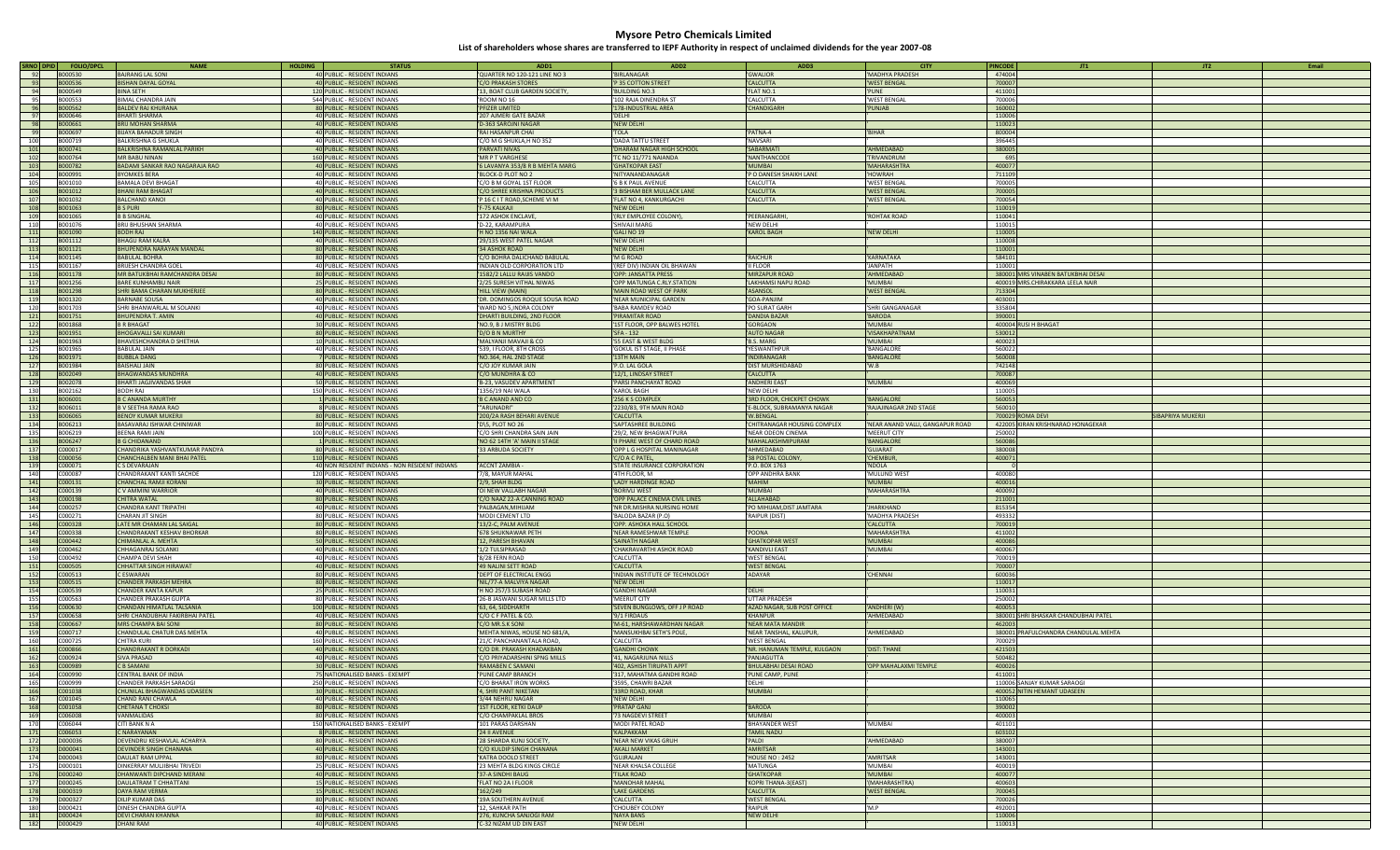| SRNO DPID  | <b>FOLIO/DPCL</b>  | <b>NAME</b>                            | <b>HOLDING</b><br><b>STATUS</b>                              | ADD1                                                | ADD <sub>2</sub>                | ADD3                         | <b>CITY</b>                      | <b>PINCODE</b>   |                                      | JT2               | Email |
|------------|--------------------|----------------------------------------|--------------------------------------------------------------|-----------------------------------------------------|---------------------------------|------------------------------|----------------------------------|------------------|--------------------------------------|-------------------|-------|
| 92         | <b>B000530</b>     | BAJRANG LAL SONI                       | 40 PUBLIC - RESIDENT INDIANS                                 | QUARTER NO 120-121 LINE NO 3                        | 'BIRI ANAGAR                    | 'GWALIOR                     | 'MADHYA PRADESH                  | 474004           |                                      |                   |       |
| 93         | B000536            | <b>BISHAN DAYAL GOYAL</b>              | 40 PUBLIC - RESIDENT INDIANS                                 | 'C/O PRAKASH STORES                                 | P 35 COTTON STREET              | 'CALCUTTA                    | <b>WEST BENGAL</b>               | 700007           |                                      |                   |       |
| 94         | B000549            | <b>BINA SETH</b>                       | 120 PUBLIC - RESIDENT INDIANS                                | '13, BOAT CLUB GARDEN SOCIETY,                      | 'BUILDING NO.3                  | 'FLAT NO.1                   | 'PUNE                            | 411001           |                                      |                   |       |
| 95         | B000553            | RIMAI CHANDRA IAIN                     | 544 PUBLIC - RESIDENT INDIANS                                | 'ROOM NO 16                                         | '102 RAJA DINENDRA ST           | 'CALCUTTA                    | <b>WEST BENGAL</b>               | 700006           |                                      |                   |       |
|            |                    |                                        |                                                              |                                                     |                                 |                              |                                  |                  |                                      |                   |       |
| 96         | B000562            | <b>BALDEV RAJ KHURANA</b>              | 80 PUBLIC - RESIDENT INDIANS                                 | 'PFIZER LIMITED                                     | '178-INDUSTRIAL AREA            | 'CHANDIGARH                  | 'PUNJAB                          | 160002           |                                      |                   |       |
| 97         | B000646            | <b>BHARTI SHARMA</b>                   | 40 PUBLIC - RESIDENT INDIANS                                 | '207 AJMERI GATE BAZAR                              | 'DELHI                          |                              |                                  | 110006           |                                      |                   |       |
| 98         | B000661            | BRIJ MOHAN SHARMA                      | 40 PUBLIC - RESIDENT INDIANS                                 | 'D-363 SAROJNI NAGAR                                | 'NEW DELHI                      |                              |                                  | 110023           |                                      |                   |       |
| 99         | B000697            | <b>BUAYA BAHADUR SINGH</b>             | 40 PUBLIC - RESIDENT INDIANS                                 | 'RAI HASANPUR CHAI                                  | 'TOLA                           | 'PATNA-4                     | 'BIHAR                           | 800004           |                                      |                   |       |
| 100        | B000719            | <b>RAI KRISHNA G SHUKLA</b>            | 40 PUBLIC - RESIDENT INDIANS                                 | 'C/O M G SHUKLA,H NO 352                            | 'DADA TATTU STREET              | 'NAVSARI                     |                                  | 396445           |                                      |                   |       |
| 101        | B000741            | <b>BALKRISHNA RAMANLAL PARIKH</b>      | 40 PUBLIC - RESIDENT INDIANS                                 | 'PARVATI NIVAS                                      | 'DHARAM NAGAR HIGH SCHOOL       | 'SABARMATI                   | 'AHMEDABAD                       | 380005           |                                      |                   |       |
| 102        | B000764            | <b>MR BABU NINAN</b>                   | 160 PUBLIC - RESIDENT INDIANS                                | 'MR P T VARGHESE                                    | 'TC NO 11/771 NAIANDA           | 'NANTHANCODI                 | <b>TRIVANDRUM</b>                | 695              |                                      |                   |       |
|            |                    |                                        |                                                              |                                                     |                                 |                              |                                  |                  |                                      |                   |       |
| 103        | B000782            | BADAMI SANKAR RAO NAGARAJA RAO         | 40 PUBLIC - RESIDENT INDIANS                                 | '6 LAVANYA 353/8 R B MEHTA MARG                     | 'GHATKOPAR EAST                 | 'MUMBAI                      | 'MAHARASHTRA                     | 400077           |                                      |                   |       |
| 104        | B000991            | <b>BYOMKES BERA</b>                    | 40 PUBLIC - RESIDENT INDIANS                                 | 'BLOCK-D PLOT NO 2                                  | 'NITYANANDANAGAR                | 'P O DANESH SHAIKH LANE      | 'HOWRAH                          | 711109           |                                      |                   |       |
| 105        | B001010            | <b>BAMALA DEVI BHAGAT</b>              | 40 PUBLIC - RESIDENT INDIANS                                 | C/O B M GOYAL 1ST FLOOR                             | '6 B K PAUL AVENUI              | 'CALCUTTA                    | 'WEST BENGAL                     | 700005           |                                      |                   |       |
| 106        | B001012            | <b>BHANI RAM BHAGAT</b>                | 40 PUBLIC - RESIDENT INDIANS                                 | 'C/O SHREE KRISHNA PRODUCTS                         | '3 BISHAM BER MULLACK LANE      | 'CALCUTTA                    | <b>'WEST BENGAL</b>              | 700005           |                                      |                   |       |
| 107        | B001032            | <b>BALCHAND KANOL</b>                  | 40 PUBLIC - RESIDENT INDIANS                                 | 'P 16 C I T ROAD, SCHEME VI M                       | 'FLAT NO 4, KANKURGACHI         | 'CALCUTTA                    | 'WEST BENGAL                     | 700054           |                                      |                   |       |
| 108        | B001063            | <b>BS PURI</b>                         | 80 PUBLIC - RESIDENT INDIANS                                 | 'F-75 KALKAJI                                       | 'NEW DELHI                      |                              |                                  | 110019           |                                      |                   |       |
| 109        | B001065            | <b>B B SINGHAL</b>                     | 40 PUBLIC - RESIDENT INDIANS                                 | '172 ASHOK ENCLAVE                                  | '(RLY EMPLOYEE COLONY)          | 'PEERANGARHI                 | 'ROHTAK ROAD                     | 110041           |                                      |                   |       |
| 110        | B001076            | <b>BRII BHUSHAN SHARMA</b>             | 40 PUBLIC - RESIDENT INDIANS                                 | 'D-22, KARAMPURA                                    | 'SHIVAII MARG                   | 'NFW DFI HI                  |                                  | 110015           |                                      |                   |       |
| 111        | B001090            | <b>BODH RAJ</b>                        | 140 PUBLIC - RESIDENT INDIANS                                | 'H NO 1356 NAI WALA                                 | 'GALI NO 19                     | 'KAROL BAGH                  |                                  | 110005           |                                      |                   |       |
|            | B001112            | <b>BHAGU RAM KALRA</b>                 |                                                              |                                                     | 'NFW DFI HI                     |                              | 'NEW DELHI                       | 110008           |                                      |                   |       |
| 112        |                    |                                        | 40 PUBLIC - RESIDENT INDIANS                                 | '29/135 WEST PATEL NAGAR                            |                                 |                              |                                  |                  |                                      |                   |       |
| 113        | B001121            | <b>BHUPENDRA NARAYAN MANDAL</b>        | 80 PUBLIC - RESIDENT INDIANS                                 | '34 ASHOK ROAD                                      | 'NEW DELHI                      |                              |                                  | 110001           |                                      |                   |       |
| 114        | B001145            | BABULAL BOHRA                          | 80 PUBLIC - RESIDENT INDIANS                                 | 'C/O BOHRA DALICHAND BABULAL                        | 'M G ROAD                       | 'RAICHUR                     | 'KARNATAKA                       | 58410            |                                      |                   |       |
| 115        | B001167            | <b>BRUESH CHANDRA GOEI</b>             | 40 PUBLIC - RESIDENT INDIANS                                 | 'INDIAN OLD CORPORATION LTD                         | '(REF DIV) INDIAN OIL BHAWAN    | 'II FLOOR                    | 'IANPATH                         | 110001           |                                      |                   |       |
| 116        | B001178            | MR BATUKBHAI RAMCHANDRA DESAI          | 80 PUBLIC - RESIDENT INDIANS                                 | '1582/2 LALLU RAIJIS VANDO                          | 'OPP: JANSATTA PRESS            | 'MIRZAPUR ROAD               | 'AHMEDABAD                       |                  | 380001 MRS VINABEN BATUKBHAI DESAI   |                   |       |
| 117        | B001256            | <b>BARE KUNHAMBU NAIR</b>              | 25 PUBLIC - RESIDENT INDIANS                                 | '2/25 SURESH VITHAL NIWAS                           | 'OPP MATUNGA C.RLY.STATION      | 'LAKHAMSI NAPU ROAD          | 'MUMBAI                          |                  | 400019 MRS.CHIRAKKARA LEELA NAIR     |                   |       |
| 118        | B001298            | SHRI BAMA CHARAN MUKHERJEE             | 80 PUBLIC - RESIDENT INDIANS                                 | 'HILL VIEW (MAIN)                                   | 'MAIN ROAD WEST OF PARK         | 'ASANSOL                     | <b>'WEST BENGAL</b>              | 713304           |                                      |                   |       |
| 119        | B001320            | <b>BARNABE SOUSA</b>                   | 40 PUBLIC - RESIDENT INDIANS                                 | 'DR. DOMINGOS ROQUE SOUSA ROAD                      | 'NEAR MUNICIPAL GARDEN          | 'GOA-PANJIM                  |                                  | 403001           |                                      |                   |       |
| 120        | B001703            | SHRI BHANWARLAL M SOLANKI              | 40 PUBLIC - RESIDENT INDIANS                                 | 'WARD NO 5.INDRA COLONY                             | 'BABA RAMDEV ROAD               | 'PO SURAT GARH               | 'SHRI GANGANAGAR                 | 335804           |                                      |                   |       |
|            | B001751            | BHUPENDRA T. AMIN                      |                                                              |                                                     | <b>PIRAMITAR ROAD</b>           | 'DANDIA BAZAR                |                                  | 390001           |                                      |                   |       |
| 121        |                    |                                        | 40 PUBLIC - RESIDENT INDIANS                                 | 'DHARTI BUILDING, 2ND FLOOR                         |                                 |                              | 'BARODA                          |                  |                                      |                   |       |
| 122        | B001868            | <b>B R BHAGAT</b>                      | 30 PUBLIC - RESIDENT INDIANS                                 | 'NO.9, B J MISTRY BLDG                              | '1ST FLOOR, OPP BALWES HOTEL    | 'GORGAON                     | 'MUMBAI                          |                  | 400004 RUSI H BHAGAT                 |                   |       |
| 123        | B001951            | <b>BHOGAVALLI SAI KUMARI</b>           | 80 PUBLIC - RESIDENT INDIANS                                 | 'D/O B N MURTHY                                     | 'SFA - 132                      | 'AUTO NAGAR                  | <b>'VISAKHAPATNAM</b>            | 530012           |                                      |                   |       |
| 124        | B001963            | <b>BHAVESHCHANDRA D SHETHIA</b>        | 10 PUBLIC - RESIDENT INDIANS                                 | 'MALYANJI MAVAJI & CO                               | '55 EAST & WEST BLDG            | 'B.S. MARG                   | 'MUMBAI                          | 400023           |                                      |                   |       |
| 125        | B001965            | BABULAL JAIN                           | 40 PUBLIC - RESIDENT INDIANS                                 | '539, I FLOOR, 8TH CROSS                            | 'GOKUL IST STAGE, II PHASE      | 'YESWANTHPUF                 | 'BANGALORE                       | 560022           |                                      |                   |       |
| 126        | B001971            | <b>BUBBLA DANG</b>                     | 7 PUBLIC - RESIDENT INDIANS                                  | 'NO.364, HAL 2ND STAGE                              | '13TH MAIN                      | 'INDIRANAGAR                 | 'BANGALORE                       | 560008           |                                      |                   |       |
| 127        | B001984            | <b>BAISHALLIAIN</b>                    | 80 PUBLIC - RESIDENT INDIANS                                 | 'C/O JOY KUMAR JAIN                                 | 'P.O. LAL GOLA                  | 'DIST MURSHIDABAD            | 'W.B                             | 742148           |                                      |                   |       |
| 128        | B002049            | BHAGWANDAS MUNDHRA                     |                                                              |                                                     |                                 |                              |                                  | 700087           |                                      |                   |       |
|            | B002078            |                                        | 40 PUBLIC - RESIDENT INDIANS                                 | 'C/O MUNDHRA & CO                                   | '12/1, LINDSAY STREET           | 'CALCUTTA                    | 'MUMBAI                          | 400069           |                                      |                   |       |
| 129        |                    | BHARTI JAGJIVANDAS SHAH                | 50 PUBLIC - RESIDENT INDIANS                                 | 'B-23, VASUDEV APARTMENT                            | 'PARSI PANCHAYAT ROAD           | 'ANDHERI EAST                |                                  |                  |                                      |                   |       |
| 130        | B002162            | RODH RAI                               | 150 PUBLIC - RESIDENT INDIANS                                | 1356/19 NAI WALA                                    | 'KAROL BAGH                     | 'NEW DELHI                   |                                  | 110005           |                                      |                   |       |
| 131        | B006001            | <b>B C ANANDA MURTHY</b>               | 1 PUBLIC - RESIDENT INDIANS                                  | <b>B C ANAND AND CO</b>                             | '256 K S COMPLEX                | '3RD FLOOR, CHICKPET CHOWK   | 'BANGALORE                       | 560053           |                                      |                   |       |
| 132        | B006011            | <b>B V SEETHA RAMA RAO</b>             | 8 PUBLIC - RESIDENT INDIANS                                  | "ARUNADRI"                                          | '2230/83, 9TH MAIN ROAD         | 'E-BLOCK, SUBRAMANYA NAGAR   | <b>'RAJAJINAGAR 2ND STAGE</b>    | 560010           |                                      |                   |       |
| 133        | B006065            | <b>BENOY KUMAR MUKERJ</b>              | 80 PUBLIC - RESIDENT INDIANS                                 | '200/2A RASH BEHARI AVENUE                          | 'CALCUTTA                       | 'W.BENGAL                    |                                  |                  | 700029 ROMA DEVI                     | SIBAPRIYA MUKERJI |       |
| 134        | B006213            | BASAVARAJ ISHWAR CHINIWAR              | 80 PUBLIC - RESIDENT INDIANS                                 | 'D\5, PLOT NO 26                                    | 'SAPTASHREE BUILDING            | 'CHITRANAGAR HOUSING COMPLEX | 'NEAR ANAND VALLI, GANGAPUR ROAD |                  | 422005 KIRAN KRISHNARAO HONAGEKAR    |                   |       |
| 135        | B006219            | <b>RFFNA RAMI IAIN</b>                 | 100 PUBLIC - RESIDENT INDIANS                                | 'C/O SHRI CHANDRA SAIN JAIN                         | '29/2. NEW BHAGWATPURA          | 'NEAR ODEON CINEMA           | 'MFFRUT CITY                     | 250002           |                                      |                   |       |
| 136        | B006247            | <b>B G CHIDANAND</b>                   | 1 PUBLIC - RESIDENT INDIANS                                  | 'NO 62 14TH 'A' MAIN II STAGE                       | 'II PHARE WEST OF CHARD ROAD    | 'MAHALAKSHMIPURAM            | 'BANGALORE                       | 560086           |                                      |                   |       |
| 137        | C000017            | CHANDRIKA YASHVANTKUMAR PANDYA         | 80 PUBLIC - RESIDENT INDIANS                                 | '33 ARBUDA SOCIETY                                  | 'OPP L G HOSPITAL MANINAGAR     | 'AHMEDABAD                   | 'GUIARAT                         |                  |                                      |                   |       |
|            |                    |                                        |                                                              |                                                     |                                 |                              |                                  |                  |                                      |                   |       |
|            |                    |                                        |                                                              |                                                     |                                 |                              |                                  | 380008           |                                      |                   |       |
| 138        | C000056            | CHANCHALBEN MANI BHAI PATEL            | 110 PUBLIC - RESIDENT INDIANS                                |                                                     | 'C/O A C PATEL                  | '38 POSTAL COLONY,           | 'CHEMBUR,                        | 400071           |                                      |                   |       |
| 139        | C000071            | C S DEVARAJAN                          | 40 NON RESIDENT INDIANS - NON RESIDENT INDIANS               | 'ACCNT ZAMBIA                                       | 'STATE INSURANCE CORPORATION    | 'P.O. BOX 1763               | 'NDOLA                           |                  |                                      |                   |       |
| 140        | C000087            | CHANDRAKANT KANTI SACHDE               | 120 PUBLIC - RESIDENT INDIANS                                | '7/8. MAYUR MAHAI                                   | '4TH FLOOR, M                   | 'OPP ANDHRA BANK             | 'MULUND WEST                     | 400080           |                                      |                   |       |
| 141        | C000131            | CHANCHAL RAMJI KORANI                  | 30 PUBLIC - RESIDENT INDIANS                                 | '2/9, SHAH BLDG                                     | 'LADY HARDINGE ROAD             | MIHAN'                       | 'MUMBAI                          | 400016           |                                      |                   |       |
| 142        | C000139            | <b>CV AMMINI WARRIOR</b>               | 40 PUBLIC - RESIDENT INDIANS                                 | 'OI NEW VALLABH NAGAR                               | 'BORIVLI WEST                   | 'MUMBAI                      | 'MAHARASHTRA                     | 400092           |                                      |                   |       |
| 143        | C000198            | CHITRA WATAI                           | 80 PUBLIC - RESIDENT INDIANS                                 | 'C/O NAAZ 22-A CANNING ROAD                         | OPP PALACE CINEMA CIVIL LINES   | 'ALLAHABAD                   |                                  | 211001           |                                      |                   |       |
|            |                    | <b>CHANDRA KANT TRIPATHI</b>           |                                                              |                                                     |                                 |                              | <b>JHARKHAND</b>                 |                  |                                      |                   |       |
| 144        | C000257<br>C000271 | CHARAN IIT SINGH                       | 40 PUBLIC - RESIDENT INDIANS                                 | 'PALBAGAN, MIHIJAM                                  | 'NR DR.MISHRA NURSING HOME      | PO MIHIJAM, DIST JAMTARA     |                                  | 815354<br>493332 |                                      |                   |       |
| 145        |                    |                                        | 80 PUBLIC - RESIDENT INDIANS                                 | MODI CEMENT LTD                                     | 'BALODA BAZAR (P.O)             | 'RAIPUR (DIST)               | 'MADHYA PRADESH                  |                  |                                      |                   |       |
| 146        | C000328            | LATE MR CHAMAN LAL SAIGAL              | 80 PUBLIC - RESIDENT INDIANS                                 | '13/2-C, PALM AVENUE                                | 'OPP. ASHOKA HALL SCHOOL        |                              | 'CALCUTTA                        | 700019           |                                      |                   |       |
| 147        | C000338            | CHANDRAKANT KESHAV BHORKAR             | 80 PUBLIC - RESIDENT INDIANS                                 | '678 SHUKNAWAR PETH                                 | 'NEAR RAMESHWAR TEMPLE          | 'POONA                       | 'MAHARASHTRA                     | 411002           |                                      |                   |       |
| 148        | C000442            | CHIMANLAL A. MEHTA                     | 50 PUBLIC - RESIDENT INDIANS                                 | '12, PARESH BHAVAN                                  | 'SAINATH NAGAR                  | 'GHATKOPAR WEST              | 'MUMBAI                          | 400086           |                                      |                   |       |
| 149        | C000462            | CHHAGANRAJ SOLANKI                     | 40 PUBLIC - RESIDENT INDIANS                                 | '1/2 TULSIPRASAD                                    | <b>CHAKRAVARTHI ASHOK ROAD</b>  | 'KANDIVLI EAST               | 'MUMBAI                          | 400067           |                                      |                   |       |
| 150        | C000492            | <b>CHAMPA DEVI SHAH</b>                | 40 PUBLIC - RESIDENT INDIANS                                 | '8/28 FERN ROAD                                     | 'CALCUTTA                       | 'WEST BENGAL                 |                                  | 700019           |                                      |                   |       |
| 151        | C000505            | CHHATTAR SINGH HIRAWAT                 | 40 PUBLIC - RESIDENT INDIANS                                 | '49 NALINI SETT ROAD                                | 'CALCUTTA                       | <b>WEST BENGAL</b>           |                                  | 700007           |                                      |                   |       |
| 152        | C000513            | <b>FSWARAN</b>                         | 80 PUBLIC - RESIDENT INDIANS                                 | 'DEPT OF ELECTRICAL ENGG                            | 'INDIAN INSTITUTE OF TECHNOLOGY | 'ADAYAR                      | 'CHFNNAI                         | 600036           |                                      |                   |       |
|            | C000515            | <b>CHANDER PARKASH MEHRA</b>           |                                                              | 'NIL/77-A MALVIYA NAGAR                             | 'NEW DELHI                      |                              |                                  | 110017           |                                      |                   |       |
| 153        | C000539            | CHANDER KANTA KAPUR                    | 80 PUBLIC - RESIDENT INDIANS                                 |                                                     | <b>GANDHI NAGAR</b>             |                              |                                  |                  |                                      |                   |       |
| 154        | C000563            |                                        | 25 PUBLIC - RESIDENT INDIANS                                 | 'H NO 257/3 SUBASH ROAD                             |                                 | 'DELHI                       |                                  | 110031<br>25000  |                                      |                   |       |
| 155        |                    | <b>HANDER PRAKASH GUPTA:</b>           | 80 PUBLIC - RESIDENT INDIANS                                 | '26-B JASWANI SUGAR MILLS LTD                       | 'MEERUT CITY                    | UTTAR PRADESH                |                                  |                  |                                      |                   |       |
| 156        | C000630            | CHANDAN HIMATLAL TALSANIA              | 100 PUBLIC - RESIDENT INDIANS                                | '63, 64, SIDDHARTH                                  | 'SEVEN BUNGLOWS, OFF J P ROAD   | 'AZAD NAGAR, SUB POST OFFICE | 'ANDHERI (W)                     | 400053           |                                      |                   |       |
| 157        | C000658            | SHRI CHANDUBHAI FAKIRBHAI PATEL        | 40 PUBLIC - RESIDENT INDIANS                                 | 'C/O C F PATEL & CO.                                | '9/1 FIRDAUS                    | 'KHANPUR                     | 'AHMEDABAD                       |                  | 380001 SHRI BHASKAR CHANDUBHAI PATEL |                   |       |
| 158        | C000667            | <b>MRS CHAMPA BAI SONI</b>             | 80 PUBLIC - RESIDENT INDIANS                                 | 'C/O MR.S.K SONI                                    | 'M-61, HARSHAWARDHAN NAGAR      | <b>NEAR MATA MANDIR</b>      |                                  | 462003           |                                      |                   |       |
| 159        | C000717            | CHANDULAL CHATUR DAS MEHTA             | 40 PUBLIC - RESIDENT INDIANS                                 | 'MEHTA NIWAS, HOUSE NO 681/A,                       | 'MANSUKHBAI SETH'S POLE,        | 'NEAR TANSHAL, KALUPUR,      | 'AHMEDABAD                       |                  | 380001 PRAFULCHANDRA CHANDULAL MEHTA |                   |       |
| 160        | 0000725            | "HITRA KURI                            | 160 PUBLIC - RESIDENT INDIANS                                | '21/C PANCHANANTALA ROAD,                           | 'CALCUTTA                       | 'WEST BENGAL                 |                                  | 700029           |                                      |                   |       |
| 161        | C000866            | CHANDRAKANT R DORKADI                  | 40 PUBLIC - RESIDENT INDIANS                                 | 'C/O DR. PRAKASH KHADAKBAN                          | <b>'GANDHI CHOWK</b>            | 'NR. HANUMAN TEMPLE, KULGAON | 'DIST: THANE                     | 421503           |                                      |                   |       |
| 162        | C000924            | SIVA PRASAD                            | 40 PUBLIC - RESIDENT INDIANS                                 | 'C/O PRIYADARSHINI SPNG MILLS                       | '41. NAGARJUNA NILLS            | 'PANIAGUTTA                  |                                  | 500482           |                                      |                   |       |
|            | C000989            | <b>B SAMANI</b>                        |                                                              |                                                     |                                 |                              |                                  | 400026           |                                      |                   |       |
| 163        |                    |                                        | 30 PUBLIC - RESIDENT INDIANS                                 | <b>RAMABEN C SAMANI</b>                             | '402, ASHISH TIRUPATI APPT      | <b>BHULABHAI DESAI ROAD</b>  | 'OPP MAHALAXMI TEMPLE            |                  |                                      |                   |       |
| 164        | C000990            | CENTRAL BANK OF INDIA                  | 75 NATIONALISED BANKS - EXEMPT                               | 'PUNE CAMP BRANCH                                   | '317, MAHATMA GANDHI ROAD       | 'PUNE CAMP, PUNE             |                                  | 411001           |                                      |                   |       |
| 165        | C000999            | CHANDER PARKASH SARAOGI                | 250 PUBLIC - RESIDENT INDIANS                                | C/O BHARAT IRON WORKS                               | '3595, CHAWRI BAZAR             | 'DELHI                       |                                  |                  | 110006 SANJAY KUMAR SARAOGI          |                   |       |
| 166        | C001038            | CHUNILAL BHAGWANDAS UDASEEN            | 30 PUBLIC - RESIDENT INDIANS                                 | '4, SHRI PANT NIKETAN                               | '33RD ROAD, KHAR                | 'MUMBAI                      |                                  |                  | 400052 NITIN HEMANT UDASEEN          |                   |       |
| 167        | C001045            | CHAND RANI CHAWLA                      | 40 PUBLIC - RESIDENT INDIANS                                 | '3/44 NEHRU NAGAR                                   | 'NEW DELHI                      |                              |                                  | 110065           |                                      |                   |       |
| 168        | C001058            | CHETANA T CHOKSL                       | 80 PUBLIC - RESIDENT INDIANS                                 | '1ST FLOOR, KETKI DAUP                              | 'PRATAP GANJ                    | <b>BARODA</b>                |                                  | 390002           |                                      |                   |       |
| 169        | <b>C006008</b>     | VANMALIDAS                             | 80 PUBLIC - RESIDENT INDIANS                                 | 'C/O CHAMPAKLAL BROS                                | '73 NAGDEVI STREET              | 'MUMBAI                      |                                  | 400003           |                                      |                   |       |
| 170        | C006044            | CITI BANK N A                          | 150 NATIONALISED BANKS - EXEMPT                              | '101 PARAS DARSHAN                                  | 'MODI PATFL ROAD                | 'BHAYANDER WEST              | 'MUMBAI                          | 401101           |                                      |                   |       |
|            | C006053            | C NARAYANAN                            | 8 PUBLIC - RESIDENT INDIANS                                  | '24 II AVENUE                                       | 'KALPAKKAM                      | <b>TAMIL NADU</b>            |                                  | 603102           |                                      |                   |       |
| 171        | D000036            |                                        |                                                              |                                                     |                                 |                              | 'AHMFDARAD                       | 380007           |                                      |                   |       |
| 172        |                    | DEVENDRU KESHAVLAL ACHARYA             | 80 PUBLIC - RESIDENT INDIANS                                 | '28 SHARDA KUNJ SOCIETY,                            | 'NEAR NEW VIKAS GRUH            | 'PALDI                       |                                  |                  |                                      |                   |       |
| 173        | D000041            | <b>DEVINDER SINGH CHANANA</b>          | 40 PUBLIC - RESIDENT INDIANS                                 | 'C/O KULDIP SINGH CHANANA                           | 'AKALI MARKET                   | 'AMRITSAR                    |                                  | 143001           |                                      |                   |       |
| 174        | D000043            | <b>DAULAT RAM UPPAL</b>                | 80 PUBLIC - RESIDENT INDIANS                                 | 'KATRA DOOLO STREET                                 | 'GUJRALAN                       | 'HOUSE NO: 2452              | 'AMRITSAR                        | 143001           |                                      |                   |       |
| 175        | D000101            | DINKERRAY MULIIBHAI TRIVEDI            | 25 PUBLIC - RESIDENT INDIANS                                 | '23 MEHTA BLDG KINGS CIRCLE                         | <b>INEAR KHALSA COLLEGE</b>     | 'MATUNGA                     | 'MUMBAI                          | 400019           |                                      |                   |       |
| 176        | D000240            | DHANWANTI DIPCHAND MERANI              | 40 PUBLIC - RESIDENT INDIANS                                 | '37-A SINDHI BAUG                                   | <b>TILAK ROAD</b>               | <b>'GHATKOPAR</b>            | 'MUMBAI                          | 400077           |                                      |                   |       |
| 177        | D000245            | <b><i>DALILATRAM T CHHATTANI</i></b>   | 15 PUBLIC - RESIDENT INDIANS                                 | <b>'FLAT NO 2A I FLOOR</b>                          | 'MANOHAR MAHAL                  | KOPRI THANA-3(EAST)          | '(MAHARASHTRA)                   | 400603           |                                      |                   |       |
| 178        | D000319            | <b>DAYA RAM VERMA</b>                  | 15 PUBLIC - RESIDENT INDIANS                                 | 162/249                                             | 'LAKE GARDENS                   | 'CALCUTTA                    | 'WEST BENGAL                     | 700045           |                                      |                   |       |
| 179        | D000327            | DILIP KUMAR DAS                        | 80 PUBLIC - RESIDENT INDIANS                                 | '19A SOUTHERN AVENUE                                | 'CALCUTTA                       | <b>WEST BENGAL</b>           |                                  | 700026           |                                      |                   |       |
| 180        | D000421            | DINESH CHANDRA GUPTA                   | 40 PUBLIC - RESIDENT INDIANS                                 | '12. SAHKAR PATH                                    | 'CHOUBEY COLONY                 | 'RAIPUR                      | 'M.P                             | 492001           |                                      |                   |       |
|            |                    |                                        |                                                              |                                                     |                                 |                              |                                  |                  |                                      |                   |       |
| 181<br>182 | D000424<br>D000429 | <b>DEVI CHARAN KHANNA</b><br>DHANI RAM | 80 PUBLIC - RESIDENT INDIANS<br>40 PUBLIC - RESIDENT INDIANS | '276, KUNCHA SANJOGI RAM<br>'C-32 NIZAM UD DIN EAST | 'NAYA BANS<br>'NEW DELHI        | 'NEW DELHI                   |                                  | 110006<br>110013 |                                      |                   |       |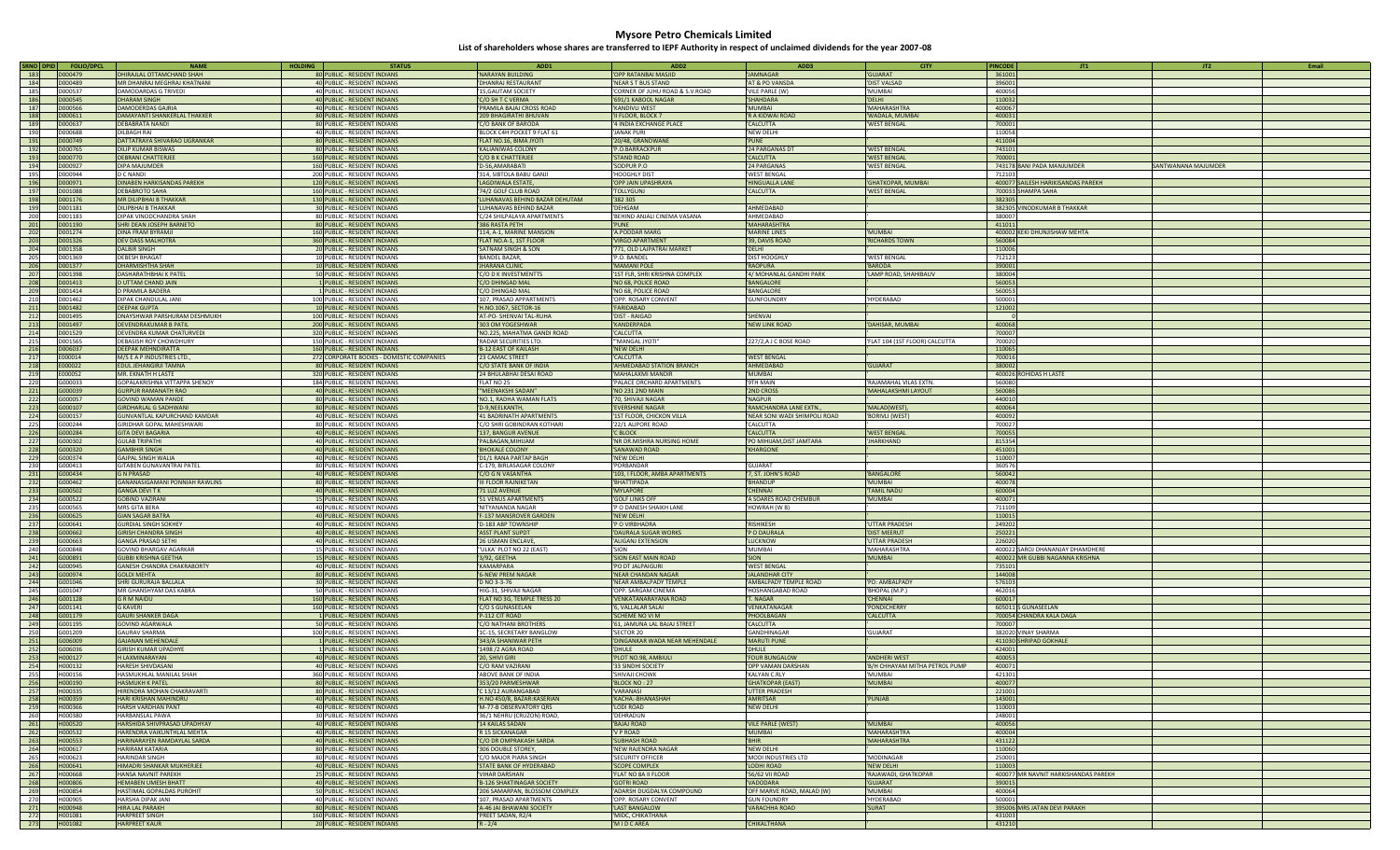| SRNO DPID        | <b>FOLIO/DPC</b> | <b>NAMI</b>                       | <b>HOLDING</b> | <b>STATUS</b>                             | ADD1                           | ADD <sub>2</sub>                | ADD3                         | <b>CITY</b>                    | <b>PINCODE</b><br>JT2<br>Email<br>JT1             |
|------------------|------------------|-----------------------------------|----------------|-------------------------------------------|--------------------------------|---------------------------------|------------------------------|--------------------------------|---------------------------------------------------|
| 183              | D000479          | DHIRAJLAL OTTAMCHAND SHAH         |                | 80 PUBLIC - RESIDENT INDIANS              | <b>NARAYAN BUILDING</b>        | 'OPP RATANBAI MASJID            | <b>IAMNAGAR</b>              | <b>GUIARAT</b>                 | 361001                                            |
| 184              | D000489          | MR DHANRAI MFGHRAI KHATNANI       |                | 40 PUBLIC - RESIDENT INDIANS              | <b>DHANRAI RESTAURANT</b>      | 'NEAR S T BUS STAND             | AT & PO VANSDA               | 'DIST VALSAD                   | 396001                                            |
| 185              | D000537          | <b>DAMODARDAS G TRIVEDI</b>       |                | 40 PUBLIC - RESIDENT INDIANS              | <b>15.GAUTAM SOCIETY</b>       | 'CORNER OF JUHU ROAD & S.V.ROAD | VILE PARLE (W)               | 'MUMBAI                        | 400056                                            |
| 186              | D000545          | <b>DHARAM SINGH</b>               |                | 40 PUBLIC - RESIDENT INDIANS              | 'C/O SH T C VERMA              | '691/1 KABOOL NAGAR             | SHAHDARA                     |                                | 110032                                            |
|                  |                  |                                   |                |                                           |                                |                                 |                              | 'DELHI                         |                                                   |
| 187              | D000566          | <b>DAMODERDAS GAJRIA</b>          |                | 40 PUBLIC - RESIDENT INDIANS              | PRAMILA BAJAJ CROSS ROAD       | 'KANDIVLI WEST                  | <b>MUMBAL</b>                | 'MAHARASHTRA                   | 400067                                            |
| 188              | D000611          | DAMAYANTI SHANKERLAL THAKKER      |                | 80 PUBLIC - RESIDENT INDIANS              | 209 BHAGIRATHI BHUVAN          | 'II FLOOR, BLOCK 7              | R A KIDWAI ROAD              | 'WADALA, MUMBAI                | 400031                                            |
| 189              | D000637          | DEBABRATA NANDI                   |                | 80 PUBLIC - RESIDENT INDIANS              | C/O BANK OF BARODA             | '4 INDIA EXCHANGE PLACE         | CALCUTTA                     | 'WEST BENGAL                   | 700001                                            |
| 190              | <b>D000688</b>   | DII BAGH RAI                      |                | 40 PUBLIC - RESIDENT INDIANS              | 'BLOCK C4H POCKET 9 FLAT 61    | 'IANAK PURI                     | <b>NEW DELHI</b>             |                                | 110058                                            |
| 191              | D000749          | DATTATRAYA SHIVARAO UGRANKAR      |                | 80 PUBLIC - RESIDENT INDIANS              | 'FLAT NO.16, BIMA JYOTI        | '20/48, GRANDWANE               | PUNE                         |                                | 411004                                            |
| 192              | D000765          | DILIP KUMAR BISWAS                |                | 80 PUBLIC - RESIDENT INDIANS              | <b>KALIANIWAS COLONY</b>       | 'P.O.BARRACKPUR                 | 24 PARGANAS DT               | 'WEST BENGAL                   | 743101                                            |
|                  |                  |                                   |                |                                           |                                |                                 |                              |                                |                                                   |
| 193              | D000770          | <b>DEBRANI CHATTERJEE</b>         |                | 160 PUBLIC - RESIDENT INDIANS             | 'C/O B K CHATTERJEE            | 'STAND ROAD                     | <b>CALCUTTA</b>              | 'WEST BENGAL                   | 700001                                            |
| 194              | D000927          | DIPA MAJUMDER                     |                | 160 PUBLIC - RESIDENT INDIANS             | 'D-56,AMARABATI                | 'SODPUR P.O.                    | 24 PARGANAS                  | <b>'WEST BENGAL</b>            | 743178 BANI PADA MANJUMDER<br>SANTWANANA MAJUMDER |
| 195              | D000944          | D C NANDL                         |                | 200 PUBLIC - RESIDENT INDIANS             | '314, SIBTOLA BABU GANJI       | 'HOOGHLY DIST                   | <b>WEST BENGAL</b>           |                                | 712103                                            |
| 196              | D000971          | DINABEN HARKISANDAS PAREKH        |                | 120 PUBLIC - RESIDENT INDIANS             | LAGDIWALA ESTATE               | 'OPP JAIN UPASHRAYA             | <b>HINGUALLA LANE</b>        | 'GHATKOPAR, MUMBAI             | 400077 SAILESH HARIKISANDAS PAREKH                |
| 197              | D001088          | <b>DEBABROTO SAHA</b>             |                | 160 PUBLIC - RESIDENT INDIANS             | '74/2 GOLF CLUB ROAD           | <b>TOLLYGUNI</b>                | CALCUTTA                     | 'WEST BENGAL                   | 700033 SHAMPA SAHA                                |
| 198              | D001176          | <b>MR DILIPBHAI B THAKKAR</b>     |                | 130 PUBLIC - RESIDENT INDIANS             | LUHANAVAS BEHIND BAZAR DEHUTAM | '382 305                        |                              |                                | 382305                                            |
| 199              | D001181          | <b>DILIPBHAI B THAKKAR</b>        |                | 30 PUBLIC - RESIDENT INDIANS              | LUHANAVAS BEHIND BAZAR         | 'DEHGAM                         | AHMEDABAD                    |                                | 382305 VINODKUMAR B THAKKAR                       |
|                  | D001183          | DIPAK VINODCHANDRA SHAH           |                | 80 PUBLIC - RESIDENT INDIANS              |                                |                                 | AHMEDABAD                    |                                | 380007                                            |
| 200              |                  |                                   |                |                                           | C/24 SHILPALAYA APARTMENTS     | 'BEHIND ANJALI CINEMA VASANA    |                              |                                |                                                   |
| 201              | D001190          | SHRI DEAN JOSEPH BARNETO          |                | 80 PUBLIC - RESIDENT INDIANS              | 386 RASTA PETH                 | 'PUNE                           | <b>MAHARASHTRA</b>           |                                | 411011                                            |
| 202              | D001274          | <b>DINA FRAM BYRAMIL</b>          |                | 160 PUBLIC - RESIDENT INDIANS             | '114, A-1, MARINE MANSION      | 'A PODDAR MARG                  | <b>MARINE LINES</b>          | 'MUMBAI                        | 400002 KEKI DHUNJISHAW MEHTA                      |
| 203              | D001326          | <b>DEV DASS MALHOTRA</b>          |                | 360 PUBLIC - RESIDENT INDIANS             | FLAT NO.A-1, 1ST FLOOR         | 'VIRGO APARTMENT                | 39, DAVIS ROAD               | 'RICHARDS TOWN                 | 560084                                            |
| 204              | D001358          | <b>DALBIR SINGH</b>               |                | 20 PUBLIC - RESIDENT INDIANS              | <b>'SATNAM SINGH &amp; SON</b> | '771, OLD LAJPATRAI MARKET      | DELHI                        |                                | 110006                                            |
| 205              | D001369          | <b>DEBESH BHAGAT</b>              |                | 10 PUBLIC - RESIDENT INDIANS              | 'BANDEL BAZAR.                 | P.O. BANDEL                     | DIST HOOGHLY                 | 'WEST BENGAL                   | 712123                                            |
| 206              | D001377          | <b>DHARMISHTHA SHAH</b>           |                | 10 PUBLIC - RESIDENT INDIANS              | <b>JHARANA CLINIC</b>          | 'MAMANI POLE                    | 'RAOPURA                     | 'BARODA                        | 390001                                            |
|                  | D001398          | <b>DASHARATHRHAI K PATFI</b>      |                |                                           |                                |                                 |                              |                                |                                                   |
| 207              |                  |                                   |                | 50 PUBLIC - RESIDENT INDIANS              | 'C/O D K INVESTMENTTS          | '1ST FLR, SHRI KRISHNA COMPLEX  | 4/ MOHANLAL GANDHI PARK      | 'LAMP ROAD, SHAHIBAUV          | 380004                                            |
| 208              | D001413          | D UTTAM CHAND JAIN                |                | 1 PUBLIC - RESIDENT INDIANS               | 'C/O DHINGAD MAL               | 'NO 68, POLICE ROAD             | <b>BANGALORE</b>             |                                | 560053                                            |
| 209              | D001414          | D PRAMILA BADERA                  |                | 1 PUBLIC - RESIDENT INDIANS               | 'C/O DHINGAD MAL               | 'NO 68, POLICE ROAD             | <b>BANGALORE</b>             |                                | 560053                                            |
| 210              | D001462          | DIPAK CHANDULAL JANI              |                | 100 PUBLIC - RESIDENT INDIANS             | '107, PRASAD APPARTMENTS       | 'OPP. ROSARY CONVENT            | GUNFOUNDRY                   | 'HYDFRABAD                     | 500001                                            |
| 211              | D001482          | <b>DEFPAK GUPTA</b>               |                | 10 PUBLIC - RESIDENT INDIANS              | 'H.NO.1067, SECTOR-16          | 'FARIDABAD                      |                              |                                | 121002                                            |
| 212              | D001495          | DNAYSHWAR PARSHURAM DESHMUKH      |                | 100 PUBLIC - RESIDENT INDIANS             | 'AT-PO- SHENVAI TAL-RUHA       | 'DIST - RAIGAD                  | SHENVAI                      |                                |                                                   |
| 213              | D001497          | <b>DEVENDRAKUMAR B PATIL</b>      |                | 200 PUBLIC - RESIDENT INDIANS             | '303 OM YOGESHWAR              | 'KANDERPADA                     | NEW LINK ROAD                | 'DAHISAR, MUMBAI               | 400068                                            |
| 214              | D001529          | DEVENDRA KUMAR CHATURVEDI         |                |                                           | 'NO.225, MAHATMA GANDI ROAD    | 'CALCUTTA                       |                              |                                | 700007                                            |
|                  | D001565          |                                   |                | 320 PUBLIC - RESIDENT INDIANS             |                                | "MANGAI IYOTI                   |                              |                                | 700020                                            |
| 215              |                  | <b>DEBASISH ROY CHOWDHURY</b>     |                | 150 PUBLIC - RESIDENT INDIANS             | 'RADAR SECURITIES LTD.         |                                 | 227/2,AJ C BOSE ROAD         | 'FLAT 104 (1ST FLOOR) CALCUTTA |                                                   |
| 216              | D006037          | DEEPAK MEHNDIRATTA                |                | 160 PUBLIC - RESIDENT INDIANS             | 'B-12 EAST OF KAILASH          | 'NEW DELHI                      |                              |                                | 110065                                            |
| 217              | F000014          | M/S E A P INDUSTRIES LTD.         |                | 272 CORPORATE BODIES - DOMESTIC COMPANIES | 23 CAMAC STREET                | 'CALCUTTA                       | <b>WEST BENGAL</b>           |                                | 700016                                            |
| 218              | E000022          | <b>EDUL JEHANGIRJI TAMNA</b>      |                | 80 PUBLIC - RESIDENT INDIANS              | 'C/O STATE BANK OF INDIA       | 'AHMEDABAD STATION BRANCH       | <b>AHMFDARAD</b>             | <b>'GUJARAT</b>                | 380002                                            |
| 219              | F000052          | MR. EKNATH H LASTE                |                | 320 PUBLIC - RESIDENT INDIANS             | '24 BHULABHAI DESAI ROAD       | 'MAHALAXMI MANDIR               | MUMBAI                       |                                | 400026 ROHIDAS H LASTE                            |
| 220              | G000033          | GOPALAKRISHNA VITTAPPA SHENOY     |                | 184 PUBLIC - RESIDENT INDIANS             | 'FLAT NO 25                    | 'PALACE ORCHARD APARTMENTS      | <b>9TH MAIN</b>              | 'RAJAMAHAL VILAS EXTN.         | 560080                                            |
| 221              | G000039          | <b>GURPUR RAMANATH RAO</b>        |                |                                           |                                |                                 | <b>2ND CROSS</b>             | 'MAHALAKSHMI LAYOUT            | 560086                                            |
|                  |                  |                                   |                | 40 PUBLIC - RESIDENT INDIANS              | "MEENAKSHI SADAN"              | 'NO 231 2ND MAIN                |                              |                                |                                                   |
| 222              | G000057          | <b>GOVIND WAMAN PANDE</b>         |                | 80 PUBLIC - RESIDENT INDIANS              | 'NO.1, RADHA WAMAN FLATS       | '70, SHIVAJI NAGAR              | NAGPUR                       |                                | 440010                                            |
| 223              | G000107          | <b>GIRDHARLAL G SADHWANI</b>      |                | 80 PUBLIC - RESIDENT INDIANS              | 'D-9, NEELKANTH,               | 'EVERSHINE NAGAR                | RAMCHANDRA LANE EXTN.,       | 'MALAD(WEST)                   | 400064                                            |
| 224              | G000157          | GUNVANTLAL KAPURCHAND KAMDAR      |                | 40 PUBLIC - RESIDENT INDIANS              | 41 BADRINATH APARTMENTS        | '1ST FLOOR, CHICKON VILLA       | NEAR SONI WADI SHIMPOLI ROAD | 'BORIVLI (WEST)                | 400092                                            |
| $\overline{225}$ | G000244          | <b>GIRIDHAR GOPAL MAHESHWARI</b>  |                | 80 PUBLIC - RESIDENT INDIANS              | 'C/O SHRI GOBINDRAN KOTHARI    | '22/1 ALIPORE ROAD              | CALCUTTA                     |                                | 700027                                            |
| 226              | G000284          | <b>GITA DEVI BAGARIA</b>          |                | 40 PUBLIC - RESIDENT INDIANS              | '137, BANGUR AVENUE            | <b>C BLOCK</b>                  | <b>CALCUTTA</b>              | <b>'WEST BENGAL</b>            | 700055                                            |
| 227              | G000302          | <b>GUI AB TRIPATHI</b>            |                | 40 PUBLIC - RESIDENT INDIANS              | PAI BAGAN MIHIJAM              | 'NR DR.MISHRA NURSING HOME      | PO MIHIJAM, DIST JAMTARA     | 'JHARKHAND                     | 815354                                            |
|                  |                  |                                   |                |                                           |                                |                                 |                              |                                |                                                   |
| 228              | G000320          | <b>GAMBHIR SINGH</b>              |                | 40 PUBLIC - RESIDENT INDIANS              | <b>BHOKALE COLONY</b>          | 'SANAWAD ROAD                   | KHARGONE                     |                                | 451001                                            |
| 229              | G000374          | <b>GAJPAL SINGH WALIA</b>         |                | 40 PUBLIC - RESIDENT INDIANS              | 'D1/1 RANA PARTAP BAGH         | 'NEW DELHI                      |                              |                                | 110007                                            |
| 230              | G000413          | <b>GITABEN GUNAVANTRAI PATEL</b>  |                | 80 PUBLIC - RESIDENT INDIANS              | 'C-179. BIRLASAGAR COLONY      | 'PORBANDAR                      | GUIARAT                      |                                | 360576                                            |
| 231              | G000434          | <b>G N PRASAD</b>                 |                | 40 PUBLIC - RESIDENT INDIANS              | 'C/O G N VASANTHA              | '103, I FLOOR, AMBA APARTMENTS  | 7, ST. JOHN'S ROAD           | 'BANGALORE                     | 560042                                            |
| 232              | G000462          | GANANASIGAMANI PONNIAH RAWLINS    |                | 80 PUBLIC - RESIDENT INDIANS              | 'III FLOOR RAJNIKETAN          | 'BHATTIPADA                     | <b>BHANDUP</b>               | 'MUMBAI                        | 400078                                            |
| 233              | G000502          | <b>GANGA DEVITK</b>               |                | 40 PUBLIC - RESIDENT INDIANS              | '71 LUZ AVENUE                 | 'MYLAPORE                       | <b>CHENNAI</b>               | 'TAMIL NADU                    | 600004                                            |
| 234              | G000522          | <b>GOBIND VAZIRANI</b>            |                | 15 PUBLIC - RESIDENT INDIANS              | '51 VENUS APARTMENTS           | 'GOLF LINKS OFF                 | A SOARES ROAD CHEMBUR        | 'MUMBAI                        | 400071                                            |
| 235              | G000565          | MRS GITA BERA                     |                | 40 PUBLIC - RESIDENT INDIANS              | 'NITYANANDA NAGAR              | 'P O DANESH SHAIKH LANE         | HOWRAH (W B)                 |                                | 711109                                            |
|                  |                  |                                   |                |                                           |                                |                                 |                              |                                |                                                   |
| 236              | G000625          | <b>GIAN SAGAR BATRA</b>           |                | 40 PUBLIC - RESIDENT INDIANS              | F-137 MANSROVER GARDEN         | 'NEW DELHI                      |                              |                                | 110015                                            |
| 237              | G000641          | <b>GURDIAL SINGH SOKHEY</b>       |                | 40 PUBLIC - RESIDENT INDIANS              | 'D-183 ABP TOWNSHIP            | 'P O VIRBHADRA                  | <b>RISHIKESH</b>             | <b>UTTAR PRADESH</b>           | 249202                                            |
| 238              | G000662          | <b>GIRISH CHANDRA SINGH</b>       |                | 40 PUBLIC - RESIDENT INDIANS              | 'ASST PLANT SUPDT              | 'DAURALA SUGAR WORKS            | 'P O DAURALA                 | 'DIST MEERUT                   | 250221                                            |
| 239              | G000663          | <b>GANGA PRASAD SETHI</b>         |                | 40 PUBLIC - RESIDENT INDIANS              | '26 USMAN ENCLAVE              | 'ALIGANJ EXTENSION              | LUCKNOW                      | 'UTTAR PRADESH                 | 226020                                            |
| 240              | G000848          | GOVIND BHARGAV AGARKAR            |                | 15 PUBLIC - RESIDENT INDIANS              | "ULKA' PLOT NO 22 (EAST)       | 'SION                           | MUMBAI                       | 'MAHARASHTRA                   | 400022 SAROLDHANANIAY DHAMDHERE                   |
| 241              | G000891          | <b>GUBBI KRISHNA GEETHA</b>       |                | 15 PUBLIC - RESIDENT INDIANS              | 3/92, GEETHA                   | 'SION EAST MAIN ROAD            | <b>SION</b>                  | 'MUMBAI                        | 400022 MR GUBBI NAGANNA KRISHNA                   |
| 242              | G000945          | <b>GANESH CHANDRA CHAKRABORTY</b> |                | 40 PUBLIC - RESIDENT INDIANS              | KAMARPARA                      | 'PO DT JALPAIGURI               | <b>WEST BENGAL</b>           |                                | 735101                                            |
| 243              | G000974          | <b>GOLDI MEHTA</b>                |                | 80 PUBLIC - RESIDENT INDIANS              | <b>6-NEW PREM NAGAR</b>        | 'NEAR CHANDAN NAGAR             | <b>JALANDHAR CITY</b>        |                                | 144008                                            |
|                  |                  |                                   |                |                                           |                                |                                 |                              |                                |                                                   |
| 244              | G001046          | SHRI GURURAJA BALLALA             |                | 30 PUBLIC - RESIDENT INDIANS              | D NO 3-3-76                    | 'NEAR AMBALPADY TEMPLE          | AMBALPADY TEMPLE ROAD        | 'PO: AMBALPADY                 | 576103                                            |
| 245              | G001047          | MR GHANSHYAM DAS KABRA            |                | 50 PUBLIC - RESIDENT INDIANS              | 'HIG-31, SHIVAJI NAGAR         | 'OPP. SARGAM CINEMA             | HOSHANGARAD ROAD             | 'BHOPAL (M.P.)                 | 462016                                            |
| 246              | G001128          | <b>GRM NAIDU</b>                  |                | 160 PUBLIC - RESIDENT INDIANS             | 'FLAT NO 3G, TEMPLE TRESS 20   | 'VENKATANARAYANA ROAD           | <b>C. NAGAR</b>              | 'CHENNAI                       | 600017                                            |
| 247              | G001141          | <b>G KAVERI</b>                   |                | 160 PUBLIC - RESIDENT INDIANS             | 'C/O S GUNASEELAN              | '6, VALLALAR SALAI              | VENKATANAGAR                 | 'PONDICHERRY                   | 605011 S GUNASEELAN                               |
| 248              | G001179          | <b>GAURI SHANKER DAGA</b>         |                | 1 PUBLIC - RESIDENT INDIANS               | 'P-112 CIT ROAD                | 'SCHEME NO VI M                 | PHOOLBAGAN                   | 'CALCUTTA                      | 700054 CHANDRA KALA DAGA                          |
| 249              | G001195          | <b>GOVIND AGARWALA</b>            |                | 50 PUBLIC - RESIDENT INDIANS              | C/O NATHANI BROTHERS           | '61, JAMUNA LAL BAJAJ STREET    | CALCUTTA                     |                                | 700007                                            |
| 250              | G001209          | <b>GAURAV SHARMA</b>              |                | 100 PUBLIC - RESIDENT INDIANS             | '1C-15, SECRETARY BANGLOW      | 'SECTOR 20                      | GANDHINAGAR                  | 'GUIARAT                       | 382020 VINAY SHARMA                               |
| 251              | G006009          | <b>GAIANAN MEHENDALE</b>          |                | 1 PUBLIC - RESIDENT INDIANS               | '343/A SHANIWAR PETH           | 'DINGANKAR WADA NEAR MEHENDALE  | <b>MARUTI PUNE</b>           |                                | 411030 SHRIPAD GOKHALE                            |
| 252              | G006036          | <b>GIRISH KUMAR UPADHYE</b>       |                |                                           |                                | 'DHULE                          | <b>DHULE</b>                 |                                | 424001                                            |
|                  |                  |                                   |                | 1 PUBLIC - RESIDENT INDIANS               | '1498 /2 AGRA ROAD             |                                 |                              |                                |                                                   |
| 253              | H000127          | <b>HIAXMINARAYAN</b>              |                | 40 PUBLIC - RESIDENT INDIANS              | '20. SHIVI GIRI                | 'PLOT NO.98, AMBIULI            | <b>'FOUR BUNGALOW</b>        | 'ANDHERI WEST                  | 400053                                            |
| 254              | H000132          | <b>HARESH SHIVDASANI</b>          |                | 40 PUBLIC - RESIDENT INDIANS              | C/O RAM VAZIRANI               | '33 SINDHI SOCIETY              | OPP VAMAN DARSHAN            | 'B/H CHHAYAM MITHA PETROL PUMP | 400071                                            |
| 255              | H000156          | HASMUKHLAL MANILAL SHAH           |                | 360 PUBLIC - RESIDENT INDIANS             | ABOVE BANK OF INDIA            | 'SHIVAJI CHOWK                  | KAI YAN C.RIY                | 'MUMBAI                        | 421301                                            |
| 256              | <b>H000190</b>   | <b>HASMUKH K PATFI</b>            |                | 80 PUBLIC - RESIDENT INDIANS              | '353/20 PARMESHWAR             | 'BLOCK NO: 27                   | 'GHATKOPAR (EAST)            | 'MUMBAI                        | 400077                                            |
| 257              | H000335          | HIRENDRA MOHAN CHAKRAVARTI        |                | 80 PUBLIC - RESIDENT INDIANS              | 'C 13/12 AURANGABAD            | 'VARANASI                       | UTTER PRADESH                |                                | 221001                                            |
| 258              | H000359          | HARI KRISHAN MAHINDRU             |                | 40 PUBLIC - RESIDENT INDIANS              | 'H.NO 450/8, BAZAR:KASERIAN    | 'KACHA:-BHANASHAH               | AMRITSAR                     | 'PUNJAB                        | 143001                                            |
| 259              | H000366          | HARSH VARDHAN PANT                |                | 40 PUBLIC - RESIDENT INDIANS              | 'M-77-B OBSERVATORY QRS        | <b><i>LODI ROAD</i></b>         | 'NEW DELHI                   |                                | 110003                                            |
| 260              | H000380          | HARBANSI AI PAWA                  |                | 30 PUBLIC - RESIDENT INDIANS              | '36/1 NEHRU (CRUZON) ROAD,     | <b>DFHRADUN</b>                 |                              |                                | 248001                                            |
|                  |                  |                                   |                |                                           |                                |                                 |                              |                                |                                                   |
| 261              | H000520          | HARSHIDA SHIVPRASAD UPADHYAY      |                | 40 PUBLIC - RESIDENT INDIANS              | '14 KAILAS SADAN               | <b>BAJAJ ROAD</b>               | <b>VILE PARLE (WEST)</b>     | 'MUMBAL                        | 400056                                            |
| 262              | H000532          | HARENDRA VAIKUNTHLAL MEHTA        |                | 40 PUBLIC - RESIDENT INDIANS              | 'R 15 SICKANAGAR               | 'V P ROAD                       | <b>MUMBAI</b>                | 'MAHARASHTRA                   | 400004                                            |
| 263              | H000553          | HARINARAYEN RAMDAYLAL SARDA       |                | 40 PUBLIC - RESIDENT INDIANS              | 'C/O DR OMPRAKASH SARDA        | <b>SUBHASH ROAD</b>             | 'BHIR                        | 'MAHARASHTRA                   | 431122                                            |
| 264              | H000617          | <b>HARIRAM KATARIA</b>            |                | 80 PUBLIC - RESIDENT INDIANS              | '306 DOUBLE STOREY,            | 'NEW RAJENDRA NAGAR             | 'NFW DFI HI                  |                                | 110060                                            |
| 265              | H000623          | <b>HARINDAR SINGH</b>             |                | 80 PUBLIC - RESIDENT INDIANS              | C/O MAIOR PIARA SINGH          | 'SECURITY OFFICER               | MODI INDUSTRIES LTD          | 'MODINAGAR                     | 250001                                            |
| 266              | H000641          | HIMADRI SHANKAR MUKHERJEE         |                | 40 PUBLIC - RESIDENT INDIANS              | 'STATE BANK OF HYDERABAD       | 'SCOPE COMPLEX                  | LODHI ROAD                   | 'NEW DELHI                     | 110003                                            |
| 267              | <b>HOOO668</b>   | HANSA NAVNIT PAREKH               |                | 25 PUBLIC - RESIDENT INDIANS              | 'VIHAR DARSHAN                 | <b>FLAT NO 8A ILELOOR</b>       | 56/62 VII ROAD               | 'RAJAWADI, GHATKOPAR           | 400077 MR NAVNIT HARKISHANDAS PAREKH              |
|                  |                  |                                   |                |                                           |                                |                                 |                              | <b>GUJARAT</b>                 |                                                   |
| 268              | H000806          | <b>HEMABEN UMESH BHATT</b>        |                | 40 PUBLIC - RESIDENT INDIANS              | 'B-126 SHAKTINAGAR SOCIETY     | <b>GOTRI ROAD</b>               | VADODARA                     |                                | 390015                                            |
| 269              | H000854          | HASTIMAL GOPALDAS PUROHIT         |                | 50 PUBLIC - RESIDENT INDIANS              | '206 SAMARPAN, BLOSSOM COMPLEX | 'ADARSH DUGDALYA COMPOUND       | OFF MARVE ROAD, MALAD (W)    | 'MUMBAI                        | 400064                                            |
| 270              | H000905          | <b>HARSHA DIPAK JANI</b>          |                | 40 PUBLIC - RESIDENT INDIANS              | 107. PRASAD APARTMENTS         | 'OPP. ROSARY CONVENT            | <b>GUN FOUNDRY</b>           | 'HYDERABAD                     | 500001                                            |
| 271              | H000948          | <b>HIRA LAL PARAKH</b>            |                | 80 PUBLIC - RESIDENT INDIANS              | 'A-46 JAI BHAWANI SOCIETY      | 'LAST BANGALOW                  | <b>VARACHHA ROAD</b>         | 'SURAT                         | 395006 MRS JATAN DEVI PARAKH                      |
| 272              | H001081          | <b>HARPREET SINGH</b>             |                | 160 PUBLIC - RESIDENT INDIANS             | 'PREET SADAN, R2/4             | 'MIDC, CHIKATHANA               |                              |                                | 431003                                            |
| 273              | H001082          | <b>HARPREET KAUR</b>              |                | 20 PUBLIC - RESIDENT INDIANS              | $R - 2/4$                      | 'MIDCAREA                       | CHIKALTHANA                  |                                | 431210                                            |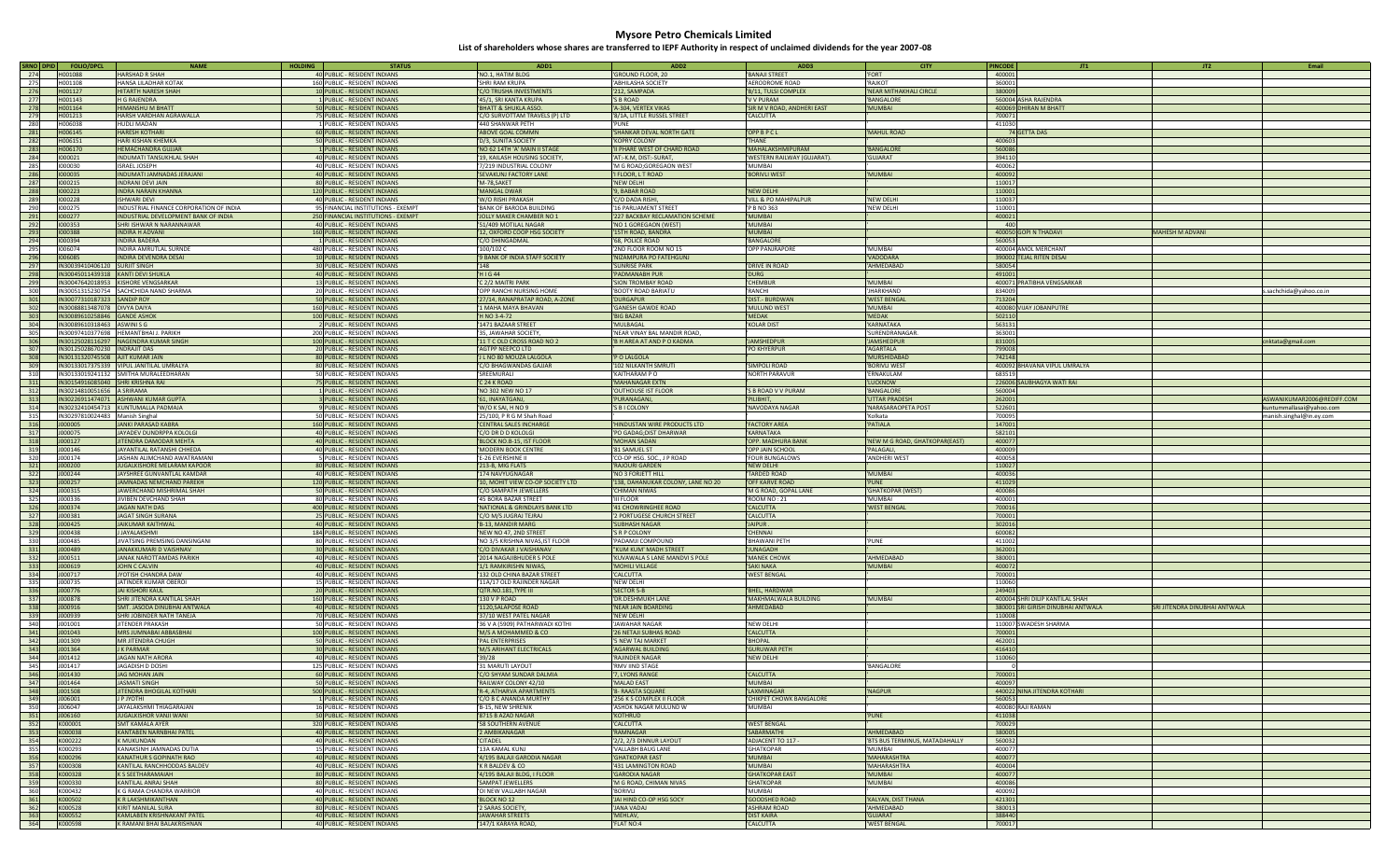| SRNO DPID | <b>FOLIO/DPCL</b>                  | <b>NAME</b><br><b>HOLDING</b>                           | <b>STATUS</b>                                                 | ADD1                             | ADD <sub>2</sub>                   | ADD3                        | <b>CITY</b>                    | <b>PINCODE</b><br>JT1              | JT2                           | Email                      |
|-----------|------------------------------------|---------------------------------------------------------|---------------------------------------------------------------|----------------------------------|------------------------------------|-----------------------------|--------------------------------|------------------------------------|-------------------------------|----------------------------|
| 274       | H001088                            | <b>HARSHAD R SHAH</b>                                   | 40 PUBLIC - RESIDENT INDIANS                                  | 'NO.1, HATIM BLDG                | 'GROUND FLOOR, 20                  | <b>BANAJI STREET</b>        | <b>FORT</b>                    | 400001                             |                               |                            |
| 275       | H001108                            | HANSA I II ADHAR KOTAK                                  | 160 PUBLIC - RESIDENT INDIANS                                 | <b>SHRI RAM KRUPA</b>            | 'ARHII ASHA SOCIETY                | 'AFRODROMF ROAD             | <b>RAIKOT</b>                  | 360001                             |                               |                            |
| 276       | H001127                            | <b>HITARTH NARESH SHAH</b>                              | 10 PUBLIC - RESIDENT INDIANS                                  | 'C/O TRUSHA INVESTMENTS          | '212, SAMPADA                      | 'B/11, TULSI COMPLEX        | NEAR MITHAKHALI CIRCLE         | 380009                             |                               |                            |
| 277       | H001143                            | <b>H G RAIFNDRA</b>                                     | 1 PUBLIC - RESIDENT INDIANS                                   | '45/1. SRI KANTA KRUPA           | 'S B ROAD                          | 'V V PURAM                  | <b>BANGALORE</b>               | 560004 ASHA RAJENDRA               |                               |                            |
| 278       | H001164                            | <b>HIMANSHU M BHATT</b>                                 | 50 PUBLIC - RESIDENT INDIANS                                  | <b>BHATT &amp; SHUKLA ASSO</b>   | 'A-304, VERTEX VIKAS               | 'SIR M V ROAD, ANDHERI EAST | 'MUMBAI                        | 400069 DHIRAN M BHATT              |                               |                            |
|           |                                    |                                                         |                                                               |                                  |                                    |                             |                                |                                    |                               |                            |
| 279       | H001213                            | HARSH VARDHAN AGRAWALLA                                 | 75 PUBLIC - RESIDENT INDIANS                                  | 'C/O SURVOTTAM TRAVELS (P) LTD   | '8/1A, LITTLE RUSSEL STREET        | 'CALCUTTA                   |                                | 700071                             |                               |                            |
| 280       | H006038                            | HUDI I MADAN                                            | 1 PUBLIC - RESIDENT INDIANS                                   | 440 SHANWAR PFTH                 | <b>PUNF</b>                        |                             |                                | 411030                             |                               |                            |
| 281       | H006145                            | <b>HARESH KOTHARI</b>                                   | 60 PUBLIC - RESIDENT INDIANS                                  | 'ABOVE GOAL COMMN                | 'SHANKAR DEVAL NORTH GATE          | 'OPP B P C L                | 'MAHUL ROAD                    | 74 GETTA DAS                       |                               |                            |
| 282       | H006151                            | <b>HARI KISHAN KHEMKA</b>                               | 50 PUBLIC - RESIDENT INDIANS                                  | 'D/3, SUNITA SOCIETY             | 'KOPRY COLONY                      | 'THANF                      |                                | 400603                             |                               |                            |
| 283       | H006170                            | <b>HEMACHANDRA GUJJAR</b>                               | 1 PUBLIC - RESIDENT INDIANS                                   | 'NO 62 14TH 'A' MAIN II STAGE    | 'II PHARE WEST OF CHARD ROAD       | 'MAHALAKSHMIPURAM           | 'BANGALORE                     | 560086                             |                               |                            |
| 284       | 1000021                            | <b>INDUMATI TANSUKHLAL SHAH</b>                         | 40 PUBLIC - RESIDENT INDIANS                                  | '19, KAILASH HOUSING SOCIETY     | 'AT:-K.M, DIST:-SURAT,             | 'WESTERN RAILWAY (GUJARAT). | <b>GUJARAT</b>                 | 394110                             |                               |                            |
| 285       | 1000030                            | ISRAEL IOSEPH                                           | 40 PUBLIC - RESIDENT INDIANS                                  | '7/219 INDUSTRIAL COLONY         | 'M G ROAD;GOREGAON WEST            | 'MUMBA                      |                                | 400062                             |                               |                            |
| 286       | 1000035                            | INDUMATI JAMNADAS JERAJANI                              | 40 PUBLIC - RESIDENT INDIANS                                  | 'SEVAKUNJ FACTORY LANE           | 'I FLOOR, LT ROAD                  | 'BORIVLI WEST               | 'MUMBAI                        | 400092                             |                               |                            |
| 287       | 1000215                            | INDRANI DEVI JAIN                                       | 80 PUBLIC - RESIDENT INDIANS                                  | 'M-78.SAKET                      | 'NEW DELHI                         |                             |                                | 110017                             |                               |                            |
| 288       | 1000223                            | <b>INDRA NARAIN KHANNA</b>                              | 120 PUBLIC - RESIDENT INDIANS                                 | MANGAL DWAR                      | '9, BABAR ROAD                     | 'NEW DELHI                  |                                | 110001                             |                               |                            |
| 289       | 1000228                            | <b>SHWARI DEVI</b>                                      | 40 PUBLIC - RESIDENT INDIANS                                  | 'W/O RISHI PRAKASH               | 'C/O DADA RISHI,                   | 'VILL & PO MAHIPALPUR       | 'NEW DELHI                     | 110037                             |                               |                            |
|           | 1000275                            | INDUSTRIAL FINANCE CORPORATION OF INDIA                 | 95 FINANCIAL INSTITUTIONS - EXEMPT                            | 'BANK OF BARODA BUILDING         | '16 PARLIAMENT STREET              | 'P B NO 363                 | 'NEW DELHI                     | 110001                             |                               |                            |
| 290       | 1000277                            | INDUSTRIAL DEVELOPMENT BANK OF INDIA                    | 250 FINANCIAL INSTITUTIONS - EXEMPT                           | 'JOLLY MAKER CHAMBER NO 1        | '227 BACKBAY RECLAMATION SCHEME    | 'MUMBAI                     |                                | 400021                             |                               |                            |
| 291       |                                    |                                                         |                                                               |                                  |                                    |                             |                                |                                    |                               |                            |
| 292       | 1000353                            | SHRI ISHWAR N NARANNAWAR                                | 40 PUBLIC - RESIDENT INDIANS                                  | 51/409 MOTILAL NAGAR             | 'NO 1 GOREGAON (WEST)              | 'MUMBAI                     |                                | 400                                |                               |                            |
| 293       | 1000388                            | <b>INDIRA H ADVANI</b>                                  | 160 PUBLIC - RESIDENT INDIANS                                 | '12, OXFORD COOP HSG SOCIETY     | '15TH ROAD, BANDRA                 | 'MUMBAI                     |                                | 400050 GOPI N THADAVI              | <b>MAHESH M ADVANI</b>        |                            |
| 294       | 1000394                            | <b>INDIRA BADERA</b>                                    | 1 PUBLIC - RESIDENT INDIANS                                   | 'C/O DHINGADMAL                  | '68, POLICE ROAD                   | <b>BANGALOR</b>             |                                | 560053                             |                               |                            |
| 295       | 1006074                            | INDIRA AMRUTLAL SURNDE                                  | 480 PUBLIC - RESIDENT INDIANS                                 | '100/102 C                       | '2ND FLOOR ROOM NO 15              | 'OPP PANJRAPORI             | 'MUMBAI                        | 400004 AMOL MERCHANT               |                               |                            |
| 296       | 1006085                            | INDIRA DEVENDRA DESAI                                   | 10 PUBLIC - RESIDENT INDIANS                                  | '9 BANK OF INDIA STAFF SOCIETY   | <b>NIZAMPURA PO FATEHGUNI</b>      |                             | <b>VADODARA</b>                | 390002 TEJAL RITEN DESAI           |                               |                            |
| 297       | IN30039410406120 SURJIT SINGH      |                                                         | 30 PUBLIC - RESIDENT INDIANS                                  | 148                              | <b>SUNRISE PARK</b>                | 'DRIVE IN ROAD              | 'AHMEDABAD                     | 580054                             |                               |                            |
| 298       | IN30045011439318 KANTI DEVI SHUKLA |                                                         | 40 PUBLIC - RESIDENT INDIANS                                  | 'H I G 44                        | 'PADMANABH PUR                     | 'DURG                       |                                | 491001                             |                               |                            |
| 299       |                                    | IN30047642018953 KISHORE VENGSARKAR                     | 13 PUBLIC - RESIDENT INDIANS                                  | C 2/2 MAITRI PARK                | 'SION TROMBAY ROAD                 | 'CHFMBUR                    | 'MUMBAI                        | 400071 PRATIBHA VENGSARKAR         |                               |                            |
| 300       |                                    | IN30051315230754 SACHCHIDA NAND SHARMA                  | 20 PUBLIC - RESIDENT INDIANS                                  | OPP RANCHI NURSING HOME          | 'BOOTY ROAD BARIATU                | 'RANCHI                     | <b>IHARKHAND</b>               | 834009                             |                               | sachchida@yahoo.co.in.     |
| 301       | IN30077310187323 SANDIP ROY        |                                                         | 50 PUBLIC - RESIDENT INDIANS                                  | '27/14, RANAPRATAP ROAD, A-ZONE  | 'DURGAPUR                          | 'DIST.- BURDWAN             | <b>'WEST BENGAL</b>            | 713204                             |                               |                            |
| 302       | IN30088813487078 DIVYA DAIYA       |                                                         | 160 PUBLIC - RESIDENT INDIANS                                 | 1 MAHA MAYA BHAVAN               | 'GANESH GAWDE ROAD                 | 'MULUND WEST                | 'MUMBAI                        | 400080 VIJAY JOBANPUTRE            |                               |                            |
|           |                                    |                                                         |                                                               |                                  |                                    | 'MEDAK                      |                                |                                    |                               |                            |
| 303       | IN30089610258846 GANDE ASHOK       |                                                         | 100 PUBLIC - RESIDENT INDIANS                                 | H NO 3-4-72                      | 'BIG BAZAR<br>'MUI BAGAI           |                             | 'MEDAK<br><b>KARNATAKA</b>     | 502110                             |                               |                            |
| 304       | IN30089610318463 ASWINISG          |                                                         | 2 PUBLIC - RESIDENT INDIANS                                   | 1471 BAZAAR STREET               |                                    | 'KOLAR DIST                 |                                | 563131                             |                               |                            |
| 305       |                                    | IN30097410377698 HEMANTBHAI J. PARIKH                   | 200 PUBLIC - RESIDENT INDIANS                                 | 35. JAWAHAR SOCIETY,             | 'NEAR VINAY BAL MANDIR ROAD,       |                             | SURENDRANAGAR                  | 363001                             |                               |                            |
| 306       |                                    | IN30125028116297 NAGENDRA KUMAR SINGH                   | 100 PUBLIC - RESIDENT INDIANS                                 | '11 T C OLD CROSS ROAD NO 2      | 'B H AREA AT AND P O KADMA         | 'JAMSHEDPUR                 | 'JAMSHEDPUR                    | 831005                             |                               | cnktata@gmail.com          |
| 307       | IN30125028670230 INDRAJIT DAS      |                                                         | 20 PUBLIC - RESIDENT INDIANS                                  | <b>AGTPP NEEPCO LTD</b>          |                                    | 'PO KHYFRPUR                | AGARTALA                       | 799008                             |                               |                            |
| 308       | IN30131320745508 AJIT KUMAR JAIN   |                                                         | 80 PUBLIC - RESIDENT INDIANS                                  | I L NO 80 MOUZA LALGOLA          | 'P O LALGOLA                       |                             | 'MURSHIDABAD                   | 742148                             |                               |                            |
| 309       |                                    | IN30133017375339 VIPUL JANITILAL UMRALYA                | 80 PUBLIC - RESIDENT INDIANS                                  | C/O BHAGWANDAS GAJJAR            | '102 NILKANTH SMRUTI               | 'SIMPOLI ROAD               | 'BORIVLI WEST                  | 400092 BHAVANA VIPUL UMRALYA       |                               |                            |
| 310       |                                    | IN30133019241132 SMITHA MURALEEDHARAN                   | 50 PUBLIC - RESIDENT INDIANS                                  | 'SRFFMURALL                      | 'KAITHARAM P O                     | 'NORTH PARAVUR              | <b>FRNAKULAM</b>               | 683519                             |                               |                            |
| 311       | IN30154916085040 SHRI KRISHNA RAI  |                                                         | 75 PUBLIC - RESIDENT INDIANS                                  | 'C 24 K ROAD                     | 'MAHANAGAR EXTN                    |                             | <b>LUCKNOW</b>                 | 226006 SAUBHAGYA WATI RAI          |                               |                            |
| 312       | IN30214810051656 A SRIRAMA         |                                                         | 1 PUBLIC - RESIDENT INDIANS                                   | 'NO 302 NEW NO 17                | <b>'OUTHOUSE IST FLOOR</b>         | 'S B ROAD V V PURAM         | <b>BANGALORE</b>               | 560004                             |                               |                            |
| 313       |                                    | IN30226911474071 ASHWANI KUMAR GUPTA                    | 3 PUBLIC - RESIDENT INDIANS                                   | '61, INAYATGANJ                  | 'PURANAGANJ,                       | 'PILIBHIT                   | <b>UTTAR PRADESH</b>           | 262001                             |                               | ASWANIKUMAR2006@REDIFF.COM |
| 314       |                                    | IN30232410454713 KUNTUMALLA PADMAJA                     | 9 PUBLIC - RESIDENT INDIANS                                   | 'W/O K SAI, H NO 9               | 'S B I COLONY                      | 'NAVODAYA NAGAR             | 'NARASARAOPETA POST            | 522601                             |                               | kuntummallasai@yahoo.com   |
| 315       | IN30297810024483 Manish Singhal    |                                                         | 50 PUBLIC - RESIDENT INDIANS                                  | '25/100, P R G M Shah Road       |                                    |                             | 'Kolkata                       | 700095                             |                               |                            |
|           |                                    |                                                         |                                                               |                                  |                                    |                             | 'PATIALA                       |                                    |                               | manish.singhal@in.ey.com   |
| 316       | J000005                            | JANKI PARASAD KABRA                                     | 160 PUBLIC - RESIDENT INDIANS                                 | 'CENTRAL SALES INCHARGE          | 'HINDUSTAN WIRE PRODUCTS LTD       | 'FACTORY AREA               |                                | 147001                             |                               |                            |
| 317       | 1000075                            | JAYADEV DUNDRPPA KOLOLGI                                | 40 PUBLIC - RESIDENT INDIANS                                  | 'C/O DR D D KOLOLGI              | 'PO GADAG; DIST DHARWAR            | 'KARNATAKA                  |                                | 582101                             |                               |                            |
| 318       | J000127                            | <b>IITENDRA DAMODAR MEHTA</b>                           | 40 PUBLIC - RESIDENT INDIANS                                  | BLOCK NO.B-15, IST FLOOR         | 'MOHAN SADAN                       | 'OPP. MADHURA BANK          | 'NEW M G ROAD, GHATKOPAR(EAST) | 400077                             |                               |                            |
| 319       | J000146                            | JAYANTILAL RATANSHI CHHEDA                              | 40 PUBLIC - RESIDENT INDIANS                                  | 'MODERN BOOK CENTRE              | '81 SAMUEL ST                      | 'OPP JAIN SCHOOL            | PALAGALI                       | 400009                             |                               |                            |
| 320       | 1000174                            | <b>IASHAN AI IMCHAND AWATRAMANI</b>                     | 5 PUBLIC - RESIDENT INDIANS                                   | 'E-26 EVERSHINE II               | CO-OP HSG. SOC., J P ROAD          | 'FOUR BUNGALOWS             | ANDHERI WEST                   | 400058                             |                               |                            |
| 321       | J000200                            | <b>JUGALKISHORE MELARAM KAPOOR</b>                      | 80 PUBLIC - RESIDENT INDIANS                                  | '213-B, MIG FLATS                | 'RAJOURI GARDEN                    | 'NEW DELHI                  |                                | 110027                             |                               |                            |
| 322       | 1000244                            | JAYSHREE GUNVANTLAL KAMDAR                              | 40 PUBLIC - RESIDENT INDIANS                                  | 174 NAVYUGNAGAR                  | 'NO 3 FORJETT HILI                 | <b>TARDED ROAD</b>          | 'MUMBAI                        | 400036                             |                               |                            |
| 323       | J000257                            | JAMNADAS NEMCHAND PAREKH                                | 120 PUBLIC - RESIDENT INDIANS                                 | 10, MOHIT VIEW CO-OP SOCIETY LTD | '138, DAHANUKAR COLONY, LANE NO 20 | 'OFF KARVE ROAD             | 'PUNF                          | 411029                             |                               |                            |
| 324       | J000315                            | JAWERCHAND MISHRIMAL SHAH                               | 50 PUBLIC - RESIDENT INDIANS                                  | 'C/O SAMPATH JEWELLERS           | 'CHIMAN NIWAS                      | 'M G ROAD, GOPAL LANE       | 'GHATKOPAR (WEST)              | 400086                             |                               |                            |
| 325       | 1000336                            | JIVIBEN DEVCHAND SHAH                                   | 80 PUBLIC - RESIDENT INDIANS                                  | 45 BORA BAZAR STREET             | <b>THELOOR</b>                     | 'ROOM NO: 21                | 'MUMBAI                        | 400001                             |                               |                            |
| 326       | 1000374                            | JAGAN NATH DAS                                          | 400 PUBLIC - RESIDENT INDIANS                                 | 'NATIONAL & GRINDLAYS BANK LTD   | '41 CHOWRINGHEE ROAD               | 'CALCUTTA                   | <b>WEST BENGAL</b>             | 700016                             |                               |                            |
| 327       | 1000381                            | <b>JAGAT SINGH SURANA</b>                               |                                                               | C/O M/S JUGRAJ TEJRAJ            | '2 PORTUGESE CHURCH STREET         | 'CALCUTTA                   |                                | 700001                             |                               |                            |
| 328       | J000425                            | <b>JAIKUMAR KAITHWAL</b>                                | 25 PUBLIC - RESIDENT INDIANS<br>40 PUBLIC - RESIDENT INDIANS  | 'B-13, MANDIR MARG               | 'SUBHASH NAGAR                     | 'JAIPUR.                    |                                | 302016                             |                               |                            |
|           | 1000438                            |                                                         |                                                               |                                  |                                    | 'CHFNNAI                    |                                |                                    |                               |                            |
| 329       |                                    | <b>I JAYAI AKSHMI</b>                                   | 184 PUBLIC - RESIDENT INDIANS                                 | 'NEW NO 47, 2ND STREET           | 'S R P COLONY                      |                             |                                | 600082                             |                               |                            |
| 330       | 1000485                            | JIVATSING PREMSING DANSINGANI                           | 80 PUBLIC - RESIDENT INDIANS                                  | 'NO 3/5 KRISHNA NIVAS, IST FLOOR | 'PADAMJI COMPOUND                  | 'BHAWANI PFTH               | 'PUNE                          | 411002                             |                               |                            |
| 331       | 1000489                            | JANAKKUMARI D VAISHNAV                                  | 30 PUBLIC - RESIDENT INDIANS                                  | 'C/O DIVAKAR J VAISHANAV         | "KUM KUM' MADH STREET              | <b>JUNAGADH</b>             |                                | 362001                             |                               |                            |
| 332       | J000511                            | JANAK NAROTTAMDAS PARIKH                                | 40 PUBLIC - RESIDENT INDIANS                                  | 2014 NAGAJIBHUDER S POLI         | 'KUVAWALA S LANE MANDVI S POLE     | 'MANEK CHOWK                | AHMEDABAD                      | 380001                             |                               |                            |
| 333       | J000619                            | JOHN C CALVIN                                           | 40 PUBLIC - RESIDENT INDIANS                                  | '1/1 RAMKIRISHN NIWAS,           | 'MOHILI VILLAGE                    | 'SAKI NAKA                  | 'MUMBAI                        | 400072                             |                               |                            |
| 334       | J000717                            | JYOTISH CHANDRA DAW                                     | 40 PUBLIC - RESIDENT INDIANS                                  | 132 OLD CHINA BAZAR STREET       | 'CALCUTTA                          | 'WEST BENGAL                |                                | 700001                             |                               |                            |
| 335       | 1000735                            | JATINDER KUMAR OBEROI                                   | 15 PUBLIC - RESIDENT INDIANS                                  | 11A/17 OLD RAJINDER NAGAR        | 'NEW DELHI                         |                             |                                | 110060                             |                               |                            |
| 336       | J000776                            | <b>JAI KISHORI KAUL</b>                                 | 20 PUBLIC - RESIDENT INDIANS                                  | 'QTR.NO.181, TYPE III            | SECTOR 5-B                         | 'BHEL, HARDWAR              |                                | 249403                             |                               |                            |
| 337       | 1000878                            | SHRI JITENDRA KANTILAL SHAH                             | 160 PUBLIC - RESIDENT INDIANS                                 | 130 V P ROAD                     | 'DR.DESHMUKH LANE                  | 'MAKHMALWALA BUILDING       | 'MUMBAI                        | 400004 SHRI DILIP KANTILAL SHAH    |                               |                            |
| 338       | J000916                            | SMT. JASODA DINUBHAI ANTWALA                            | 40 PUBLIC - RESIDENT INDIANS                                  | '1120, SALAPOSE ROAD             | 'NEAR JAIN BOARDING                | 'AHMEDABAD                  |                                | 380001 SRI GIRISH DINUBHAI ANTWALA | SRI JITENDRA DINUBHAI ANTWALA |                            |
| 339       | 1000939                            | SHRI JOBINDER NATH TANEJA                               | 70 PUBLIC - RESIDENT INDIANS                                  | 37/10 WEST PATEL NAGAR           | 'NEW DELHI                         |                             |                                | 110008                             |                               |                            |
| 340       | 1001001                            | <b>IITENDER PRAKASH</b>                                 | 50 PUBLIC - RESIDENT INDIANS                                  | 36 V A (5909) PATHARWADI KOTHI   | <b>JAWAHAR NAGAR</b>               | 'NEW DELHI                  |                                | 110007 SWADESH SHARMA              |                               |                            |
| 341       | J001043                            | <b>MRS JUMNABAI ABBASBHAI</b>                           | 100 PUBLIC - RESIDENT INDIANS                                 | 'M/S A MOHAMMED & CO             | '26 NETAJI SUBHAS ROAD             | 'CALCUTTA                   |                                | 700001                             |                               |                            |
| 342       | 1001309                            | <b>MR JITENDRA CHUGH</b>                                | 50 PUBLIC - RESIDENT INDIANS                                  | 'PAL ENTERPRISES                 | '5 NEW TAJ MARKET                  | 'BHOPAL                     |                                | 462001                             |                               |                            |
| 343       | J001364                            | <b>K PARMAR</b>                                         | 30 PUBLIC - RESIDENT INDIANS                                  | 'M/S ARIHANT ELECTRICALS         | 'AGARWAL BUILDING                  | 'GURUWAR PETH               |                                | 416410                             |                               |                            |
| 344       |                                    |                                                         |                                                               |                                  |                                    |                             |                                |                                    |                               |                            |
| 345       | J001412<br>1001417                 | <b>JAGAN NATH ARORA</b><br>JAGADISH D DOSHI             | 40 PUBLIC - RESIDENT INDIANS<br>125 PUBLIC - RESIDENT INDIANS | '39/28<br>31 MARUTI LAYOUT       | 'RAJINDER NAGAR<br>'RMV IIND STAGE | 'NEW DELHI                  | <b>BANGALORE</b>               | 110060                             |                               |                            |
|           |                                    |                                                         |                                                               |                                  |                                    |                             |                                |                                    |                               |                            |
| 346       | J001430                            | <b>JAG MOHAN JAIN</b>                                   | 60 PUBLIC - RESIDENT INDIANS                                  | 'C/O SHYAM SUNDAR DALMIA         | '7, LYONS RANGE                    | 'CALCUTTA                   |                                | 700001                             |                               |                            |
| 347       | 1001464                            | <b>JASMATI SINGH</b>                                    | 50 PUBLIC - RESIDENT INDIANS                                  | RAILWAY COLONY 42/10             | 'MALAD EAST                        | 'MUMBAI                     |                                | 400097                             |                               |                            |
| 348       | J001508                            | <b>IITENDRA BHOGILAL KOTHARI</b>                        | 500 PUBLIC - RESIDENT INDIANS                                 | R-4, ATHARVA APARTMENTS          | '8- RAASTA SQUARE                  | I AXMINAGAR                 | 'NAGPUR                        | 440022 NINA JITENDRA KOTHARI       |                               |                            |
| 349       | J006001                            | <b>IP IYOTHI</b>                                        | 1 PUBLIC - RESIDENT INDIANS                                   | 'C/O B C ANANDA MURTHY           | '256 K S COMPLEX II FLOOR          | 'CHIKPET CHOWK BANGALORE    |                                | 560053                             |                               |                            |
| 350       | 1006047                            | JAYALAKSHMI THIAGARAJAN                                 | 16 PUBLIC - RESIDENT INDIANS                                  | 'B-15. NEW SHRENIK               | ASHOK NAGAR MULUND W               | 'MUMBAI                     |                                | 400080 RAJI RAMAN                  |                               |                            |
| 351       | J006160                            | JUGALKISHOR VANJI WANI                                  | 50 PUBLIC - RESIDENT INDIANS                                  | '8715 B AZAD NAGAR               | <b>KOTHRUD</b>                     |                             | 'PUNE                          | 411038                             |                               |                            |
| 352       | K000001                            | <b>SMT KAMALA AYER</b>                                  | 320 PUBLIC - RESIDENT INDIANS                                 | 58 SOUTHERN AVENUE               | 'CALCUTTA                          | 'WEST BENGAL                |                                | 700029                             |                               |                            |
| 353       | K000038                            | KANTABEN NARNBHAI PATEL                                 | 40 PUBLIC - RESIDENT INDIANS                                  | 2 AMBIKANAGAR                    | 'RAMNAGAR                          | 'SABARMATHI                 | 'AHMEDABAD                     | 380005                             |                               |                            |
| 354       | K000222                            | <b>K MUKUNDAN</b>                                       | 40 PUBLIC - RESIDENT INDIANS                                  | <b>CITADEL</b>                   | '2/2, 2/3 DINNUR LAYOUT            | 'ADJACENT TO 117            | 'BTS BUS TERMINUS, MATADAHALLY | 560032                             |                               |                            |
| 355       | K000293                            | KANAKSINH IAMNADAS DI ITIA                              | 15 PUBLIC - RESIDENT INDIANS                                  | 13A KAMAL KUNJ                   | VALLABH BAUG LANE                  | 'GHATKOPAR                  | 'MUMBAI                        | 400077                             |                               |                            |
| 356       | K000296                            | <b>KANATHUR S GOPINATH RAO</b>                          | 40 PUBLIC - RESIDENT INDIANS                                  | '4/195 BALAJI GARODIA NAGAR      | <b>'GHATKOPAR EAST</b>             | 'MUMBAI                     | 'MAHARASHTRA                   | 400077                             |                               |                            |
|           |                                    |                                                         |                                                               |                                  |                                    | 'MUMBAI                     | 'MAHARASHTRA                   | 400004                             |                               |                            |
| 357       | K000308                            | KANTILAL RANCHHODDAS BALDEV<br><b>K S SEFTHARAMAIAH</b> | 40 PUBLIC - RESIDENT INDIANS                                  | 'K R BALDEV & CO                 | '431 LAMINGTON ROAD                |                             |                                |                                    |                               |                            |
| 358       | K000328                            |                                                         | 80 PUBLIC - RESIDENT INDIANS                                  | '4/195 BALAJI BLDG, I FLOOR      | <b>'GARODIA NAGAR</b>              | <b>'GHATKOPAR EAST</b>      | 'MUMBAI                        | 400077                             |                               |                            |
| 359       | K000330                            | <b>KANTILAL ANRAJ SHAH</b>                              | 80 PUBLIC - RESIDENT INDIANS                                  | SAMPAT JEWELLERS                 | 'M G ROAD, CHIMAN NIVAS            | 'GHATKOPAR                  | 'MUMBAI                        | 400086                             |                               |                            |
| 360       | K000432                            | K G RAMA CHANDRA WARRIOR                                | 40 PUBLIC - RESIDENT INDIANS                                  | 'OI NEW VALLABH NAGAR            | <b>BORIVIL</b>                     | 'MUMBAI                     |                                | 400092                             |                               |                            |
| 361       | K000502                            | <b>K R LAKSHMIKANTHAN</b>                               | 40 PUBLIC - RESIDENT INDIANS                                  | BLOCK NO 12                      | JAI HIND CO-OP HSG SOCY            | 'GOODSHED ROAD              | 'KALYAN, DIST THANA            | 421301                             |                               |                            |
| 362       | K000528                            | <b>KIRIT MANILAL SURA</b>                               | 80 PUBLIC - RESIDENT INDIANS                                  | 2 SARAS SOCIETY,                 | <b>JANA VADAJ</b>                  | 'ASHRAM ROAD                | 'AHMEDABAD                     | 380013                             |                               |                            |
| 363       | K000552                            | KAMLABEN KRISHNAKANT PATEL                              | 40 PUBLIC - RESIDENT INDIANS                                  | JAWAHAR STREETS                  | 'MEHLAV,                           | 'DIST KAIRA                 | 'GUJARAT                       | 388440                             |                               |                            |
| 364       | K000598                            | K RAMANI BHAI BAI AKRISHNAN                             | 40 PUBLIC - RESIDENT INDIANS                                  | '147/1 KARAYA ROAD               | 'FLAT NO:4                         | CALCUTTA                    | <b>'WEST BENGAL</b>            | 70001                              |                               |                            |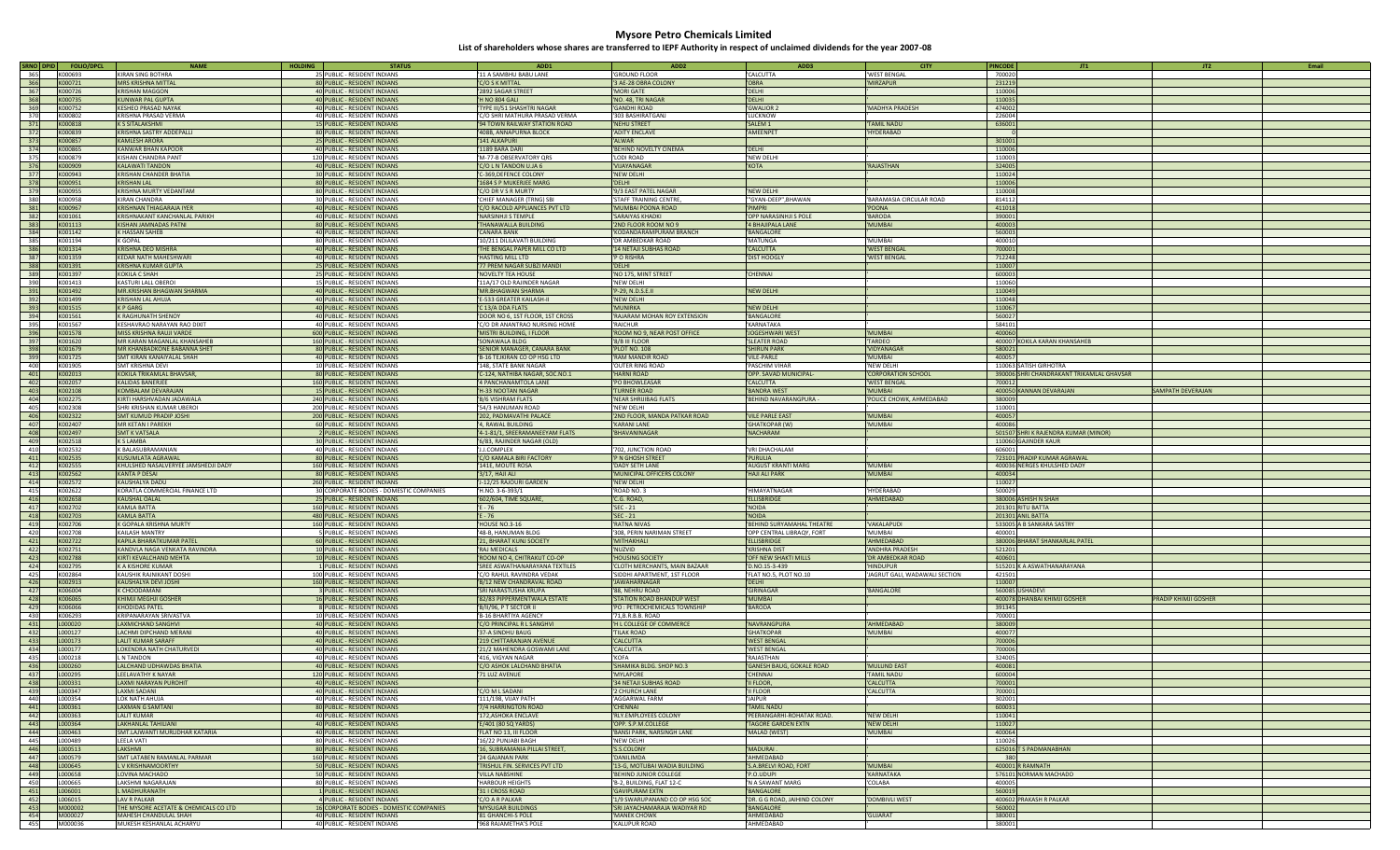| SRNO DPID  | <b>FOLIO/DPCL</b>  | <b>NAME</b>                                       | <b>HOLDING</b> | <b>STATUS</b>                                                | ADD <sub>1</sub>                           | ADD <sub>2</sub>               | ADD3                         | <b>CITY</b>                   | <b>PINCODE</b><br>JT1                     | JT <sub>2</sub><br>Email |
|------------|--------------------|---------------------------------------------------|----------------|--------------------------------------------------------------|--------------------------------------------|--------------------------------|------------------------------|-------------------------------|-------------------------------------------|--------------------------|
| 365        | K000693            | <b>KIRAN SING BOTHRA</b>                          |                | 25 PUBLIC - RESIDENT INDIANS                                 | 11 A SAMBHU BABU LANE                      | 'GROUND FLOOR                  | CALCUTTA                     | 'WEST BENGAL                  | 700020                                    |                          |
| 366        | K000721            | <b>MRS KRISHNA MITTAL</b>                         |                | 80 PUBLIC - RESIDENT INDIANS                                 | C/O S K MITTAL                             | '3 AE-28 OBRA COLONY           | OBRA                         | 'MIRZAPUR                     | 231219                                    |                          |
| 367        | K000726            | <b>KRISHAN MAGGON</b>                             |                | 40 PUBLIC - RESIDENT INDIANS                                 | 2892 SAGAR STREET                          | 'MORI GATE                     | DELHI                        |                               | 110006                                    |                          |
| 368        | K000735            | <b>KUNWAR PAL GUPTA</b>                           |                |                                                              | H NO 804 GALI                              | 'NO. 48, TRI NAGAR             | DELHI                        |                               | 110035                                    |                          |
|            |                    |                                                   |                | 40 PUBLIC - RESIDENT INDIANS                                 |                                            |                                |                              |                               |                                           |                          |
| 369        | K000752            | KESHEO PRASAD NAYAK                               |                | 40 PUBLIC - RESIDENT INDIANS                                 | TYPE III/51 SHASHTRI NAGAR                 | 'GANDHI ROAD                   | <b>GWALIOR 2</b>             | MADHYA PRADESH                | 474002                                    |                          |
| 370        | K000802            | KRISHNA PRASAD VERMA                              |                | 40 PUBLIC - RESIDENT INDIANS                                 | C/O SHRI MATHURA PRASAD VERMA              | '303 BASHIRATGANJ              | LUCKNOW                      |                               | 226004                                    |                          |
| 371        | K000818            | <b>K S SITALAKSHMI</b>                            |                | <b>15 PUBLIC - RESIDENT INDIANS</b>                          | '94 TOWN RAILWAY STATION ROAD              | 'NEHU STREET                   | SALEM <sub>1</sub>           | TAMIL NADU                    | 636001                                    |                          |
| 372        | K000839            | KRISHNA SASTRY ADDEPALLI                          |                | 80 PUBLIC - RESIDENT INDIANS                                 | 408B, ANNAPURNA BLOCK                      | 'ADITY ENCLAVE                 | AMEENPET                     | 'HYDERABAD                    |                                           |                          |
| 373        | K000857            | <b>KAMLESH ARORA</b>                              |                | 25 PUBLIC - RESIDENT INDIANS                                 | 141 ALKAPURI                               | 'ALWAR                         |                              |                               | 301001                                    |                          |
| 374        | K000865            | KANWAR BHAN KAPOOR                                |                | 40 PUBLIC - RESIDENT INDIANS                                 | 1189 BARA DARI                             | 'BEHIND NOVELTY CINEMA         | DELHI                        |                               | 110006                                    |                          |
|            | K000879            |                                                   |                |                                                              |                                            |                                |                              |                               |                                           |                          |
| 375        |                    | KISHAN CHANDRA PANT                               |                | 120 PUBLIC - RESIDENT INDIANS                                | 'M-77-B OBSERVATORY QRS                    | 'LODI ROAD                     | <b>NEW DELHI</b>             |                               | 110003                                    |                          |
| 376        | K000909            | <b>KALAWATI TANDON</b>                            |                | 40 PUBLIC - RESIDENT INDIANS                                 | C/O L N TANDON U.JA 6                      | 'VIJAYANAGAR                   | KOTA                         | <b>RAJASTHAN</b>              | 324005                                    |                          |
| 377        | K000943            | KRISHAN CHANDER BHATIA                            |                | 30 PUBLIC - RESIDENT INDIANS                                 | -369, DEFENCE COLONY                       | 'NEW DELHI                     |                              |                               | 110024                                    |                          |
| 378        | K000951            | <b>KRISHAN LAL</b>                                |                | 80 PUBLIC - RESIDENT INDIANS                                 | 1684 S P MUKERJEE MARG                     | 'DELHI                         |                              |                               | 110006                                    |                          |
| 379        | K000955            | KRISHNA MURTY VEDANTAM                            |                | 80 PUBLIC - RESIDENT INDIANS                                 | C/O DR V S R MURTY                         | '9/3 EAST PATEL NAGAR          | <b>NEW DELHI</b>             |                               | 110008                                    |                          |
| 380        | K000958            | <b>KIRAN CHANDRA</b>                              |                | 30 PUBLIC - RESIDENT INDIANS                                 | CHIEF MANAGER (TRNG) SBI                   | 'STAFF TRAINING CENTRE         | "GYAN-DEEP",BHAWAN           | BARAMASIA CIRCULAR ROAD       | 814112                                    |                          |
|            |                    | <b>KRISHNAN THIAGARAJA IYER</b>                   |                |                                                              |                                            |                                |                              |                               |                                           |                          |
| 381        | K000967            |                                                   |                | 40 PUBLIC - RESIDENT INDIANS                                 | C/O RACOLD APPLIANCES PVT LTD              | 'MUMBAI POONA ROAD             | <b>PIMPRI</b>                | <b>POONA</b>                  | 411018                                    |                          |
| 382        | K001061            | KRISHNAKANT KANCHANLAL PARIKH                     |                | 40 PUBLIC - RESIDENT INDIANS                                 | <b>NARSINHJI S TEMPLE</b>                  | 'SARAIYAS KHADKI               | OPP NARASINHJI S POLE        | <b>BARODA</b>                 | 390001                                    |                          |
| 383        | K001113            | KISHAN JAMNADAS PATNI                             |                | 80 PUBLIC - RESIDENT INDIANS                                 | THANAWALLA BUILDING                        | '2ND FLOOR ROOM NO 9           | <b>4 BHAJIPALA LANE</b>      | 'MUMBAI                       | 400003                                    |                          |
| 384        | K001142            | K HASSAN SAHEB                                    |                | 40 PUBLIC - RESIDENT INDIANS                                 | CANARA BANK                                | 'KODANDARAMPURAM BRANCH        | <b>BANGALORE</b>             |                               | 560003                                    |                          |
| 385        | K001194            | K GOPAL                                           |                | 80 PUBLIC - RESIDENT INDIANS                                 | 10/211 DILILAVATI BUILDING                 | 'DR AMBEDKAR ROAD              | MATUNGA                      | 'MUMBAI                       | 400010                                    |                          |
| 386        | K001314            | <b>KRISHNA DEO MISHRA</b>                         |                | 40 PUBLIC - RESIDENT INDIANS                                 | THE BENGAL PAPER MILL CO LTD               | '14 NETAJI SUBHAS ROAD         | <b>CALCUTTA</b>              | <b>'WEST BENGAL</b>           | 700001                                    |                          |
|            |                    |                                                   |                |                                                              |                                            |                                |                              |                               |                                           |                          |
| 387        | K001359            | <b>KEDAR NATH MAHESHWAR</b>                       |                | 40 PUBLIC - RESIDENT INDIANS                                 | HASTING MILL LTD                           | 'P O RISHRA                    | <b>DIST HOOGLY</b>           | 'WEST BENGAL                  | 712248                                    |                          |
| 388        | K001391            | <b>KRISHNA KUMAR GUPTA</b>                        |                | 25 PUBLIC - RESIDENT INDIANS                                 | 77 PREM NAGAR SUBZI MANDI                  | 'DELHI                         |                              |                               | 110007                                    |                          |
| 389        | K001397            | KOKILA C SHAH                                     |                | 25 PUBLIC - RESIDENT INDIANS                                 | 'NOVELTY TEA HOUSE                         | 'NO 175, MINT STREET           | CHENNAI                      |                               | 600003                                    |                          |
| 390        | K001413            | KASTURI LALL OBEROI                               |                | 15 PUBLIC - RESIDENT INDIANS                                 | 11A/17 OLD RAJINDER NAGAR                  | 'NEW DELHI                     |                              |                               | 110060                                    |                          |
| 391        | K001492            | MR.KRISHAN BHAGWAN SHARMA                         |                | 40 PUBLIC - RESIDENT INDIANS                                 | <b>MR.BHAGWAN SHARMA</b>                   | 'P-29, N.D.S.E.II              | NEW DELHI                    |                               | 110049                                    |                          |
| 392        | K001499            | <b>KRISHAN LAL AHUJA</b>                          |                | 40 PUBLIC - RESIDENT INDIANS                                 | E-533 GREATER KAILASH-II                   | 'NEW DELH                      |                              |                               | 110048                                    |                          |
| 393        | K001515            | K P GARG                                          |                |                                                              |                                            | <b>'MUNIRKA</b>                |                              |                               | 110067                                    |                          |
|            |                    |                                                   |                | 40 PUBLIC - RESIDENT INDIANS                                 | C 13/A DDA FLATS                           |                                | NEW DELHI                    |                               |                                           |                          |
| 394        | K001561            | K RAGHUNATH SHENOY                                |                | 40 PUBLIC - RESIDENT INDIANS                                 | DOOR NO 6, 1ST FLOOR, 1ST CROSS            | 'RAJARAM MOHAN ROY EXTENSION   | <b>BANGALORE</b>             |                               | 560027                                    |                          |
| 395        | K001567            | KESHAVRAO NARAYAN RAO DIXIT                       |                | 40 PUBLIC - RESIDENT INDIANS                                 | C/O DR ANANTRAO NURSING HOME               | 'RAICHUR                       | KARNATAKA                    |                               | 584101                                    |                          |
| 396        | K001578            | MISS KRISHNA RAUII VARDE                          |                | 600 PUBLIC - RESIDENT INDIANS                                | 'MISTRI BUILDING, I FLOOR                  | 'ROOM NO 9, NEAR POST OFFICE   | JOGESHWARI WEST              | <b>MUMBAI</b>                 | 400060                                    |                          |
| 397        | K001620            | MR KARAN MAGANLAL KHANSAHEB                       |                | 160 PUBLIC - RESIDENT INDIANS                                | SONAWALA BLDG                              | '8/B III FLOOR                 | <b>SLEATER ROAD</b>          | TARDEO                        | 400007 KOKILA KARAN KHANSAHEB             |                          |
| 398        | K001679            | MR KHANBADKONE BABANNA SHET                       |                | 80 PUBLIC - RESIDENT INDIANS                                 | SENIOR MANAGER, CANARA BANK                | 'PLOT NO. 108                  | <b>SHIRUN PARK</b>           | VIDYANAGAR                    | 580021                                    |                          |
| 399        | K001725            | SMT KIRAN KANAIYAI AI SHAH                        |                | 40 PUBLIC - RESIDENT INDIANS                                 | B-16 TEJKIRAN CO OP HSG LTD                | 'RAM MANDIR ROAD               | VILE-PARLE                   | MUMBAI                        | 400057                                    |                          |
|            |                    |                                                   |                |                                                              |                                            |                                |                              |                               |                                           |                          |
| 400        | K001905            | SMT KRISHNA DEVI                                  |                | 10 PUBLIC - RESIDENT INDIANS                                 | 148, STATE BANK NAGAR                      | 'OUTER RING ROAD               | PASCHIM VIHAR                | 'NEW DELHI                    | 110063 SATISH GIRHOTRA                    |                          |
| 401        | K002013            | KOKILA TRIKAMLAL BHAVSAR,                         |                | 80 PUBLIC - RESIDENT INDIANS                                 | C-124, NATHIBA NAGAR, SOC.NO.1             | 'HARNI ROAD                    | OPP. SAVAD MUNICIPAL-        | <b>CORPORATION SCHOOL</b>     | 390006 SHRI CHANDRAKANT TRIKAMLAL GHAVSAR |                          |
| 402        | K002057            | KALIDAS BANERJEE                                  |                | 160 PUBLIC - RESIDENT INDIANS                                | 4 PANCHANAMTOLA LANE                       | 'PO BHOWLEASAR                 | CALCUTTA                     | 'WEST BENGAL                  | 700012                                    |                          |
| 403        | K002108            | KOMBALAM DEVARAJAN                                |                | <b>15 PUBLIC - RESIDENT INDIANS</b>                          | H-33 NOOTAN NAGAR                          | <b>'TURNER ROAD</b>            | <b>BANDRA WEST</b>           | 'MUMBAI                       | 400050 KANNAN DEVARAJAN                   | <b>SAMPATH DEVERAJAN</b> |
| 404        | K002275            | KIRTI HARSHVADAN JADAWALA                         |                | 240 PUBLIC - RESIDENT INDIANS                                | <b>B/6 VISHRAM FLATS</b>                   | 'NEAR SHRIJIBAG FLATS          | BEHIND NAVARANGPURA          | 'POLICE CHOWK, AHMEDABAD      | 380009                                    |                          |
| 405        | K002308            | SHRI KRISHAN KUMAR URFROI                         |                | 200 PUBLIC - RESIDENT INDIANS                                | '54/3 HANUMAN ROAD                         | 'NEW DELHI                     |                              |                               | 110001                                    |                          |
|            |                    |                                                   |                |                                                              |                                            |                                |                              |                               | 400057                                    |                          |
| 406        | K002322            | SMT KUMUD PRADIP JOSHI                            |                | 200 PUBLIC - RESIDENT INDIANS                                | 202, PADMAVATHI PALACE                     | '2ND FLOOR, MANDA PATKAR ROAD  | <b>VILE PARLE EAST</b>       | 'MUMBAI                       |                                           |                          |
| 407        | K002407            | MR KETAN I PAREKH                                 |                | 60 PUBLIC - RESIDENT INDIANS                                 | <b>4. RAWAL BUILDING</b>                   | 'KARANI LANE                   | <b>GHATKOPAR (W)</b>         | <b>MUMBAI</b>                 | 400086                                    |                          |
| 408        | K002497            | <b>SMT K VATSALA</b>                              |                | 2 PUBLIC - RESIDENT INDIANS                                  | '4-1-81/1, SREERAMANEEYAM FLATS            | 'BHAVANINAGAR                  | NACHARAM                     |                               | 501507 SHRI K RAJENDRA KUMAR (MINOR)      |                          |
| 409        | K002518            | K S LAMBA                                         |                | 30 PUBLIC - RESIDENT INDIANS                                 | 6/83, RAJINDER NAGAR (OLD)                 |                                |                              |                               | 110060 GAJINDER KAUR                      |                          |
|            |                    |                                                   |                |                                                              |                                            |                                |                              |                               |                                           |                          |
| 410        | K002532            | K BALASUBRAMANIAN                                 |                | 40 PUBLIC - RESIDENT INDIANS                                 | <b>J.COMPLEX</b>                           | '702, JUNCTION ROAD            | VRI DHACHALAM                |                               | 606001                                    |                          |
|            |                    |                                                   |                |                                                              |                                            |                                |                              |                               |                                           |                          |
| 411        | K002535            | <b>KUSUMLATA AGRAWAI</b>                          |                | 80 PUBLIC - RESIDENT INDIANS                                 | C/O KAMALA BIRI FACTORY                    | 'P N GHOSH STREET              | <b>PURULIA</b>               |                               | 723101 PRADIP KUMAR AGRAWAL               |                          |
| 412        | K002555            | KHULSHED NASALVERYEE JAMSHEDJI DADY               |                | 160 PUBLIC - RESIDENT INDIANS                                | 141E, MOUTE ROSA                           | 'DADY SETH LANE                | <b>AUGUST KRANTI MARG</b>    | <b>MUMBAI</b>                 | 400036 NERGES KHULSHED DADY               |                          |
| 413        | K002562            | <b>KANTA P DESAI</b>                              |                | 80 PUBLIC - RESIDENT INDIANS                                 | 3/17, HAJI ALI                             | 'MUNICIPAL OFFICERS COLONY     | <b>HAJI ALI PARK</b>         | 'MUMBAI                       | 400034                                    |                          |
| 414        | K002572            | KAUSHALYA DADU                                    |                | 260 PUBLIC - RESIDENT INDIANS                                | -12/25 RAJOURI GARDEN                      | 'NEW DELHI                     |                              |                               | 110027                                    |                          |
| 415        | K002622            | KORATLA COMMERCIAL FINANCE LTD                    |                | 30 CORPORATE BODIES - DOMESTIC COMPANIES                     | 'H.NO. 3-6-393/1                           | 'ROAD NO. 3                    | <b>HIMAYATNAGAR</b>          | <b>HYDERABAD</b>              | 500029                                    |                          |
| 416        | K002658            | <b>KAUSHAL OALAL</b>                              |                | 25 PUBLIC - RESIDENT INDIANS                                 | '602/604, TIME SQUARE                      | 'C.G. ROAD,                    | <b>ELLISBRIDGE</b>           | 'AHMEDABAD                    | 380006 ASHISH N SHAH                      |                          |
| 417        | K002702            | KAMLA BATTA                                       |                | 160 PUBLIC - RESIDENT INDIANS                                | E - 76                                     | 'SEC - 21                      | <b>NOIDA</b>                 |                               | 201301 RITU BATTA                         |                          |
|            |                    |                                                   |                |                                                              | $E - 76$                                   |                                |                              |                               |                                           |                          |
| 418        | K002703            | KAMLA BATTA                                       |                | 480 PUBLIC - RESIDENT INDIANS                                |                                            | 'SEC - 21                      | <b>NOIDA</b>                 |                               | 201301 ANIL BATTA                         |                          |
| 419        | K002706            | K GOPALA KRISHNA MURTY                            |                | 160 PUBLIC - RESIDENT INDIANS                                | 'HOUSE NO.3-16                             | 'RATNA NIVAS                   | BEHIND SURYAMAHAL THEATRE    | VAKALAPUDI                    | 533005 A B SANKARA SASTRY                 |                          |
| 420        | K002708            | KAILASH MANTRY                                    |                | 5 PUBLIC - RESIDENT INDIANS                                  | '48-B, HANUMAN BLDG                        | '308, PERIN NARIMAN STREET     | OPP CENTRAL LIBRAQY, FORT    | <b>MUMBAI</b>                 | 400001                                    |                          |
| 421        | K002722            | KAPILA BHARATKUMAR PATEL                          |                | 60 PUBLIC - RESIDENT INDIANS                                 | 21, BHARAT KUNJ SOCIETY                    | 'MITHAKHALI                    | <b>ELLISBRIDGE</b>           | 'AHMEDABAD                    | 380006 BHARAT SHANKARLAL PATEL            |                          |
| 422        | K002751            | KANDVLA NAGA VENKATA RAVINDRA                     |                | 10 PUBLIC - RESIDENT INDIANS                                 | <b>RAJ MEDICALS</b>                        | 'NUZVID                        | <b>KRISHNA DIST</b>          | <b>ANDHRA PRADESH</b>         | 521201                                    |                          |
| 423        | K002788            | KIRTI KEVALCHAND MEHTA                            |                | 10 PUBLIC - RESIDENT INDIANS                                 | ROOM NO 4, CHITRAKUT CO-OP                 | 'HOUSING SOCIETY               | OFF NEW SHAKTI MILLS         | 'DR AMBEDKAR ROAD             | 400601                                    |                          |
| 424        | K002795            | K A KISHORE KUMAR                                 |                | 1 PUBLIC - RESIDENT INDIANS                                  | SREE ASWATHANARAYANA TEXTILES              | 'CLOTH MERCHANTS, MAIN BAZAAR  | D.NO.15-3-439                | <b>HINDUPUR</b>               | 515201 K A ASWATHANARAYANA                |                          |
| 425        | K002864            | KAUSHIK RAJNIKANT DOSHI                           |                | 100 PUBLIC - RESIDENT INDIANS                                | C/O RAHUL RAVINDRA VEDAK                   | 'SIDDHI APARTMENT, 1ST FLOOR   | FLAT NO.5, PLOT NO.10        | JAGRUT GALI, WADAWALI SECTION | 421501                                    |                          |
| 426        | K002913            | KAUSHALYA DEVI JOSHI                              |                |                                                              |                                            | 'JAWAHARNAGAR                  | <b>DELHI</b>                 |                               | 110007                                    |                          |
|            |                    |                                                   |                | 160 PUBLIC - RESIDENT INDIANS                                | 'B/12 NEW CHANDRAVAL ROAD                  |                                |                              |                               |                                           |                          |
| 427        | K006004            | K CHOODAMANI                                      |                | 3 PUBLIC - RESIDENT INDIANS                                  | SRI NARASTUSHA KRUPA                       | '88. NEHRU ROAD                | GIRINAGAR                    | BANGALORE                     | 560085 USHADEVI                           |                          |
| 428        | K006065            | KHIMJI MEGHJI GOSHER                              |                | 16 PUBLIC - RESIDENT INDIANS                                 | '82/83 PIPPERMENTWALA ESTATE               | 'STATION ROAD BHANDUP WEST     | <b>MUMBAI</b>                |                               | 400078 DHANBAI KHIMJI GOSHER              | PRADIP KHIMJI GOSHER     |
| 429        | K006066            | <b>KHODIDAS PATEL</b>                             |                | 8 PUBLIC - RESIDENT INDIANS                                  | 'B/II/96, P T SECTOR II                    | 'PO : PETROCHEMICALS TOWNSHIP  | <b>BARODA</b>                |                               | 391345                                    |                          |
| 430        | K006293            | KRIPANARAYAN SRIVASTVA                            |                | 10 PUBLIC - RESIDENT INDIANS                                 | 'B-16 BHARTIYA AGENCY                      | '71.B.R.B.B. ROAD              |                              |                               | 700001                                    |                          |
| 431        | L000020            | LAXMICHAND SANGHVI                                |                | 40 PUBLIC - RESIDENT INDIANS                                 | C/O PRINCIPAL R L SANGHVI                  | 'H L COLLEGE OF COMMERCE       | NAVRANGPURA                  | <b>AHMEDABAD</b>              | 380009                                    |                          |
| 432        | L000127            | LACHMI DIPCHAND MERANI                            |                | 40 PUBLIC - RESIDENT INDIANS                                 | 37-A SINDHU BAUG                           | <b>TILAK ROAD</b>              | <b>GHATKOPAR</b>             | <b>MUMBAI</b>                 | 400077                                    |                          |
| 433        | L000173            | LALIT KUMAR SARAFF                                |                | 40 PUBLIC - RESIDENT INDIANS                                 | 219 CHITTARANJAN AVENUE                    | 'CALCUTTA                      | <b>WEST BENGAL</b>           |                               | 700006                                    |                          |
| 434        | L000177            |                                                   |                |                                                              |                                            | 'CALCUTTA                      | <b>WEST BENGAL</b>           |                               | 700006                                    |                          |
|            |                    | LOKENDRA NATH CHATURVEDI                          |                | 40 PUBLIC - RESIDENT INDIANS                                 | 21/2 MAHENDRA GOSWAMI LANE                 |                                |                              |                               |                                           |                          |
| 435        | L000218            | N TANDON                                          |                | 40 PUBLIC - RESIDENT INDIANS                                 | '416, VIGYAN NAGAR                         | 'KOFA                          | RAJASTHAN                    |                               | 324005                                    |                          |
| 436        | L000260            | LALCHAND UDHAWDAS BHATIA                          |                | 40 PUBLIC - RESIDENT INDIANS                                 | C/O ASHOK LALCHAND BHATIA                  | 'SHAMIKA BLDG. SHOP NO.3       | GANESH BAUG, GOKALE ROAD     | 'MULUND EAST                  | 400081                                    |                          |
| 437        | L000295            | LEELAVATHY K NAYAR                                |                | 120 PUBLIC - RESIDENT INDIANS                                | 71 LUZ AVENUE                              | 'MYLAPORE                      | <b>HENNAI</b>                | TAMIL NADU                    | 600004                                    |                          |
| 438        | L000331            | <b>LAXMI NARAYAN PUROHIT</b>                      |                | 40 PUBLIC - RESIDENT INDIANS                                 |                                            | '34 NETAJI SUBHAS ROAD         | II FLOOR,                    | 'CALCUTTA                     | 700001                                    |                          |
| 439        | L000347            | LAXMI SADANI                                      |                | 40 PUBLIC - RESIDENT INDIANS                                 | C/O M L SADANI                             | '2 CHURCH LANE                 | <b>II FLOOR</b>              | 'CALCUTTA                     | 700001                                    |                          |
| 440        | L000354            | LOK NATH AHUJA                                    |                | 40 PUBLIC - RESIDENT INDIANS                                 | 111/198, VIJAY PATH                        | 'AGGARWAL FARM                 | <b>JAIPUR</b>                |                               | 302001                                    |                          |
| 441        | L000361            | <b>LAXMAN G SAMTANI</b>                           |                | 80 PUBLIC - RESIDENT INDIANS                                 | 7/4 HARRINGTON ROAD                        | 'CHENNAI                       | <b>TAMIL NADU</b>            |                               | 600031                                    |                          |
| 442        | L000363            | <b>LALIT KUMAR</b>                                |                | 40 PUBLIC - RESIDENT INDIANS                                 | 172,ASHOKA ENCLAVE                         | 'RLY.EMPLOYEES COLONY          | PEERANGARHI-ROHATAK ROAD.    | 'NEW DELHI                    | 110041                                    |                          |
|            |                    |                                                   |                |                                                              |                                            |                                |                              |                               |                                           |                          |
| 443        | L000364            | LAKHANLAL TAHILIANI                               |                | 40 PUBLIC - RESIDENT INDIANS                                 | E/401 (80 SQ YARDS)                        | 'OPP. S.P.M.COLLEGE            | TAGORE GARDEN EXTN           | 'NEW DELHI                    | 110027                                    |                          |
| 444        | L000463            | SMT.LAJWANTI MURLIDHAR KATARIA                    |                | 40 PUBLIC - RESIDENT INDIANS                                 | FLAT NO 13, III FLOOR                      | 'BANSI PARK, NARSINGH LANE     | MALAD (WEST)                 | <b>MUMBAI</b>                 | 400064                                    |                          |
| 445        | L000489            | LEELA VATI                                        |                | 80 PUBLIC - RESIDENT INDIANS                                 | 16/22 PUNJABI BAGH                         | 'NEW DELHI                     |                              |                               | 110026                                    |                          |
| 446        | L000513            | <b>LAKSHMI</b>                                    |                | 80 PUBLIC - RESIDENT INDIANS                                 | 16, SUBRAMANIA PILLAI STREET,              | 'S.S.COLONY                    | MADURAI.                     |                               | 625016 T S PADMANABHAN                    |                          |
| 447        | L000579            | SMT LATABEN RAMANLAL PARMAR                       |                | 160 PUBLIC - RESIDENT INDIANS                                | 24 GAJANAN PARK                            | 'DANILIMDA                     | AHMEDABAD                    |                               | 380                                       |                          |
| 448        | L000645            | L V KRISHNAMOORTHY                                |                | 50 PUBLIC - RESIDENT INDIANS                                 | TRISHUL FIN. SERVICES PVT LTD              | '13-G, MOTLIBAI WADIA BUILDING | S.A.BRELVI ROAD, FORT        | <b>MUMBAI</b>                 | 400001 R RAMNATH                          |                          |
|            |                    |                                                   |                |                                                              |                                            |                                |                              |                               |                                           |                          |
| 449        | L000658            | LOVINA MACHADO                                    |                | 50 PUBLIC - RESIDENT INDIANS                                 | VILLA NABSHINE                             | 'BEHIND JUNIOR COLLEGE         | P.O.UDUPI                    | KARNATAKA                     | 576101 NORMAN MACHADO                     |                          |
| 450        | L000665            | LAKSHMI NAGARAJAN                                 |                | 80 PUBLIC - RESIDENT INDIANS                                 | <b>HARBOUR HEIGHTS</b>                     | 'B-2, BUILDING, FLAT 12-C      | N A SAWANT MARG              | COLABA                        | 400005                                    |                          |
| 451        | L006001            | L MADHURANATH                                     |                | 1 PUBLIC - RESIDENT INDIANS                                  | 31   CROSS ROAD                            | 'GAVIPURAM EXTN                | <b>BANGALORE</b>             |                               | 560019                                    |                          |
| 452        | L006015            | <b>LAV R PALKAR</b>                               |                | 4 PUBLIC - RESIDENT INDIANS                                  | C/O A R PALKAR                             | '1/9 SWARUPANAND CO OP HSG SOC | DR. G G ROAD, JAIHIND COLONY | DOMBIVLI WEST                 | 400602 PRAKASH R PALKAR                   |                          |
| 453        | M000002            | THE MYSORE ACETATE & CHEMICALS CO LTD             |                | 16 CORPORATE BODIES - DOMESTIC COMPANIES                     | <b>MYSUGAR BUILDINGS</b>                   | 'SRI JAYACHAMARAJA WADIYAR RD  | <b>BANGALORE</b>             |                               | 560002                                    |                          |
| 454<br>455 | M000027<br>M000036 | MAHESH CHANDULAL SHAH<br>MUKESH KESHANLAL ACHARYU |                | 40 PUBLIC - RESIDENT INDIANS<br>40 PUBLIC - RESIDENT INDIANS | 81 GHANCHI-S POLE<br>'968 RAJAMETHA'S POLE | 'MANEK CHOWK<br>'KALUPUR ROAD  | AHMEDABAD<br>AHMEDABAD       | <b>GUJARAT</b>                | 380001<br>380001                          |                          |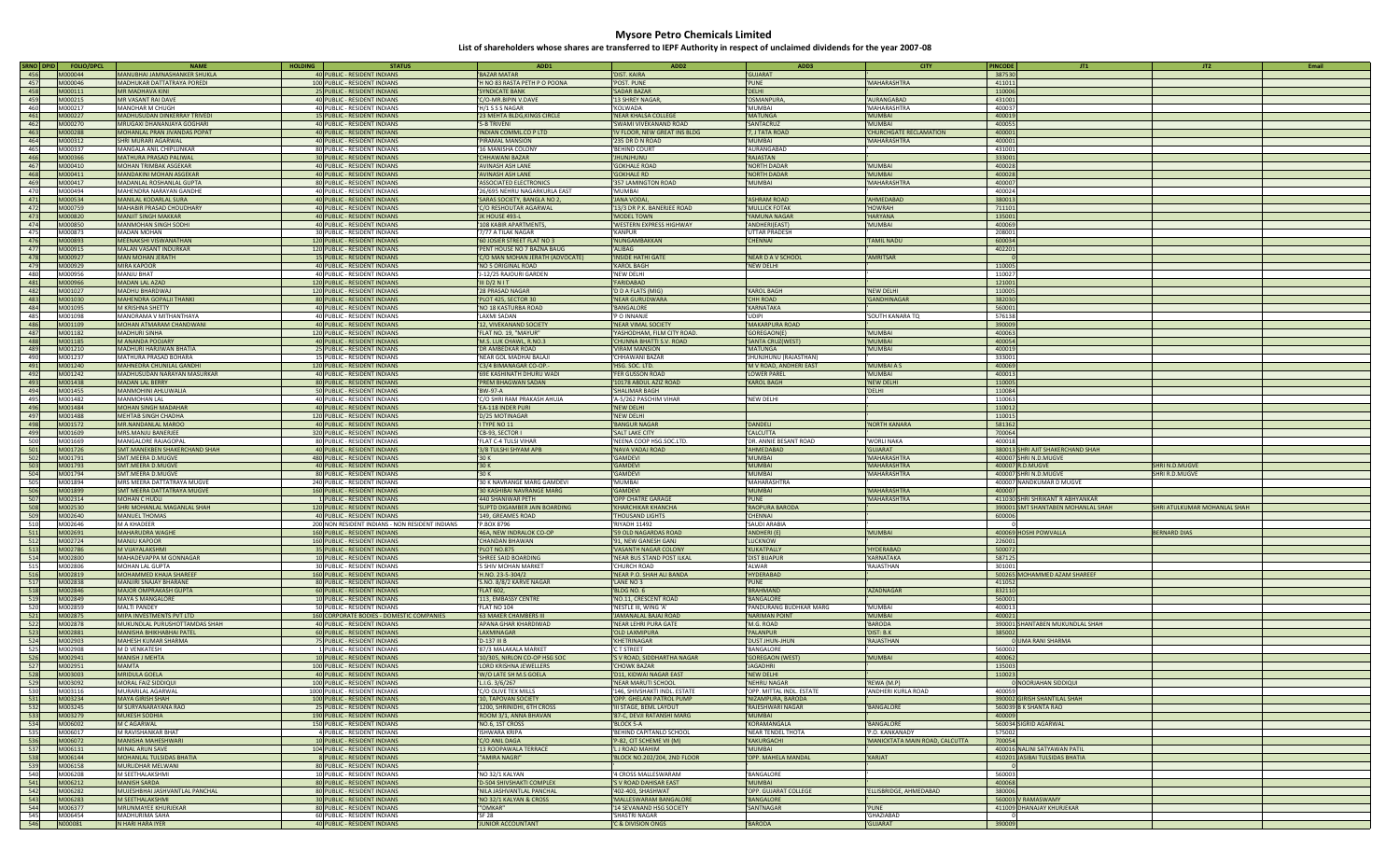| SRNO DPID<br><b>FOLIO/DPCL</b>   | <b>NAME</b>                                              | <b>HOLDING</b><br><b>STATUS</b>                               | ADD1                                         | ADD <sub>2</sub>                               | ADD3                                | <b>CITY</b>                     | <b>PINCODE</b>   | JT1                                | JT2                          | Email |
|----------------------------------|----------------------------------------------------------|---------------------------------------------------------------|----------------------------------------------|------------------------------------------------|-------------------------------------|---------------------------------|------------------|------------------------------------|------------------------------|-------|
| 456<br>M000044                   | MANUBHAI JAMNASHANKER SHUKLA                             | 40 PUBLIC - RESIDENT INDIANS                                  | <b>BAZAR MATAR</b>                           | 'DIST, KAIRA                                   | <b>GUJARAT</b>                      |                                 | 387530           |                                    |                              |       |
| 457<br>M000046                   | MADHUKAR DATTATRAYA POREDI                               | 100 PUBLIC - RESIDENT INDIANS                                 | 'H NO 83 RASTA PETH P O POONA                | 'POST, PUNE                                    | 'PUNE                               | 'MAHARASHTRA                    | 411011           |                                    |                              |       |
| 458<br>M000111                   | <b>MR MADHAVA KINI</b>                                   | 25 PUBLIC - RESIDENT INDIANS                                  | 'SYNDICATE BANK                              | 'SADAR BAZAR                                   | 'DELHI                              |                                 | 110006           |                                    |                              |       |
| 459<br>M000215                   | MR VASANT RAI DAVE                                       | 40 PUBLIC - RESIDENT INDIANS                                  | C/O-MR.BIPIN V.DAVE                          | '13 SHREY NAGAF                                | 'OSMANPUR                           | AURANGABAD                      | 431001           |                                    |                              |       |
| 460<br>M000217                   | MANOHAR M CHUGH                                          | 40 PUBLIC - RESIDENT INDIANS                                  | 'H/1 S S S NAGAR                             | 'KOLWADA                                       | 'MUMBAI                             | 'MAHARASHTRA                    | 400037           |                                    |                              |       |
| 461<br>M000227                   | MADHUSUDAN DINKERRAY TRIVEDI                             | 15 PUBLIC - RESIDENT INDIANS                                  | 23 MEHTA BLDG, KINGS CIRCLE                  | 'NEAR KHALSA COLLEGE                           | <b>MATUNGA</b>                      | 'MUMBAI                         | 400019           |                                    |                              |       |
| 462<br>M000270                   | MRUGAXI DHANANJAYA GOGHARI                               | 40 PUBLIC - RESIDENT INDIANS                                  | '5-B TRIVENI                                 | 'SWAMI VIVEKANAND ROAD                         | <b>SANTACRUZ</b>                    | 'MUMBAI                         | 400055           |                                    |                              |       |
| 463<br>M000288                   | MOHANLAL PRAN JIVANDAS POPAT                             | 40 PUBLIC - RESIDENT INDIANS                                  | 'INDIAN COMML.CO P LTD                       | 'IV FLOOR, NEW GREAT INS BLDG                  | 7, J TATA ROAD                      | 'CHURCHGATE RECLAMATION         | 400001           |                                    |                              |       |
| 464<br>M000312                   | SHRI MURARI AGARWAL                                      | 40 PUBLIC - RESIDENT INDIANS                                  | PIRAMAL MANSION                              | '235 DR D N ROAD                               | <b>MUMBAI</b>                       | 'MAHARASHTRA                    | 400001           |                                    |                              |       |
| 465<br>M000337                   | MANGALA ANIL CHIPLUNKAR                                  | 80 PUBLIC - RESIDENT INDIANS                                  | 16 MANISHA COLONY                            | 'BEHIND COURT                                  | AURANGABAD                          |                                 | 431001           |                                    |                              |       |
| 466<br>M000366                   | MATHURA PRASAD PALIWAL                                   | 30 PUBLIC - RESIDENT INDIANS                                  | <b>CHHAWANI BAZAR</b>                        | <b>UNUHLNUHL'</b>                              | <b>RAJASTAN</b>                     |                                 | 333001           |                                    |                              |       |
| 467<br>M000410                   | MOHAN TRIMBAK ASGEKAR                                    | 40 PUBLIC - RESIDENT INDIANS                                  | AVINASH ASH LANE                             | <b>'GOKHALE ROAD</b>                           | <b>NORTH DADAR</b>                  | 'MUMBAI                         | 400028           |                                    |                              |       |
| 468<br>M000411<br>469<br>M000417 | MANDAKINI MOHAN ASGEKAR<br>MADANLAL ROSHANLAL GUPTA      | 40 PUBLIC - RESIDENT INDIANS                                  | 'AVINASH ASH LANE<br>'ASSOCIATED ELECTRONICS | <b>'GOKHALE RD</b>                             | <b>NORTH DADAR</b><br>'MUMBAI       | 'MUMBAI<br>'MAHARASHTRA         | 400028<br>400007 |                                    |                              |       |
| 470<br>M000494                   | MAHENDRA NARAYAN GANDHE                                  | 80 PUBLIC - RESIDENT INDIANS<br>40 PUBLIC - RESIDENT INDIANS  | 26/695 NEHRU NAGARKURLA EAST                 | '357 LAMINGTON ROAD<br>'MUMBAI                 |                                     |                                 | 400024           |                                    |                              |       |
| 471<br>M000534                   | MANILAL KODARLAL SURA                                    | 40 PUBLIC - RESIDENT INDIANS                                  | 'SARAS SOCIETY, BANGLA NO 2                  | 'JANA VODA                                     | <b>ASHRAM ROAD</b>                  | 'AHMEDABAD                      | 380013           |                                    |                              |       |
| 472<br>M000759                   | MAHABIR PRASAD CHOUDHARY                                 | 40 PUBLIC - RESIDENT INDIANS                                  | 'C/O RESHOUTAR AGARWAL                       | '13/3 DR P.K. BANERJEE ROAD                    | <b>MULLICK FOTAK</b>                | 'HOWRAH                         | 711101           |                                    |                              |       |
| 473<br>M000820                   | <b>MANJIT SINGH MAKKAR</b>                               | 40 PUBLIC - RESIDENT INDIANS                                  | 'JK HOUSE 493-L                              | 'MODEL TOWN                                    | 'YAMUNA NAGAR                       | <b>HARYANA</b>                  | 135001           |                                    |                              |       |
| 474<br>M000850                   | <b>MANMOHAN SINGH SODHI</b>                              | 40 PUBLIC - RESIDENT INDIANS                                  | 108 KABIR APARTMENTS,                        | 'WESTERN EXPRESS HIGHWAY                       | 'ANDHERI(EAST)                      | 'MUMBAI                         | 400069           |                                    |                              |       |
| 475<br>M000873                   | <b>MADAN MOHAN</b>                                       | 30 PUBLIC - RESIDENT INDIANS                                  | 7/77 A TILAK NAGAR                           | 'KANPUR                                        | UTTAR PRADESH                       |                                 | 208001           |                                    |                              |       |
| 476<br>M000893                   | MEENAKSHI VISWANATHAN                                    | 120 PUBLIC - RESIDENT INDIANS                                 | 60 JOSIER STREET FLAT NO 3                   | 'NUNGAMBAKKAN                                  | <b>CHENNAI</b>                      | 'TAMIL NADU                     | 600034           |                                    |                              |       |
| 477<br>M000915                   | MALAN VASANT INDURKAR                                    | 120 PUBLIC - RESIDENT INDIANS                                 | 'PENT HOUSE NO 7 BAZNA BAUG                  | 'ALIBAG                                        |                                     |                                 | 402201           |                                    |                              |       |
| 478<br>M000927                   | <b>MAN MOHAN JERATH</b>                                  | 15 PUBLIC - RESIDENT INDIANS                                  | C/O MAN MOHAN JERATH (ADVOCATE)              | <b>INSIDE HATHI GATE</b>                       | NEAR D A V SCHOOL                   | 'AMRITSAR                       |                  |                                    |                              |       |
| 479<br>M000929                   | <b>MIRA KAPOOR</b>                                       | 40 PUBLIC - RESIDENT INDIANS                                  | 'NO 5 ORIGINAL ROAD                          | <b>'KAROL BAGH</b>                             | 'NEW DELHI                          |                                 | 110005           |                                    |                              |       |
| 480<br>M000956                   | <b>MANJU BHAT</b>                                        | 40 PUBLIC - RESIDENT INDIANS                                  | J-12/25 RAJOURI GARDEN                       | 'NEW DELHI                                     |                                     |                                 | 110027           |                                    |                              |       |
| 481<br>M000966                   | <b>MADAN LAL AZAD</b>                                    | 120 PUBLIC - RESIDENT INDIANS                                 | III D/2 N I T                                | 'FARIDABAD                                     |                                     |                                 | 121001           |                                    |                              |       |
| 482<br>M001027                   | <b>MADHU BHARDWAJ</b>                                    | 120 PUBLIC - RESIDENT INDIANS                                 | '28 PRASAD NAGAR                             | 'D D A FLATS (MIG)                             | <b>KAROL BAGH</b>                   | 'NEW DELHI                      | 110005           |                                    |                              |       |
| 483<br>M001030                   | MAHENDRA GOPALJI THANKI                                  | 80 PUBLIC - RESIDENT INDIANS                                  | 'PLOT 425, SECTOR 30                         | 'NEAR GURUDWARA                                | <b>CHH ROAD</b>                     | 'GANDHINAGAR                    | 382030           |                                    |                              |       |
| 484<br>M001095                   | M KRISHNA SHETTY                                         | 40 PUBLIC - RESIDENT INDIANS                                  | 'NO 18 KASTURBA ROAD                         | 'BANGALORE                                     | <b>KARNATAKA</b>                    |                                 | 560001           |                                    |                              |       |
| 485<br>M001098                   | MANORAMA V MITHANTHAYA                                   | 40 PUBLIC - RESIDENT INDIANS                                  | 'LAXMI SADAN                                 | 'P O INNANJE                                   | 'UDIPI                              | 'SOUTH KANARA TO                | 576138           |                                    |                              |       |
| 486<br>M001109                   | MOHAN ATMARAM CHANDWANI                                  | 40 PUBLIC - RESIDENT INDIANS                                  | 12, VIVEKANAND SOCIETY                       | 'NEAR VIMAL SOCIETY                            | MAKARPURA ROAD                      |                                 | 390009           |                                    |                              |       |
| 487<br>M001182                   | <b>MADHURI SINHA</b>                                     | 120 PUBLIC - RESIDENT INDIANS                                 | 'FLAT NO. 19, "MAYUR"                        | 'YASHODHAM, FILM CITY ROAD.                    | 'GOREGAON(E)                        | 'MUMBAI                         | 400063           |                                    |                              |       |
| 488<br>M001185                   | M ANANDA POOJARY                                         | 40 PUBLIC - RESIDENT INDIANS                                  | 'M.S. LUK CHAWL, R.NO.3                      | CHUNNA BHATTI S.V. ROAD                        | 'SANTA CRUZ(WEST)                   | 'MUMBAI                         | 400054           |                                    |                              |       |
| 489<br>M001210                   | MADHURI HARJIWAN BHATIA                                  | 25 PUBLIC - RESIDENT INDIANS                                  | 'DR AMBEDKAR ROAD                            | VIRAM MANSION                                  | 'MATUNGA                            | 'MUMBAI                         | 400019           |                                    |                              |       |
| 490<br>M001237                   | MATHURA PRASAD BOHARA                                    | 15 PUBLIC - RESIDENT INDIANS                                  | 'NEAR GOL MADHAI BALAJI                      | CHHAWANI BAZAR                                 | 'JHUNJHUNU (RAJASTHAN)              |                                 | 333001           |                                    |                              |       |
| 491<br>M001240                   | MAHNEDRA CHUNILAL GANDHI                                 | 120 PUBLIC - RESIDENT INDIANS                                 | 'C3/4 BIMANAGAR CO-OP.                       | 'HSG. SOC. LTD.                                | 'M V ROAD, ANDHERI EAST             | 'MUMBAI A S                     | 400069           |                                    |                              |       |
| 492<br>M001242                   | MADHUSUDAN NARAYAN MASURKAR                              | 40 PUBLIC - RESIDENT INDIANS                                  | 69E KASHINATH DHURU WADI                     | 'FER GUSSON ROAD                               | <b>LOWER PARE</b>                   | 'MUMBAI                         | 400013           |                                    |                              |       |
| 493<br>M001438                   | <b>MADAN LAL BERRY</b>                                   | 80 PUBLIC - RESIDENT INDIANS                                  | 'PREM BHAGWAN SADAN                          | '10178 ABDUL AZIZ ROAD                         | <b>KAROL BAGH</b>                   | 'NEW DELHI                      | 110005           |                                    |                              |       |
| 494<br>M001455                   | MANMOHINI AHLUWALIA                                      | 50 PUBLIC - RESIDENT INDIANS                                  | 'BW-97-A                                     | 'SHALIMAR BAGH                                 |                                     | 'DELHI                          | 110084           |                                    |                              |       |
| 495<br>M001482                   | <b>MANMOHAN LAL</b>                                      | 40 PUBLIC - RESIDENT INDIANS                                  | C/O SHRI RAM PRAKASH AHUJA                   | 'A-5/262 PASCHIM VIHAR                         | 'NEW DELHI                          |                                 | 110063           |                                    |                              |       |
| 496<br>M001484<br>497<br>M001488 | <b>MOHAN SINGH MADAHAR</b><br><b>MEHTAB SINGH CHADHA</b> | 40 PUBLIC - RESIDENT INDIANS<br>120 PUBLIC - RESIDENT INDIANS | 'EA-118 INDER PURI                           | 'NEW DELHI<br>'NEW DELHI                       |                                     |                                 | 110012<br>110015 |                                    |                              |       |
| 498<br>M001572                   | MR.NANDANLAL MAROO                                       |                                                               | D/25 MOTINAGAR                               |                                                | 'DANDELI                            |                                 |                  |                                    |                              |       |
| 499<br>M001609                   | MRS.MANJU BANERJEE                                       | 40 PUBLIC - RESIDENT INDIANS<br>320 PUBLIC - RESIDENT INDIANS | <b>I TYPE NO 11</b><br>'CB-93, SECTOR I      | 'BANGUR NAGAR<br>'SALT LAKE CITY               | 'CALCUTTA                           | 'NORTH KANARA                   | 581362<br>700064 |                                    |                              |       |
| 500<br>M001669                   | MANGALORE RAJAGOPAL                                      | 80 PUBLIC - RESIDENT INDIANS                                  | FLAT C-4 TULSI VIHAR                         | 'NEENA COOP HSG.SOC.LTD.                       | 'DR. ANNIE BESANT ROAD              | 'WORLI NAKA                     | 400018           |                                    |                              |       |
| 501<br>M001726                   | SMT.MANEKBEN SHAKERCHAND SHAH                            | 40 PUBLIC - RESIDENT INDIANS                                  | 3/8 TULSHI SHYAM APB                         | 'NAVA VADAJ ROAD                               | <b>AHMEDABA</b>                     | <b>'GUJARAT</b>                 |                  | 380013 SHRI AJIT SHAKERCHAND SHAH  |                              |       |
| 502<br>M001791                   | SMT.MEERA D.MUGVE                                        | 480 PUBLIC - RESIDENT INDIANS                                 | '30K                                         | 'GAMDEVI                                       | 'MUMBA                              | 'MAHARASHTRA                    |                  | 400007 SHRI N.D.MUGVE              |                              |       |
| 503<br>M001793                   | SMT.MEERA D.MUGVE                                        | 40 PUBLIC - RESIDENT INDIANS                                  | 30 K                                         | 'GAMDEVI                                       | 'MUMBA                              | 'MAHARASHTRA                    |                  | 400007 R.D.MUGVE                   | <b>SHRI N.D.MUGVE</b>        |       |
| 504<br>M001794                   | SMT.MEERA D.MUGVE                                        | 80 PUBLIC - RESIDENT INDIANS                                  | '30K                                         | 'GAMDEV                                        | 'MUMBAI                             | 'MAHARASHTRA                    |                  | 400007 SHRI N.D.MUGVE              | SHRI R.D.MUGVI               |       |
| 505<br>M001894                   | MRS MEERA DATTATRAYA MUGVE                               | 240 PUBLIC - RESIDENT INDIANS                                 | 30 K NAVRANGE MARG GAMDEVI                   | 'MUMBAI                                        | <b>MAHARASHTRA</b>                  |                                 |                  | 400007 NANDKUMAR D MUGVE           |                              |       |
| 506<br>M001899                   | SMT MEERA DATTATRAYA MUGVE                               | 160 PUBLIC - RESIDENT INDIANS                                 | 30 KASHIBAI NAVRANGE MARG                    | 'GAMDEVI                                       | 'MUMBAI                             | 'MAHARASHTRA                    | 400007           |                                    |                              |       |
| 507<br>M002314                   | MOHAN C HUDLI                                            | 1 PUBLIC - RESIDENT INDIANS                                   | '440 SHANIWAR PETH                           | 'OPP CHATRE GARAGE                             | 'PUNE                               | 'MAHARASHTRA                    |                  | 411030 SHRI SHRIKANT R ABHYANKAR   |                              |       |
| 508<br>M002530                   | SHRI MOHANLAL MAGANLAL SHAH                              | 120 PUBLIC - RESIDENT INDIANS                                 | 'SUPTD DIGAMBER JAIN BOARDING                | 'KHARCHIKAR KHANCHA                            | <b>RAOPURA BARODA</b>               |                                 |                  | 390001 SMT SHANTABEN MOHANLAL SHAH | SHRI ATULKUMAR MOHANLAL SHAH |       |
| 509<br>M002640                   | <b>MANUEL THOMAS</b>                                     | 40 PUBLIC - RESIDENT INDIANS                                  | 149, GREAMES ROAD                            | <b>THOUSAND LIGHTS</b>                         | <b>CHENNA</b>                       |                                 | 600006           |                                    |                              |       |
| 510<br>M002646                   | M A KHADEER                                              | 200 NON RESIDENT INDIANS - NON RESIDENT INDIANS               | 'P.BOX 8796                                  | 'RIYADH 11492                                  | <b>SAUDI ARABIA</b>                 |                                 |                  |                                    |                              |       |
| 511<br>M002691                   | <b>MAHARUDRA WAGHE</b>                                   | 160 PUBLIC - RESIDENT INDIANS                                 | 46A, NEW INDRALOK CO-OP                      | '59 OLD NAGARDAS ROAD                          | 'ANDHERI (E)                        | 'MUMBAI                         |                  | 400069 HOSHI POWVALLA              | <b>BERNARD DIAS</b>          |       |
| 512<br>M002724                   | <b>MANJU KAPOOR</b>                                      | 160 PUBLIC - RESIDENT INDIANS                                 | <b>CHANDAN BHAWAN</b>                        | '91, NEW GANESH GANJ                           | 'LUCKNOW                            |                                 | 226001           |                                    |                              |       |
| 513<br>M002786                   | M VIJAYALAKSHM                                           | 35 PUBLIC - RESIDENT INDIANS                                  | 'PLOT NO.875                                 | 'VASANTH NAGAR COLONY                          | <b>KUKATPALLY</b>                   | 'HYDERABAD                      | 500072           |                                    |                              |       |
| 514<br>M002800                   | MAHADEVAPPA M GONNAGAR                                   | 10 PUBLIC - RESIDENT INDIANS                                  | SHREE SAID BOARDING                          | 'NEAR BUS STAND POST ILKAI                     | <b>DIST BIJAPUR</b>                 | 'KARNATAKA                      | 587125           |                                    |                              |       |
| 515<br>M002806                   | <b>MOHAN LAL GUPTA</b>                                   | 30 PUBLIC - RESIDENT INDIANS                                  | '5 SHIV MOHAN MARKET                         | 'CHURCH ROAD                                   | 'ALWAR                              | 'RAJASTHAN                      | 301001           |                                    |                              |       |
| 516<br>M002819                   | MOHAMMED KHAJA SHAREEF                                   | 160 PUBLIC - RESIDENT INDIANS                                 | 'H.NO. 23-5-304/2                            | 'NEAR P.O. SHAH ALI BANDA                      | <b>HYDERABAD</b>                    |                                 |                  | 500265 MOHAMMED AZAM SHAREEF       |                              |       |
| 517<br>M002838                   | <b>MANJIRI SNAJAY BHARANE</b>                            | 80 PUBLIC - RESIDENT INDIANS                                  | S.NO. 8/8/2 KARVE NAGAR                      | 'LANE NO 3                                     | 'PUNE                               |                                 | 411052           |                                    |                              |       |
| 518<br>M002846<br>519<br>M002849 | <b>MAJOR OMPRAKASH GUPTA</b>                             | 60 PUBLIC - RESIDENT INDIANS                                  | 'FLAT 602.<br>113, EMBASSY CENTRE            | <b>BLDG NO. 6</b>                              | <b>BRAHMAND</b><br><b>BANGALORE</b> | 'AZADNAGAR                      | 832110           |                                    |                              |       |
| 520<br>M002859                   | <b>MAYA S MANGALORE</b><br><b>MALTI PANDEY</b>           | 10 PUBLIC - RESIDENT INDIANS<br>50 PUBLIC - RESIDENT INDIANS  | 'FLAT NO 104                                 | 'NO.11, CRESCENT ROAD<br>'NESTLE III, WING 'A' | PANDURANG BUDHKAR MARG              | 'MUMBAI                         | 560001<br>400013 |                                    |                              |       |
| 521<br>M002875                   | MIPA INVESTMENTS PVT LTD                                 | 160 CORPORATE BODIES - DOMESTIC COMPANIES                     | '63 MAKER CHAMBERS III                       | 'JAMANALAL BAJAJ ROAD                          | NARIMAN POINT                       | 'MUMBAI                         | 400021           |                                    |                              |       |
| 522<br>M002878                   | MUKUNDLAL PURUSHOTTAMDAS SHAH                            | 40 PUBLIC - RESIDENT INDIANS                                  | APANA GHAR KHARDIWAD                         | 'NEAR LEHRI PURA GATE                          | 'M.G. ROAD                          | 'BARODA                         |                  | 390001 SHANTABEN MUKUNDLAL SHAH    |                              |       |
| 523<br>M002881                   | MANISHA BHIKHABHAI PATEL                                 | 60 PUBLIC - RESIDENT INDIANS                                  | <b>LAXMINAGAR</b>                            | 'OLD LAXMIPURA                                 | <b>PALANPUR</b>                     | 'DIST: B.K                      | 385002           |                                    |                              |       |
| 524<br>M002903                   | MAHESH KUMAR SHARMA                                      | 75 PUBLIC - RESIDENT INDIANS                                  | 'D-137 III B                                 | 'KHETRINAGAR                                   | DUST JHUN-JHUN                      | 'RAJASTHAN                      |                  | 0 UMA RANI SHARMA                  |                              |       |
| 525<br>M002908                   | <b>M D VENKATESH</b>                                     | 1 PUBLIC - RESIDENT INDIANS                                   | 87/3 MALAKALA MARKET                         | <b>CT STREET</b>                               | <b>BANGALORE</b>                    |                                 | 560002           |                                    |                              |       |
| 526<br>M002941                   | <b>MANISH J MEHTA</b>                                    | 10 PUBLIC - RESIDENT INDIANS                                  | 10/305, NIRLON CO-OP HSG SOC                 | 'S V ROAD, SIDDHARTHA NAGAR                    | 'GOREGAON (WEST)                    | 'MUMBAI                         | 400062           |                                    |                              |       |
| 527<br>M002951                   | <b>MAMTA</b>                                             | 100 PUBLIC - RESIDENT INDIANS                                 | LORD KRISHNA JEWELLERS                       | <b>CHOWK BAZAR</b>                             | <b>JAGADHRI</b>                     |                                 | 135003           |                                    |                              |       |
| 528<br>M003003                   | MRIDULA GOELA                                            | 40 PUBLIC - RESIDENT INDIANS                                  | W/O LATE SH M.S GOELA                        | 'D11, KIDWAI NAGAR EAST                        | 'NEW DELHI                          |                                 | 110023           |                                    |                              |       |
| 529<br>M003092                   | MORAL FAIZ SIDDIOI                                       | 100 PUBLIC - RESIDENT INDIANS                                 | L.I.G. 3/6/267                               | <b>INFAR MARUTI SCHOO</b>                      | 'NEHRU NAGAF                        | 'REWA (M.P)                     |                  | 0 NOORJAHAN SIDDIQUI               |                              |       |
| 530<br>M003116                   | MURARILAL AGARWAL                                        | 1000 PUBLIC - RESIDENT INDIANS                                | C/O OLIVE TEX MILLS                          | 146, SHIVSHAKTI INDL. ESTATE                   | OPP. MITTAL INDL. ESTATE            | 'ANDHERI KURLA ROAD             | 400059           |                                    |                              |       |
| 531<br>M003234                   | <b>MAYA GIRISH SHAH</b>                                  | 100 PUBLIC - RESIDENT INDIANS                                 | '10, TAPOVAN SOCIETY                         | 'OPP. GHELANI PATROL PUMP                      | NIZAMPURA, BARODA                   |                                 |                  | 390002 GIRISH SHANTILAL SHAH       |                              |       |
| 532<br>M003245                   | M SURYANARAYANA RAO                                      | 25 PUBLIC - RESIDENT INDIANS                                  | '1200, SHRINIDHI, 6TH CROSS                  | 'III STAGE, BEML LAYOUT                        | 'RAJESHWARI NAGAR                   | 'BANGALORE                      |                  | 560039 B K SHANTA RAO              |                              |       |
| 533<br>M003279                   | <b>MUKESH SODHIA</b>                                     | 190 PUBLIC - RESIDENT INDIANS                                 | 'ROOM 3/1, ANNA BHAVAN                       | '87-C, DEVJI RATANSHI MARG                     | 'MUMBAI                             |                                 | 400009           |                                    |                              |       |
| 534<br>M006002                   | M C AGARWAL                                              | 150 PUBLIC - RESIDENT INDIANS                                 | 'NO.6, 1ST CROSS                             | 'BLOCK 5-A                                     | KORAMANGALA                         | 'BANGALORE                      |                  | 560034 SIGRID AGARWAL              |                              |       |
| 535<br>M006017                   | M RAVISHANKAR BHAT                                       | 4 PUBLIC - RESIDENT INDIANS                                   | 'ISHWARA KRIPA                               | 'BEHIND CAPITANLO SCHOOL                       | 'NEAR TENDEL THOTA                  | 'P.O. KANKANADY                 | 575002           |                                    |                              |       |
| 536<br>M006072                   | <b>MANISHA MAHESHWARI</b>                                | 10 PUBLIC - RESIDENT INDIANS                                  | 'C/O ANIL DAGA                               | 'P-82, CIT SCHEME VII (M)                      | <b>KAKURGACHI</b>                   | 'MANICKTATA MAIN ROAD, CALCUTTA | 700054           |                                    |                              |       |
| 537<br>M006131                   | MINAL ARUN SAVE                                          | 104 PUBLIC - RESIDENT INDIANS                                 | '13 ROOPAWALA TERRACE                        | 'LJ ROAD MAHIM                                 | 'MUMBAI                             |                                 |                  | 400016 NALINI SATYAWAN PATIL       |                              |       |
| 538<br>M006144                   | MOHANLAL TULSIDAS BHATIA                                 | 8 PUBLIC - RESIDENT INDIANS                                   | ""AMIRA NAGRI"                               | BLOCK NO.202/204, 2ND FLOOR                    | 'OPP. MAHELA MANDAL                 | 'KARJAT                         |                  | 410201 JASIBAI TULSIDAS BHATIA     |                              |       |
| 539<br>M006158<br>540<br>M006208 | MURLIDHAR MELWANI<br>M SEETHALAKSHMI                     | 80 PUBLIC - RESIDENT INDIANS<br>10 PUBLIC - RESIDENT INDIANS  | 'NO 32/1 KALYAN                              | '4 CROSS MALLESWARAM                           | 'BANGALORE                          |                                 | 560003           |                                    |                              |       |
| 541<br>M006212                   | MANISH SARDA                                             | 80 PUBLIC - RESIDENT INDIANS                                  | 'D-504 SHIVSHAKTI COMPLEX                    | 'S V ROAD DAHISAR EAST                         | 'MUMBAI                             |                                 | 400068           |                                    |                              |       |
| 542<br>M006282                   | MUJESHBHAI JASHVANTLAL PANCHAL                           | 80 PUBLIC - RESIDENT INDIANS                                  | 'NILA JASHVANTLAL PANCHAL                    | '402-403, SHASHWAT                             | 'OPP. GUJARAT COLLEGE               | ELLISBRIDGE, AHMEDABAD          | 380006           |                                    |                              |       |
| 543<br>M006283                   | <b>M SEETHALAKSHMI</b>                                   | 30 PUBLIC - RESIDENT INDIANS                                  | 'NO 32/1 KALYAN & CROSS                      | 'MALLESWARAM BANGALORE                         | 'BANGALORE                          |                                 |                  | 560003 V RAMASWAMY                 |                              |       |
| 544<br>M006377                   | MRUNMAYEE KHURJEKAR                                      | 80 PUBLIC - RESIDENT INDIANS                                  | "OMKAR"                                      | '14 SEVANAND HSG SOCIETY                       | 'SANTNAGAR                          | 'PUNE                           |                  | 411009 DHANAJAY KHURJEKAR          |                              |       |
| 545<br>M006454                   | <b>MADHURIMA SAHA</b>                                    | 60 PUBLIC - RESIDENT INDIANS                                  | 'SF 28                                       | 'SHASTRI NAGAR                                 |                                     | 'GHAZIABAD                      |                  |                                    |                              |       |
| 546<br>N000081                   | N HARI HARA IYER                                         | 40 PUBLIC - RESIDENT INDIANS                                  | <b>JUNIOR ACCOUNTANT</b>                     | 'C & DIVISION ONGS                             | 'BARODA                             | 'GUJARAT                        | 390009           |                                    |                              |       |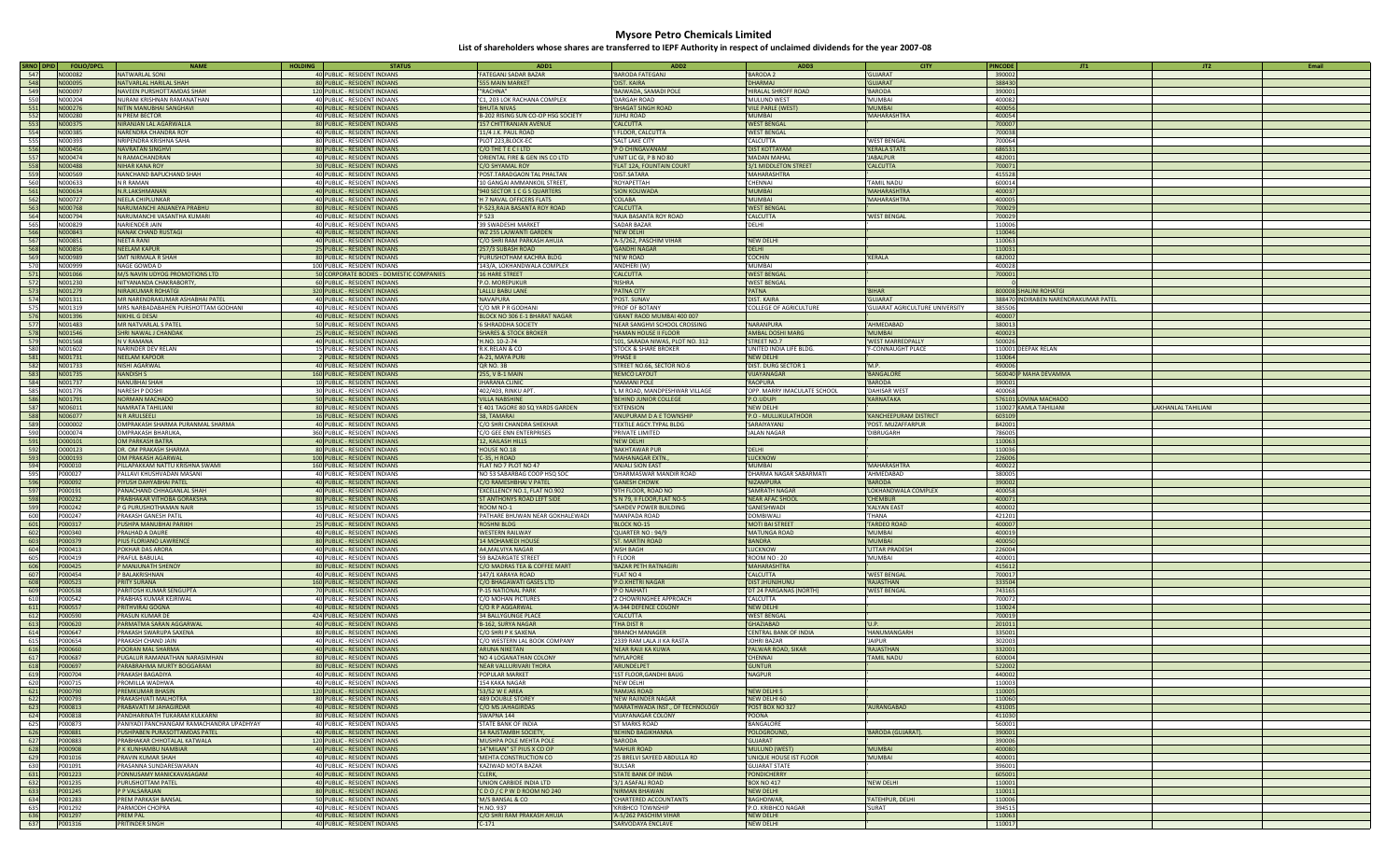| SRNO DPID  | <b>FOLIO/DPCL</b>  | <b>NAME</b>                                                      | <b>HOLDING</b><br><b>STATUS</b>                                          | ADD <sub>1</sub>                                           | ADD <sub>2</sub>                                        | ADD3                            | <b>CITY</b>                    | JT1<br><b>PINCODE</b>                                          | JT <sub>2</sub>           | Email |
|------------|--------------------|------------------------------------------------------------------|--------------------------------------------------------------------------|------------------------------------------------------------|---------------------------------------------------------|---------------------------------|--------------------------------|----------------------------------------------------------------|---------------------------|-------|
| 547        | N000082            | <b>NATWARLAL SONI</b>                                            | 40 PUBLIC - RESIDENT INDIANS                                             | <b>FATEGANJ SADAR BAZAR</b>                                | <b>BARODA FATEGANJ</b>                                  | <b>BARODA 2</b>                 | <b>GUIARAT</b>                 | 390002                                                         |                           |       |
| 548        | N000095            | VATVARLAL HARILAL SHAH                                           | 80 PUBLIC - RESIDENT INDIANS                                             | 555 MAIN MARKET                                            | DIST. KAIRA                                             | <b>DHARMAJ</b>                  | <b>GUJARAT</b>                 | 388430                                                         |                           |       |
| 549        | N000097            | <b>AVEEN PURSHOTTAMDAS SHAH</b>                                  | 120 PUBLIC - RESIDENT INDIANS                                            | "RACHNA"                                                   | BAJWADA, SAMADI POLE                                    | HIRALAL SHROFF ROAD             | <b>BARODA</b>                  | 390001                                                         |                           |       |
| 550        | N000204            | <b>NURANI KRISHNAN RAMANATHAN</b>                                | 40 PUBLIC - RESIDENT INDIANS                                             | C1, 203 LOK RACHANA COMPLEX                                | DARGAH ROAD                                             | MULUND WEST                     | MUMBAI                         | 400082                                                         |                           |       |
| 551        | N000276            | <b>IVANDARIA ISLAMINA MITIN</b>                                  | 40 PUBLIC - RESIDENT INDIANS                                             | <b>BHUTA NIVAS</b>                                         | BHAGAT SINGH ROAD                                       | VILE PARLE (WEST)               | <b>MUMBAI</b>                  | 400056                                                         |                           |       |
| 552        | N000280            | <b>PREM BECTOR</b>                                               | 40 PUBLIC - RESIDENT INDIANS                                             | 'B-202 RISING SUN CO-OP HSG SOCIETY                        | JUHU ROAD                                               | <b>MUMBAI</b>                   | MAHARASHTRA                    | 400054                                                         |                           |       |
| 553        | N000375            | NIRANJAN LAL AGARWALLA                                           | 80 PUBLIC - RESIDENT INDIANS                                             | 157 CHITTRANJAN AVENUE                                     | CALCUTTA                                                | 'WEST BENGAL                    |                                | 700007                                                         |                           |       |
| 554        | N000385            | <b>ARENDRA CHANDRA ROY</b>                                       | 40 PUBLIC - RESIDENT INDIANS                                             | 11/4 J.K. PAUL ROAD                                        | FLOOR, CALCUTTA                                         | <b>WEST BENGAL</b>              |                                | 700038                                                         |                           |       |
| 555        | N000393            | VRIPENDRA KRISHNA SAHA                                           | 80 PUBLIC - RESIDENT INDIANS                                             | 'PLOT 223,BLOCK-EC                                         | SALT LAKE CITY                                          | <b>CALCUTTA</b>                 | <b>WEST BENGAL</b>             | 700064                                                         |                           |       |
| 556        | N000456            | <b>VAVRATAN SINGHVI</b>                                          | 80 PUBLIC - RESIDENT INDIANS                                             | C/O THE T E C I LTD                                        | P O CHINGAVANAM                                         | 'DIST KOTTAYAM                  | <b>KERALA STATE</b>            | 686531                                                         |                           |       |
| 557        | N000474            | <b>V RAMACHANDRAN</b>                                            | 40 PUBLIC - RESIDENT INDIANS                                             | ORIENTAL FIRE & GEN INS CO LTD                             | UNIT LIC GI, P B NO 80                                  | MADAN MAHAL                     | <b>JABALPUR</b>                | 482001                                                         |                           |       |
| 558        | N000488            | <b>VIHAR KANA ROY</b>                                            | 30 PUBLIC - RESIDENT INDIANS                                             | 'C/O SHYAMAL ROY                                           | FLAT 12A, FOUNTAIN COURT                                | 3/1 MIDDLETON STREET            | 'CALCUTTA                      | 700071                                                         |                           |       |
| 559        | N000569            | <b>IANCHAND BAPUCHAND SHAH</b>                                   | 40 PUBLIC - RESIDENT INDIANS                                             | POST.TARADGAON TAL PHALTAN                                 | DIST.SATARA                                             | <b>MAHARASHTRA</b>              |                                | 415528                                                         |                           |       |
| 560        | N000633            | <b>VR RAMAN</b>                                                  | 40 PUBLIC - RESIDENT INDIANS                                             | 10 GANGAI AMMANKOIL STREET,                                | ROYAPETTAH                                              | <b>CHENNAI</b>                  | TAMIL NADU                     | 600014                                                         |                           |       |
| 561        | N000634            | N.R.LAKSHMANAN                                                   | 40 PUBLIC - RESIDENT INDIANS                                             | '940 SECTOR 1 C G S QUARTERS                               | <b>SION KOLIWADA</b>                                    | <b>MUMBAI</b>                   | <b>MAHARASHTRA</b>             | 400037                                                         |                           |       |
| 562        | N000727            | <b>VEELA CHIPLUNKAR</b>                                          | 40 PUBLIC - RESIDENT INDIANS                                             | 'H 7 NAVAL OFFICERS FLATS                                  | COLABA                                                  | <b>MUMBAI</b>                   | MAHARASHTRA                    | 400005                                                         |                           |       |
| 563        | N000768            | <b>VARUMANCHI ANJANEYA PRABHU</b>                                | 80 PUBLIC - RESIDENT INDIANS                                             | 'P-523, RAJA BASANTA ROY ROAD                              | CALCUTTA                                                | 'WEST BENGA                     |                                | 700029                                                         |                           |       |
| 564        | N000794            | <b>IARUMANCHI VASANTHA KUMARI</b>                                | 40 PUBLIC - RESIDENT INDIANS                                             | 'P 523                                                     | RAJA BASANTA ROY ROAD                                   | <b>CALCUTTA</b>                 | <b>WEST BENGAL</b>             | 700029                                                         |                           |       |
| 565        | N000829            | <b>ARIENDER JAIN</b>                                             | 40 PUBLIC - RESIDENT INDIANS                                             | '39 SWADESHI MARKET                                        | <b>SADAR BAZAR</b>                                      | 'DELHI                          |                                | 110006                                                         |                           |       |
| 566        | N000843            | NANAK CHAND RUSTAGI                                              | 40 PUBLIC - RESIDENT INDIANS                                             | 'WZ 255 LAJWANTI GARDEN                                    | NEW DELHI                                               |                                 |                                | 110046                                                         |                           |       |
| 567        | N000851            | <b>EETA RANI</b>                                                 | 40 PUBLIC - RESIDENT INDIANS                                             | C/O SHRI RAM PARKASH AHUJA                                 | 'A-5/262, PASCHIM VIHAR                                 | 'NEW DELHI                      |                                | 110063                                                         |                           |       |
| 568        | N000856            | <b>VEELAM KAPUR</b>                                              | 25 PUBLIC - RESIDENT INDIANS                                             | '257/3 SUBASH ROAD                                         | <b>GANDHI NAGAR</b>                                     | 'DELHI                          |                                | 110031                                                         |                           |       |
| 569        | N000989            | SMT NIRMALA R SHAH                                               | 80 PUBLIC - RESIDENT INDIANS                                             | 'PURUSHOTHAM KACHRA BLDG                                   | <b>NEW ROAD</b>                                         | <b>COCHIN</b>                   | KERALA                         | 682002                                                         |                           |       |
| 570        | N000999            | <b>IAGE GOWDA D</b>                                              | 100 PUBLIC - RESIDENT INDIANS                                            | '143/A, LOKHANDWALA COMPLEX                                | ANDHERI (W)                                             | <b>MUMBAI</b>                   |                                | 400028                                                         |                           |       |
| 571        | N001066            |                                                                  |                                                                          | 16 HARE STREET                                             |                                                         | 'WEST BENGAL                    |                                | 700001                                                         |                           |       |
| 572        | N001230            | M/S NAVIN UDYOG PROMOTIONS LTD<br><b>NITYANANDA CHAKRABORTY,</b> | 50 CORPORATE BODIES - DOMESTIC COMPANIES<br>60 PUBLIC - RESIDENT INDIANS | P.O. MOREPUKUR                                             | <b>CALCUTTA</b><br><b>RISHRA</b>                        | 'WEST BENGAL                    |                                |                                                                |                           |       |
| 573        | N001279            | <b>VIRAJKUMAR ROHATGI</b>                                        | 320 PUBLIC - RESIDENT INDIANS                                            |                                                            | PATNA CITY                                              | 'PATNA                          | <b>BIHAR</b>                   |                                                                |                           |       |
| 574        | N001311            | MR NARENDRAKUMAR ASHABHAI PATEL                                  |                                                                          | LALLU BABU LANE<br><b>NAVAPURA</b>                         | POST. SUNAV                                             | DIST. KAIRA                     | GUJARAT                        | 800008 SHALINI ROHATGI<br>388470 INDIRABEN NARENDRAKUMAR PATEL |                           |       |
| 575        | N001319            | MRS NARBADABAHEN PURSHOTTAM GODHANI                              | 40 PUBLIC - RESIDENT INDIANS<br>40 PUBLIC - RESIDENT INDIANS             | C/O MR P R GODHANI                                         | PROF OF BOTANY                                          | 'COLLEGE OF AGRICULTURE         | GUJARAT AGRICULTURE UNIVERSITY | 385506                                                         |                           |       |
| 576        | N001396            | NIKHIL G DESAI                                                   | 40 PUBLIC - RESIDENT INDIANS                                             |                                                            | GRANT RAOD MUMBAI 400 007                               |                                 |                                | 400007                                                         |                           |       |
| 577        | N001483            | MR NATVARLAL S PATEL                                             | 50 PUBLIC - RESIDENT INDIANS                                             | BLOCK NO 306 E-1 BHARAT NAGAR<br><b>6 SHRADDHA SOCIETY</b> | NEAR SANGHVI SCHOOL CROSSING                            | <b>NARANPURA</b>                | AHMEDABAD                      | 380013                                                         |                           |       |
|            | N001546            |                                                                  | 25 PUBLIC - RESIDENT INDIANS                                             |                                                            |                                                         |                                 | <b>MUMBAI</b>                  | 400023                                                         |                           |       |
| 578        | N001568            | <b>SHRI NAWAL J CHANDAK</b><br>I V RAMANA                        |                                                                          | <b>SHARES &amp; STOCK BROKER</b>                           | HAMAN HOUSE II FLOOR                                    | AMBAL DOSHI MARG<br>STREET NO.7 | <b>WEST MARREDPALLY</b>        | 500026                                                         |                           |       |
| 579<br>580 | N001602            | <b>IARINDER DEV RELAN</b>                                        | 40 PUBLIC - RESIDENT INDIANS<br>15 PUBLIC - RESIDENT INDIANS             | 'H.NO. 10-2-74<br>R.K.RELAN & CO                           | 101, SARADA NIWAS, PLOT NO. 312<br>STOCK & SHARE BROKER | UNITED INDIA LIFE BLDG.         | F-CONNAUGHT PLACE              | 110001 DEEPAK RELAN                                            |                           |       |
| 581        | N001731            | <b>NEELAM KAPOOR</b>                                             | 2 PUBLIC - RESIDENT INDIANS                                              | 'A-21, MAYA PURI                                           | PHASE II                                                | 'NEW DELHI                      |                                | 110064                                                         |                           |       |
| 582        | N001733            | <b>VISHI AGARWAL</b>                                             | 40 PUBLIC - RESIDENT INDIANS                                             | QR NO. 3B                                                  |                                                         | 'DIST. DURG SECTOR 1            | 'M.P.                          | 490006                                                         |                           |       |
| 583        | N001735            |                                                                  | 160 PUBLIC - RESIDENT INDIANS                                            | '255, V B-1 MAIN                                           | STREET NO.66, SECTOR NO.6                               | <b>VIJAYANAGAR</b>              | <b>BANGALORE</b>               | 560040 P MAHA DEVAMMA                                          |                           |       |
| 584        | N001737            | <b>VANDISH S</b><br><b>JANUBHAI SHAH</b>                         | 10 PUBLIC - RESIDENT INDIANS                                             | <b>JHARANA CLINIC</b>                                      | REMCO LAYOUT<br><b>MAMANI POLE</b>                      | <b>RAOPURA</b>                  | <b>BARODA</b>                  | 390001                                                         |                           |       |
| 585        | N001776            | <b>VARESH P DOSHI</b>                                            | 30 PUBLIC - RESIDENT INDIANS                                             | 402/403, RINKU APT                                         | L M ROAD, MANDPESHWAR VILLAGE                           | OPP. MARRY IMACULATE SCHOOL     | DAHISAR WEST                   | 400068                                                         |                           |       |
| 586        | N001791            | <b>IORMAN MACHADO</b>                                            | 50 PUBLIC - RESIDENT INDIANS                                             | VILLA NABSHINE                                             | BEHIND JUNIOR COLLEGE                                   | 'P.O.UDUPI                      | 'KARNATAKA                     | 576101 LOVINA MACHADO                                          |                           |       |
| 587        | N006011            | <b>JAMRATA TAHILIANI</b>                                         | 80 PUBLIC - RESIDENT INDIANS                                             | E 401 TAGORE 80 SQ YARDS GARDEN                            | <b>EXTENSION</b>                                        | 'NEW DELHI                      |                                | 110027 KAMLA TAHILIANI                                         | <b>AKHANLAL TAHILIANI</b> |       |
| 588        | N006077            | <b>N R ARULSEELI</b>                                             | 16 PUBLIC - RESIDENT INDIANS                                             | 38. TAMARAI                                                | ANUPURAM D A E TOWNSHIP                                 | 'P.O - MULLIKULATHOOR           | KANCHEEPURAM DISTRICT          | 603109                                                         |                           |       |
| 589        | 0000002            | OMPRAKASH SHARMA PURANMAL SHARMA                                 | 40 PUBLIC - RESIDENT INDIANS                                             | C/O SHRI CHANDRA SHEKHAR                                   | TEXTILE AGCY. TYPAL BLDG                                | <b>SARAIYAYANJ</b>              | POST. MUZAFFARPUR              | 842001                                                         |                           |       |
| 590        | 0000074            | <b>IMPRAKASH BHARUKA</b>                                         | 360 PUBLIC - RESIDENT INDIANS                                            | C/O GEE ENN ENTERPRISES                                    | PRIVATE LIMITED                                         | JALAN NAGAR                     | DIBRUGARH                      | 786005                                                         |                           |       |
| 591        | 0000101            | <b>OM PARKASH BATRA</b>                                          | 40 PUBLIC - RESIDENT INDIANS                                             | 12, KAILASH HILLS                                          | NEW DELHI                                               |                                 |                                | 110063                                                         |                           |       |
| 592        | 0000123            | OR. OM PRAKASH SHARMA                                            | 80 PUBLIC - RESIDENT INDIANS                                             | HOUSE NO.18                                                | <b>BAKHTAWAR PUR</b>                                    | 'DELHI                          |                                | 110036                                                         |                           |       |
| 593        | 0000193            | <b>OM PRAKASH AGARWAL</b>                                        | 100 PUBLIC - RESIDENT INDIANS                                            | C-35, H ROAD                                               | MAHANAGAR EXTN.                                         | LUCKNOW                         |                                | 226006                                                         |                           |       |
| 594        | P000010            | ILLAPAKKAM NATTU KRISHNA SWAMI                                   | 160 PUBLIC - RESIDENT INDIANS                                            | FLAT NO 7 PLOT NO 47                                       | <b>ANJALI SION EAST</b>                                 | <b>MUMBAI</b>                   | MAHARASHTRA                    | 400022                                                         |                           |       |
| 595        | P000027            | PALLAVI KHUSHVADAN MASANI                                        | 40 PUBLIC - RESIDENT INDIANS                                             | 'NO 53 SABARBAG COOP HSQ SOC                               | DHARMASWAR MANDIR ROAD                                  | 'DHARMA NAGAR SABARMATI         | AHMEDABAD                      | 380005                                                         |                           |       |
| 596        | P000092            | PIYUSH DAHYABHAI PATEL                                           | 40 PUBLIC - RESIDENT INDIANS                                             | C/O RAMESHBHAI V PATEL                                     | <b>GANESH CHOWK</b>                                     | 'NIZAMPURA                      | <b>BARODA</b>                  | 390002                                                         |                           |       |
| 597        | P000191            | ANACHAND CHHAGANLAL SHAH                                         | 40 PUBLIC - RESIDENT INDIANS                                             | EXCELLENCY NO.1, FLAT NO.902                               | 9TH FLOOR, ROAD NO                                      | <b>SAMRATH NAGAR</b>            | LOKHANDWALA COMPLEX            | 400058                                                         |                           |       |
| 598        | P000232            | PRABHAKAR VITHOBA GORAKSHA                                       | 80 PUBLIC - RESIDENT INDIANS                                             | <b>ST ANTHONYS ROAD LEFT SIDE</b>                          | S N 79, II FLOOR, FLAT NO-5                             | 'NEAR AFAC SHOOI                | <b>CHEMBUR</b>                 | 400071                                                         |                           |       |
| 599        | P000242            | G PURUSHOTHAMAN NAIR                                             | 15 PUBLIC - RESIDENT INDIANS                                             | ROOM NO-1                                                  | SAHDEV POWER BUILDING                                   | <b>GANESHWADI</b>               | <b>KALYAN EAST</b>             | 400002                                                         |                           |       |
| 600        | P000247            | <b>PRAKASH GANESH PATIL</b>                                      | 40 PUBLIC - RESIDENT INDIANS                                             | 'PATHARE BHUWAN NEAR GOKHALEWADI                           | MANPADA ROAD                                            | DOMBIWALI                       | THANA                          | 421201                                                         |                           |       |
| 601        | P000317            | PUSHPA MANUBHAI PARIKH                                           | 25 PUBLIC - RESIDENT INDIANS                                             | 'ROSHNI BLDG                                               | BLOCK NO-15                                             | 'MOTI BAI STREET                | <b>TARDEO ROAD</b>             | 400007                                                         |                           |       |
| 602        | P000340            | <b>PRALHAD A DAURE</b>                                           | 40 PUBLIC - RESIDENT INDIANS                                             | <b>WESTERN RAILWAY</b>                                     | QUARTER NO: 94/9                                        | 'MATUNGA ROAD                   | <b>MUMBAI</b>                  | 400019                                                         |                           |       |
| 603        | P000379            | PIUS FLORIANO LAWRENCE                                           | 80 PUBLIC - RESIDENT INDIANS                                             | 14 MOHAMEDI HOUSE                                          | <b>ST. MARTIN ROAD</b>                                  | <b>BANDRA</b>                   | <b>MUMBAI</b>                  | 400050                                                         |                           |       |
| 604        | P000413            | OKHAR DAS ARORA                                                  | 40 PUBLIC - RESIDENT INDIANS                                             | A4, MALVIYA NAGAR                                          | AISH BAGH                                               | <b>LUCKNOW</b>                  | UTTAR PRADESH                  | 226004                                                         |                           |       |
| 605        | P000419            | PRAFUL BABULAL                                                   | 40 PUBLIC - RESIDENT INDIANS                                             | 59 BAZARGATE STREET                                        | <b>FLOOR</b>                                            | ROOM NO: 20                     | MUMBAI                         | 400001                                                         |                           |       |
| 606        | P000425            | P MANJUNATH SHENOY                                               | 80 PUBLIC - RESIDENT INDIANS                                             | C/O MADRAS TEA & COFFEE MART                               | BAZAR PETH RATNAGIRI                                    | 'MAHARASHTRA                    |                                | 415612                                                         |                           |       |
| 607        | P000454            | <b>BALAKRISHNAN</b>                                              | 40 PUBLIC - RESIDENT INDIANS                                             | 147/1 KARAYA ROAD                                          | FLAT NO 4                                               | <b>CALCUTTA</b>                 | <b>WEST BENGAL</b>             | 700017                                                         |                           |       |
| 608        | P000523            | <b>RITY SURANA</b>                                               | 160 PUBLIC - RESIDENT INDIANS                                            | C/O BHAGAWATI GASES LTD                                    | P.O.KHETRI NAGAR                                        | <b>DIST JHUNJHUNU</b>           | 'RAJASTHAN                     | 333504                                                         |                           |       |
| 609        | P000538            | PARITOSH KUMAR SENGUPTA                                          | 70 PUBLIC - RESIDENT INDIANS                                             | P-15 NATIONAL PARK                                         | <b>O NAIHATI</b>                                        | DT 24 PARGANAS (NORTH)          | <b>WEST BENGAL</b>             | 743165                                                         |                           |       |
| 610        | P000542            | PRABHAS KUMAR KEJRIWAL                                           | 40 PUBLIC - RESIDENT INDIANS                                             | C/O MOHAN PICTURES                                         | <b>CHOWRINGHEE APPROACH</b>                             | <b>CALCUTTA</b>                 |                                | 700072                                                         |                           |       |
| 611        | P000557            | PRITHVIRAJ GOGNA                                                 | 40 PUBLIC - RESIDENT INDIANS                                             | C/O R P AGGARWAL                                           | <b>A-344 DEFENCE COLONY</b>                             | 'NEW DELHI                      |                                | 110024                                                         |                           |       |
| 612        | P000590            | <b>PRASUN KUMAR DE</b>                                           | 424 PUBLIC - RESIDENT INDIANS                                            | 34 BALLYGUNGE PLACE                                        | CALCUTTA                                                | 'WEST BENGAL                    |                                | 700019                                                         |                           |       |
| 613        | P000620            | <b>PARMATMA SARAN AGGARWAL</b>                                   | 40 PUBLIC - RESIDENT INDIANS                                             | 'B-162, SURYA NAGAR                                        | THA DIST R                                              | 'GHAZIABAD                      |                                | 201011                                                         |                           |       |
| 614        | P000647            | PRAKASH SWARUPA SAXENA                                           | 80 PUBLIC - RESIDENT INDIANS                                             | C/O SHRI P K SAXENA                                        | <b>BRANCH MANAGER</b>                                   | CENTRAL BANK OF INDIA           | HANUMANGARH                    | 335001                                                         |                           |       |
| 615        | P000654            | PRAKASH CHAND JAIN                                               | 40 PUBLIC - RESIDENT INDIANS                                             | C/O WESTERN LAL BOOK COMPANY                               | 2339 RAM LALA JI KA RASTA                               | JOHRI BAZAR                     | <b>JAIPUR</b>                  | 302003                                                         |                           |       |
| 616        | P000660            | POORAN MAL SHARMA                                                | 40 PUBLIC - RESIDENT INDIANS                                             | 'ARUNA NIKETAN                                             | 'NEAR RAIJI KA KUWA                                     | PALWAR ROAD, SIKAR              | 'RAJASTHAN                     | 332001                                                         |                           |       |
| 617        | P000687<br>P000697 | UGALUR RAMANATHAN NARASIMHAN<br>ARABRAHMA MURTY BOGGARAM         | 80 PUBLIC - RESIDENT INDIANS<br>80 PUBLIC - RESIDENT INDIANS             | 'NO 4 LOGANATHAN COLONY<br>NEAR VALLURIVARI THORA          | 'MYLAPORE<br>ARUNDELPET                                 | CHENNAI<br><b>GUNTUR</b>        | <b>TAMIL NADU</b>              | 600004<br>522002                                               |                           |       |
| 618        | P000704            | <b>PRAKASH BAGADIYA</b>                                          | 40 PUBLIC - RESIDENT INDIANS                                             | POPULAR MARKET                                             | 1ST FLOOR, GANDHI BAUG                                  | <b>NAGPUR</b>                   |                                | 440002                                                         |                           |       |
| 619<br>620 | P000715            |                                                                  |                                                                          | 154 KAKA NAGAR                                             | 'NEW DELHI                                              |                                 |                                | 110003                                                         |                           |       |
| 621        | P000790            | <b>PROMILLA WADHWA</b><br>PREMKUMAR BHASIN                       | 40 PUBLIC - RESIDENT INDIANS<br>120 PUBLIC - RESIDENT INDIANS            | '53/52 W E AREA                                            | <b>RAMJAS ROAD</b>                                      | 'NEW DELHI 5                    |                                | 110005                                                         |                           |       |
| 622        | P000793            | PRAKASHVATI MALHOTRA                                             | 80 PUBLIC - RESIDENT INDIANS                                             | '489 DOUBLE STOREY                                         | NEW RAJINDER NAGAR                                      | 'NEW DELHI 60                   |                                | 110060                                                         |                           |       |
| 623        | P000813            | PRABAVATI M JAHAGIRDAR                                           | 40 PUBLIC - RESIDENT INDIANS                                             | 'C/O MS JAHAGIRDAS                                         | MARATHWADA INST., OF TECHNOLOGY                         | 'POST BOX NO 327                | AURANGABAD                     | 431005                                                         |                           |       |
| 624        | P000818            | PANDHARINATH TUKARAM KULKARNI                                    | 80 PUBLIC - RESIDENT INDIANS                                             | SWAPNA 144                                                 | <b>VIJAYANAGAR COLONY</b>                               | 'POONA                          |                                | 411030                                                         |                           |       |
| 625        | P000873            | PANIYADI PANCHANGAM RAMACHANDRA UPADHYAY                         | 40 PUBLIC - RESIDENT INDIANS                                             | STATE BANK OF INDIA                                        | ST MARKS ROAD                                           | 'BANGALORE                      |                                | 560001                                                         |                           |       |
| 626        | P000881            | PUSHPABEN PURASOTTAMDAS PATEL                                    | 40 PUBLIC - RESIDENT INDIANS                                             | 14 RAJSTAMBH SOCIETY,                                      | <b>BEHIND BAGIKHANNA</b>                                | 'POLOGROUND,                    | BARODA (GUJARAT).              | 390001                                                         |                           |       |
| 627        | P000883            | PRABHAKAR CHHOTALAL KATWALA                                      | 120 PUBLIC - RESIDENT INDIANS                                            | 'MUSHPA POLE MEHTA POLE                                    | <b>BARODA</b>                                           | 'GUJARAT                        |                                | 390006                                                         |                           |       |
| 628        | P000908            | P K KUNHAMBU NAMBIAR                                             | 40 PUBLIC - RESIDENT INDIANS                                             | '14"MILAN" ST PIUS X CO OP                                 | <b>MAHUR ROAD</b>                                       | 'MULUND (WEST)                  | <b>MUMBAI</b>                  | 400080                                                         |                           |       |
| 629        | P001016            | PRAVIN KUMAR SHAH                                                | 40 PUBLIC - RESIDENT INDIANS                                             | MEHTA CONSTRUCTION CO                                      | 25 BRELVI SAYEED ABDULLA RD                             | UNIQUE HOUSE IST FLOOR          | MUMBAI                         | 400001                                                         |                           |       |
| 630        | P001091            | PRASANNA SUNDARESWARAN                                           | 40 PUBLIC - RESIDENT INDIANS                                             | 'KAZIWAD MOTA BAZAR                                        | BULSAR                                                  | <b>GUJARAT STATE</b>            |                                | 396001                                                         |                           |       |
| 631        | P001223            | PONNUSAMY MANICKAVASAGAM                                         | 40 PUBLIC - RESIDENT INDIANS                                             | 'CLERK,                                                    | <b>STATE BANK OF INDIA</b>                              | 'PONDICHERRY                    |                                | 605001                                                         |                           |       |
| 632        | P001235            | PURUSHOTTAM PATEL                                                | 40 PUBLIC - RESIDENT INDIANS                                             | UNION CARBIDE INDIA LTD                                    | 3/1 ASAFALI ROAD                                        | 'BOX NO 417                     | 'NEW DELHI                     | 110001                                                         |                           |       |
| 633        | P001245            | P P VALSARAJAN                                                   | 80 PUBLIC - RESIDENT INDIANS                                             | 'CDO/CPWDROOMNO240                                         | NIRMAN BHAWAN                                           | 'NEW DELHI                      |                                | 110011                                                         |                           |       |
| 634        | P001283            | PREM PARKASH BANSAL                                              | 50 PUBLIC - RESIDENT INDIANS                                             | 'M/S BANSAL & CO                                           | CHARTERED ACCOUNTANTS                                   | 'BAGHDIWAR,                     | FATEHPUR, DELHI                | 110006                                                         |                           |       |
| 635        | P001292            | PARMODH CHOPRA                                                   | 40 PUBLIC - RESIDENT INDIANS                                             | 'H.NO. 937                                                 | <b>KRIBHCO TOWNSHIP</b>                                 | 'P.O. KRIBHCO NAGAR             | SURAT                          | 394515                                                         |                           |       |
| 636        | P001297            | PREM PAL                                                         | 40 PUBLIC - RESIDENT INDIANS                                             | 'C/O SHRI RAM PRAKASH AHUJA                                | 'A-5/262 PASCHIM VIHAR                                  | 'NEW DELHI                      |                                | 110063                                                         |                           |       |
| 637        | P001316            | PRITINDER SINGH                                                  | 40 PUBLIC - RESIDENT INDIANS                                             | $C-171$                                                    | <b>SARVODAYA ENCLAVE</b>                                | 'NEW DELHI                      |                                | 110017                                                         |                           |       |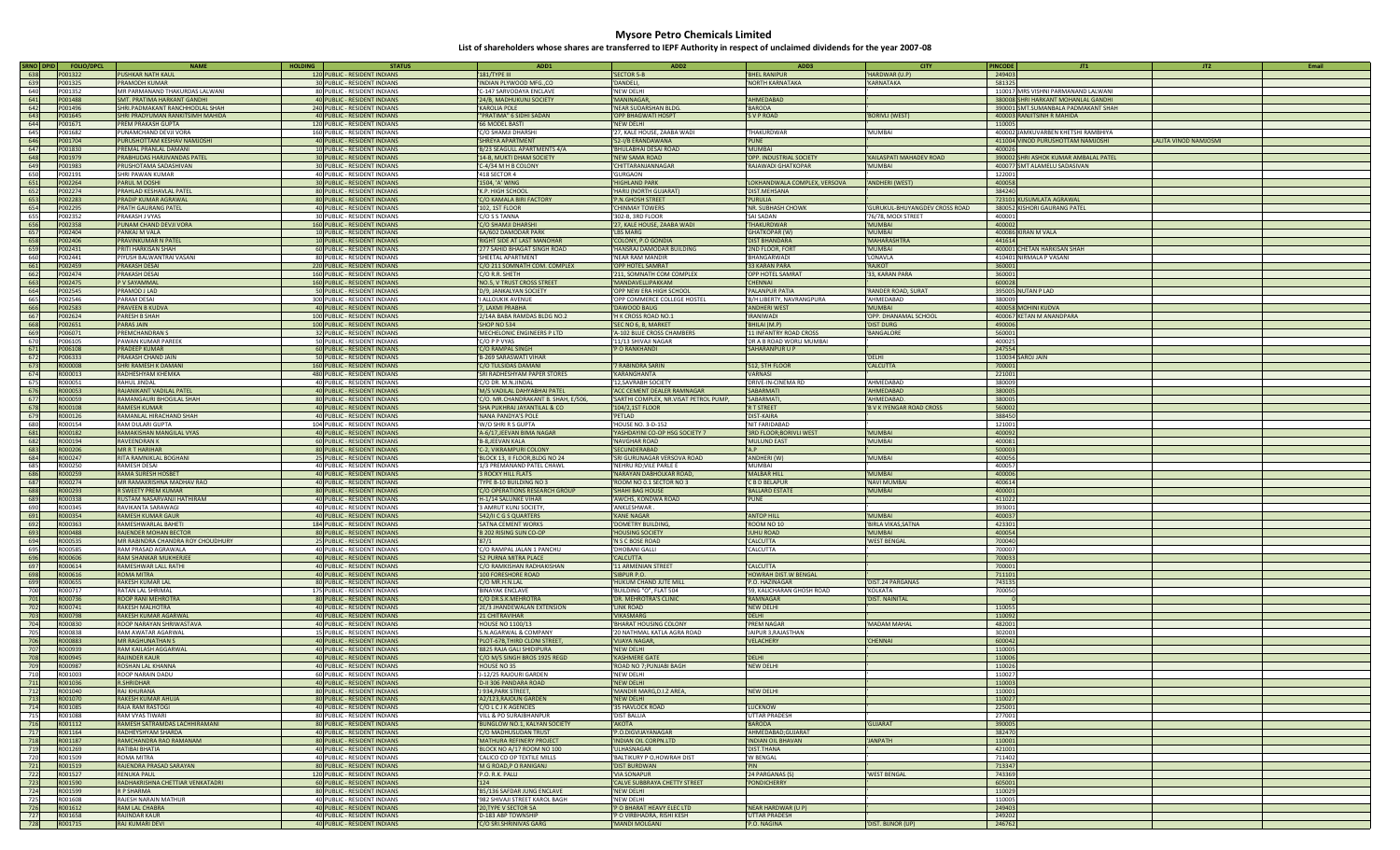| SRNO DPID   | <b>FOLIO/DPC</b>   | <b>NAME</b>                               | <b>HOLDING</b><br><b>STATUS</b>                               | ADD1                                                          | ADD <sub>2</sub>                                    | ADD3                                    | <b>CITY</b>                     | <b>PINCODE</b>   | JT1<br>JT2<br>Email                                               |
|-------------|--------------------|-------------------------------------------|---------------------------------------------------------------|---------------------------------------------------------------|-----------------------------------------------------|-----------------------------------------|---------------------------------|------------------|-------------------------------------------------------------------|
| 638         | P001322            | <b>PUSHKAR NATH KAUL</b>                  | 120 PUBLIC - RESIDENT INDIANS                                 | 181/TYPE III                                                  | <b>SECTOR 5-B</b>                                   | <b>BHEL RANIPUR</b>                     | HARDWAR (U.P)                   | 249403           |                                                                   |
| 639         | P001325            | PRAMODH KLIMAR                            | 30 PUBLIC - RESIDENT INDIANS                                  | INDIAN PLYWOOD MFG.,CO                                        | DANDELL                                             | NORTH KARNATAKA                         | 'KARNATAKA                      | 581325           |                                                                   |
| 640         | P001352            | MR PARMANAND THAKURDAS LALWANI            | 80 PUBLIC - RESIDENT INDIANS                                  | C-147 SARVODAYA ENCLAVE                                       | 'NFW DFI HI                                         |                                         |                                 |                  | 110017 MRS VISHNI PARMANAND LALWANI                               |
| 641         | P001488            | SMT. PRATIMA HARKANT GANDHI               | 40 PUBLIC - RESIDENT INDIANS                                  | 24/B, MADHUKUNJ SOCIETY                                       | 'MANINAGAR,                                         | <b>AHMEDABAD</b>                        |                                 |                  | 380008 SHRI HARKANT MOHANLAL GANDHI                               |
| 642         | P001496            | SHRI.PADMAKANT RANCHHODLAL SHAH           | 240 PUBLIC - RESIDENT INDIANS                                 | <b>KAROLIA POLE</b>                                           | 'NEAR SUDARSHAN BLDG.                               | <b>BARODA</b>                           |                                 |                  | 390001 SMT.SUMANBALA PADMAKANT SHAH                               |
| 643         | P001645            | SHRI PRADYUMAN RANKITSIMH MAHIDA          | 40 PUBLIC - RESIDENT INDIANS                                  | "PRATIMA" 6 SIDHI SADAN                                       | 'OPP BHAGWATI HOSPT                                 | 'S V P ROAD                             | 'BORIVLI (WEST)                 |                  | 400003 RANJITSINH R MAHIDA                                        |
| 644         | P001671            | PREM PRAKASH GUPTA                        | 120 PUBLIC - RESIDENT INDIANS                                 | 66 MODEL BASTI                                                | 'NEW DELHI                                          |                                         |                                 | 110005           |                                                                   |
| 645         | P001682            | PUNAMCHAND DEVJI VORA                     | 160 PUBLIC - RESIDENT INDIANS                                 | C/O SHAMJI DHARSHI                                            | 27. KALE HOUSE, ZAABA WADI                          | <b>THAKURDWAR</b>                       | 'MUMBAI                         |                  | 400002 JAMKUVARBEN KHETSHI RAMBHIYA                               |
| 646         | P001704            | PURUSHOTTAM KESHAV NAMJOSHI               | 40 PUBLIC - RESIDENT INDIANS                                  | <b>SHREYA APARTMENT</b>                                       | 52-I/B ERANDAWANA                                   | 'PUNE                                   |                                 |                  | 411004 VINOD PURUSHOTTAM NAMJOSHI<br><b>IM2OLMAN GONIV ATIJA.</b> |
| 647         | P001830            | PREMAI PRANIAI DAMANI                     | 10 PUBLIC - RESIDENT INDIANS                                  | 'B/23 SEAGULL APARTMENTS 4/A                                  | <b>BHULABHAI DESAI ROAD</b>                         | MUMBAI                                  |                                 | 400026           |                                                                   |
| 648         | P001979            | PRABHUDAS HARJIVANDAS PATEL               | 30 PUBLIC - RESIDENT INDIANS                                  | 14-B, MUKTI DHAM SOCIETY                                      | 'NEW SAMA ROAD                                      | OPP. INDUSTRIAL SOCIETY                 | KAILASPATI MAHADEV ROAD         |                  | 390002 SHRI ASHOK KUMAR AMBALAL PATEL                             |
| 649         | P001983            | PRUSHOTAMA SADASHIVAN                     | 30 PUBLIC - RESIDENT INDIANS                                  | C-4/34 M H B COLONY                                           | CHITTARANJANNAGAR                                   | RAJAWADI GHATKOPAR                      | 'MUMBAI                         |                  | 400077 SMT ALAMELU SADASIVAN                                      |
| 650         | P002191            | <b>SHRI PAWAN KUMAR</b>                   | 40 PUBLIC - RESIDENT INDIANS                                  | 418 SECTOR 4                                                  | <b>GURGAON</b>                                      |                                         |                                 | 122001           |                                                                   |
| 651         | P002264            | PARUL M DOSHI                             | 30 PUBLIC - RESIDENT INDIANS                                  | '1504, 'A' WING                                               | <b>HIGHLAND PARK</b>                                | LOKHANDWALA COMPLEX, VERSOVA            | 'ANDHERI (WEST)                 | 400058           |                                                                   |
| 652         | P002274            | PRAHLAD KESHAVLAL PATEL                   | 80 PUBLIC - RESIDENT INDIANS                                  | 'K.P. HIGH SCHOOL                                             | 'HARIJ (NORTH GUJARAT)                              | DIST.MEHSANA                            |                                 | 384240           |                                                                   |
| 653         | P002283            | PRADIP KUMAR AGRAWAI                      | 80 PUBLIC - RESIDENT INDIANS                                  | 'C/O KAMALA BIRI FACTORY                                      | 'P.N.GHOSH STREET                                   | <b>PURULIA</b>                          |                                 |                  | 723101 KUSUMLATA AGRAWAL                                          |
| 654         | P002295            | PRATH GAURANG PATEL                       | 40 PUBLIC - RESIDENT INDIANS                                  | 102, 1ST FLOOR                                                | CHINMAY TOWERS                                      | 'NR. SUBHASH CHOWK                      | GURUKUL-BHUYANGDEV CROSS ROAD   |                  | 380052 KISHORI GAURANG PATEL                                      |
| 655         | P002352            | PRAKASH I VYAS                            | 30 PUBLIC - RESIDENT INDIANS                                  | C/O S S TANNA                                                 | '302-B, 3RD FLOOR                                   | <b>SAI SADAN</b>                        | '76/78, MODI STREET             | 400001           |                                                                   |
| 656         | P002358            | PUNAM CHAND DEVJI VORA                    | 160 PUBLIC - RESIDENT INDIANS                                 | C/O SHAMJI DHARSHI                                            | 27, KALE HOUSE, ZAABA WADI                          | <b>THAKURDWAR</b>                       | 'MUMBAI                         | 400002           |                                                                   |
| 657         | P002404            | PANKAJ M VALA                             | 10 PUBLIC - RESIDENT INDIANS                                  | 6A/602 DAMODAR PARK                                           | <b>BS MARG</b>                                      | <b>GHATKOPAR (W)</b>                    | 'MUMBAI                         |                  | 400086 KIRAN M VALA                                               |
| 658         | P002406            | PRAVINKUMAR N PATEL                       | 10 PUBLIC - RESIDENT INDIANS                                  | 'RIGHT SIDE AT LAST MANOHAR                                   | COLONY, P.O GONDIA                                  | <b>DIST BHANDARA</b>                    | 'MAHARASHTRA                    | 441614           |                                                                   |
| 659         | P002431            | PRITI HARKISAN SHAH                       | 60 PUBLIC - RESIDENT INDIANS                                  | 277 SAHID BHAGAT SINGH ROAD                                   | HANSRAJ DAMODAR BUILDING                            | 2ND FLOOR, FORT                         | 'MUMBAI                         |                  | 400001 CHETAN HARKISAN SHAH                                       |
| 660         | P002441            | PIYUSH BALWANTRAI VASANI                  | 80 PUBLIC - RESIDENT INDIANS                                  | <b>SHEETAL APARTMENT</b>                                      | NEAR RAM MANDIR                                     | <b>BHANGARWAD</b>                       | <b>LONAVIA</b>                  |                  | 410401 NIRMALA P VASANI                                           |
| 661         | P002459            | <b>PRAKASH DESAI</b>                      | 220 PUBLIC - RESIDENT INDIANS                                 | 'C/O 211 SOMNATH COM. COMPLEX                                 | 'OPP HOTEL SAMRAT                                   | 33 KARAN PARA                           | 'RAIKOT                         | 360001           |                                                                   |
| 662         | P002474            | <b>PRAKASH DESAI</b>                      | 160 PUBLIC - RESIDENT INDIANS                                 | C/O R.R. SHETH                                                | 211, SOMNATH COM COMPLEX                            | OPP HOTEL SAMRAT                        | 33. KARAN PARA                  | 360001           |                                                                   |
| 663         | P002475            | P V SAYAMMAL                              | 160 PUBLIC - RESIDENT INDIANS                                 |                                                               | 'MANDAVELLIPAKKAM                                   | <b>CHENNAI</b>                          |                                 | 600028           |                                                                   |
| 664         | P002545            | PRAMOD J LAD                              | 50 PUBLIC - RESIDENT INDIANS                                  | 'NO.5, V TRUST CROSS STREET<br>'D/9, JANKALYAN SOCIETY        | OPP NEW ERA HIGH SCHOOL                             | PALANPUR PATIA                          | <b>RANDER ROAD, SURAT</b>       |                  | 395005 NUTAN P LAD                                                |
| 665         | P002546            | PARAM DESAI                               | 300 PUBLIC - RESIDENT INDIANS                                 | <b>ALLOUKIK AVENUE</b>                                        | OPP COMMERCE COLLEGE HOSTEL                         | 'B/H LIBERTY, NAVRANGPURA               | AHMFDARAD                       | 380009           |                                                                   |
|             |                    | <b>PRAVEEN B KUDVA</b>                    | 40 PUBLIC - RESIDENT INDIANS                                  | 7, LAXMI PRABHA                                               |                                                     | ANDHERI WEST                            | 'MUMBAL                         |                  | 400058 MOHINI KUDVA                                               |
| 666<br>667  | P002583<br>P002624 | PARESH B SHAH                             | 100 PUBLIC - RESIDENT INDIANS                                 | 2/14A BABA RAMDAS BLDG NO.2                                   | DAWOOD BAUG<br>H K CROSS ROAD NO.1                  | <b>IRANIWADI</b>                        | OPP. DHANAMAL SCHOOL            |                  | 400067 KETAN M ANANDPARA                                          |
|             |                    | <b>PARAS JAIN</b>                         |                                                               |                                                               |                                                     |                                         |                                 | 490006           |                                                                   |
| 668<br>669  | P002651<br>P006071 | <b>PREMCHANDRAN S</b>                     | 100 PUBLIC - RESIDENT INDIANS<br>32 PUBLIC - RESIDENT INDIANS | SHOP NO 534                                                   | SEC NO 6, B, MARKET                                 | 'BHILAI (M.P)<br>11 INFANTRY ROAD CROSS | 'DIST DURG<br>'BANGALORE        | 560001           |                                                                   |
| 670         | P006105            | PAWAN KUMAR PARFFK                        | 50 PUBLIC - RESIDENT INDIANS                                  | MECHELONIC ENGINEERS P LTD<br>C/O P P VYAS                    | 'A-102 BLUE CROSS CHAMBERS<br>11/13 SHIVAJI NAGAR   | DR A B ROAD WORLI MUMBAI                |                                 | 400025           |                                                                   |
| 671         | P006108            | <b>PRADEEP KUMAR</b>                      | 60 PUBLIC - RESIDENT INDIANS                                  | C/O RAMPAL SINGH                                              | P O RANKHANDI                                       | <b>SAHARANPUR U P</b>                   |                                 | 247554           |                                                                   |
| 672         | P006333            | PRAKASH CHAND JAIN                        | 50 PUBLIC - RESIDENT INDIANS                                  | 'B-269 SARASWATI VIHAR                                        |                                                     |                                         | 'DELHI                          |                  | 110034 SAROJ JAIN                                                 |
| 673         | <b>ROOOOO8</b>     | SHRI RAMESH K DAMANI                      | 160 PUBLIC - RESIDENT INDIANS                                 | 'C/O TULSIDAS DAMANI                                          | <b>RABINDRA SARIN</b>                               | 512, 5TH FLOOR                          | 'CALCUTTA                       | 700001           |                                                                   |
| 674         | R000013            | RADHESHYAM KHEMKA                         | 480 PUBLIC - RESIDENT INDIANS                                 | 'SRI RADHESHYAM PAPER STORES                                  | KARANGHANTA                                         | <b>VARNASI</b>                          |                                 | 221001           |                                                                   |
| 675         | R000051            | RAHUI IINDAI                              | 40 PUBLIC - RESIDENT INDIANS                                  | C/O DR. M.N. IINDAI                                           | 12.SAVRABH SOCIETY                                  | DRIVE-IN-CINEMA RD                      | AHMFDARAD                       | 380009           |                                                                   |
| 676         | R000053            | RAJANIKANT VADILAL PATEL                  | 40 PUBLIC - RESIDENT INDIANS                                  | 'M/S VADILAL DAHYABHAI PATEL                                  | 'ACC CEMENT DEALER RAMNAGAR                         | 'SABARMATI                              | AHMEDABAD                       | 380005           |                                                                   |
|             | <b>R000059</b>     | RAMANGAURI BHOGILAL SHAH                  | 80 PUBLIC - RESIDENT INDIANS                                  | C/O. MR.CHANDRAKANT B. SHAH, E/506,                           | 'SARTHI COMPLEX, NR.VISAT PETROL PUMP,              | <b>SABARMATI</b>                        | 'AHMEDABAD                      | 380005           |                                                                   |
| 677<br>678  | R000108            | <b>RAMESH KUMAR</b>                       | 40 PUBLIC - RESIDENT INDIANS                                  |                                                               |                                                     | <b>R T STREET</b>                       | <b>B V K IYENGAR ROAD CROSS</b> | 560002           |                                                                   |
|             |                    |                                           |                                                               | SHA PUKHRAJ JAYANTILAL & CO                                   | '104/2,1ST FLOOR                                    | <b>DIST-KAIRA</b>                       |                                 |                  |                                                                   |
| 679         | R000126            | RAMANLAL HIRACHAND SHAH                   | 40 PUBLIC - RESIDENT INDIANS<br>104 PUBLIC - RESIDENT INDIANS | NANA PANDYA'S POLE                                            | PETLAD                                              | NIT FARIDABAD                           |                                 | 388450<br>121001 |                                                                   |
| 680         | R000154<br>R000182 | RAM DULARI GUPTA                          |                                                               | 'W/O SHRI R S GUPTA                                           | HOUSE NO. 3-D-152                                   |                                         | 'MUMBAI                         | 400092           |                                                                   |
| 681         |                    | RAMAKISHAN MANGILAL VYAS                  | 40 PUBLIC - RESIDENT INDIANS                                  | 'A-6/17, JEEVAN BIMA NAGAR                                    | 'YASHDAYINI CO-OP HSG SOCIETY 7                     | 3RD FLOOR; BORIVLI WEST                 | 'MUMBAI                         |                  |                                                                   |
| 682         | R000194            | <b>RAVEENDRAN K</b>                       | 60 PUBLIC - RESIDENT INDIANS                                  | 'B-8,JEEVAN KALA                                              | <b>NAVGHAR ROAD</b>                                 | 'MULUND EAST                            |                                 | 400081           |                                                                   |
| 683         | R000206<br>R000247 | <b>MR R T HARIHAR</b>                     | 80 PUBLIC - RESIDENT INDIANS                                  | 'C-2, VIKRAMPURI COLONY                                       | 'SECUNDERABAD                                       | 'A.P                                    | 'MUMBAI                         | 500003<br>400056 |                                                                   |
| 684         | R000250            | RITA RAMNIKLAL BOGHANI                    | 25 PUBLIC - RESIDENT INDIANS                                  | BLOCK 13, II FLOOR, BLDG NO 24                                | 'SRI GURUNAGAR VERSOVA ROAD                         | 'ANDHERI (W)<br>MUMBAI                  |                                 | 400057           |                                                                   |
| 685<br>686  | R000259            | RAMESH DESAI<br><b>RAMA SURESH HOSBET</b> | 40 PUBLIC - RESIDENT INDIANS<br>40 PUBLIC - RESIDENT INDIANS  | 1/3 PREMANAND PATEL CHAWL                                     | 'NEHRU RD; VILE PARLE E                             | MALBAR HILL                             | 'MUMBAI                         | 400006           |                                                                   |
| 687         | R000274            | MR RAMAKRISHNA MADHAV RAO                 | 40 PUBLIC - RESIDENT INDIANS                                  | <b>3 ROCKY HILL FLATS</b>                                     | 'NARAYAN DABHOLKAR ROAD,<br>ROOM NO 0.1 SECTOR NO 3 | C B D BELAPUR                           | 'NAVI MUMBA                     | 400614           |                                                                   |
| 688         | R000293            | R SWEETY PREM KUMAR                       | 80 PUBLIC - RESIDENT INDIANS                                  | TYPE B-10 BUILDING NO 3<br>'C/O OPERATIONS RESEARCH GROUP     | 'SHAHI BAG HOUSE                                    | <b>BALLARD ESTATE</b>                   | 'MUMBAI                         | 400001           |                                                                   |
| 689         | <b>R000338</b>     | RUSTAM NASARVANJI HATHIRAM                | 40 PUBLIC - RESIDENT INDIANS                                  | 'H-1/14 SALUNKE VIHAR                                         | 'AWCHS, KONDWA ROAD                                 | 'PUNE                                   |                                 | 411022           |                                                                   |
| 690         | R000345            | RAVIKANTA SARAWAGI                        | 40 PUBLIC - RESIDENT INDIANS                                  | 3 AMRUT KUNJ SOCIETY                                          | 'ANKLESHWAR.                                        |                                         |                                 | 393001           |                                                                   |
| 691         | R000354            | <b>RAMESH KUMAR GAUR</b>                  | 40 PUBLIC - RESIDENT INDIANS                                  | '542/II C G S QUARTERS                                        | 'KANE NAGAR                                         | ANTOP HILL                              | 'MUMBAI                         | 400037           |                                                                   |
| 692         | R000363            | <b>RAMESHWARI AI BAHETI</b>               | 184 PUBLIC - RESIDENT INDIANS                                 | <b>SATNA CEMENT WORKS</b>                                     | 'DOMETRY BUILDING                                   | ROOM NO 10                              | <b>BIRLA VIKAS, SATNA</b>       | 423301           |                                                                   |
| 693         | R000488            | RAJENDER MOHAN BECTOR                     | 80 PUBLIC - RESIDENT INDIANS                                  | 'B 202 RISING SUN CO-OP                                       | <b>HOUSING SOCIETY</b>                              | JUHU ROAD                               | <b>MUMBAL</b>                   | 400054           |                                                                   |
| 694         | R000535            | MR RABINDRA CHANDRA ROY CHOUDHURY         | 25 PUBLIC - RESIDENT INDIANS                                  | '87/1                                                         | 'N S C BOSE ROAD                                    | 'CALCUTTA                               | <b>'WEST BENGAL</b>             | 700040           |                                                                   |
| 695         | <b>R000585</b>     | RAM PRASAD AGRAWAI A                      | 40 PUBLIC - RESIDENT INDIANS                                  | C/O RAMPAL JALAN 1 PANCHU                                     | DHOBANI GALLI                                       | CALCUTTA                                |                                 | 700007           |                                                                   |
| 696         | R000606            | <b>RAM SHANKAR MUKHERJEE</b>              | 40 PUBLIC - RESIDENT INDIANS                                  | 52 PURNA MITRA PLACE                                          | 'CALCUTTA                                           |                                         |                                 | 700033           |                                                                   |
| 697         | R000614            | RAMESHWAR LALL RATHI                      | 40 PUBLIC - RESIDENT INDIANS                                  | C/O RAMKISHAN RADHAKISHAN                                     | 11 ARMENIAN STREET                                  | CALCUTTA                                |                                 | 700001           |                                                                   |
| 698         | R000616            | ROMA MITRA                                | 40 PUBLIC - RESIDENT INDIANS                                  | 100 FORESHORE ROAD                                            | SIBPUR P.O.                                         | <b>HOWRAH DIST.W BENGAL</b>             |                                 | 711101           |                                                                   |
| 699         | R000655            | RAKESH KUMAR LAL                          | 80 PUBLIC - RESIDENT INDIANS                                  | C/O MR.H.N.LAL                                                | HUKUM CHAND JUTE MILL                               | P.O. HAZINAGAR                          | DIST.24 PARGANAS                | 743135           |                                                                   |
| 700         | R000717            | RATAN LAI SHRIMAI                         | 175 PUBLIC - RESIDENT INDIANS                                 | BINAYAK ENCLAVE                                               | 'BUILDING "O", FLAT 504                             | '59, KALICHARAN GHOSH ROAD              | KOI KATA                        | 700050           |                                                                   |
| 701         | R000736            | ROOP RANI MEHROTRA                        | 80 PUBLIC - RESIDENT INDIANS                                  | 'C/O DR.S.K.MEHROTRA                                          | 'DR. MEHROTRA'S CLINIC                              | <b>RAMNAGAR</b>                         | 'DIST. NAINITAL                 |                  |                                                                   |
| 702         | R000741            | RAKESH MALHOTRA                           | 40 PUBLIC - RESIDENT INDIANS                                  | '2E/3 JHANDEWALAN EXTENSION                                   | <b>IINK ROAD</b>                                    | 'NEW DELHI                              |                                 | 110055           |                                                                   |
| 703         | <b>R000798</b>     | <b>RAKESH KUMAR AGARWA</b>                | 40 PUBLIC - RESIDENT INDIANS                                  | '21 CHITRAVIHAR                                               | <b>VIKASMARG</b>                                    | 'DELHI                                  |                                 | 110092           |                                                                   |
| 704         | R000830            | ROOP NARAYAN SHRIWASTAVA                  | 40 PUBLIC - RESIDENT INDIANS                                  | HOUSE NO 1100/13                                              | <b>BHARAT HOUSING COLONY</b>                        | <b>PREM NAGAR</b>                       | 'MADAM MAHAL                    | 482001           |                                                                   |
| 705         | <b>R000838</b>     | RAM AWATAR AGARWAI                        | 15 PUBLIC - RESIDENT INDIANS                                  | S.N.AGARWAL & COMPANY                                         | '20 NATHMAL KATLA AGRA ROAD                         | <b>IAIPUR 3 RAIASTHAN</b>               |                                 | 302003           |                                                                   |
| 706         | <b>ROOO883</b>     | MR RAGHLINATHANS                          | 40 PUBLIC - RESIDENT INDIANS                                  | 'PLOT-67B, THIRD CLONI STREET                                 | 'VIIAYA NAGAR                                       | <b>VELACHERY</b>                        | CHENNAI                         | 600042           |                                                                   |
| 707         | R000939            | RAM KAILASH AGGARWAL                      | 40 PUBLIC - RESIDENT INDIANS                                  | 8825 RAJA GALI SHIDIPURA                                      | 'NEW DELHI                                          |                                         |                                 | 110005           |                                                                   |
| 708         | R000945            | <b>RAJINDER KAUR</b>                      | 40 PUBLIC - RESIDENT INDIANS                                  | C/O M/S SINGH BROS 1925 REGD                                  | 'KASHMERE GATE                                      | 'DELHI                                  |                                 | 110006           |                                                                   |
| 709         | R000987            | ROSHAN LAL KHANNA                         | 40 PUBLIC - RESIDENT INDIANS                                  | HOUSE NO 35                                                   | 'ROAD NO 7; PUNJABI BAGH                            | NEW DELHI                               |                                 | 110026           |                                                                   |
| 710         | R001003            | ROOP NARAIN DADU                          | 60 PUBLIC - RESIDENT INDIANS                                  | J-12/25 RAJOURI GARDEN                                        | 'NEW DELHI                                          |                                         |                                 | 110027           |                                                                   |
| 711         | R001036            | <b>R.SHRIDHAR</b>                         | 40 PUBLIC - RESIDENT INDIANS                                  | 'D-II 306 PANDARA ROAD                                        | 'NEW DELHI                                          |                                         |                                 | 110003           |                                                                   |
| 712         | R001040            | <b>RAI KHURANA</b>                        | 80 PUBLIC - RESIDENT INDIANS                                  | J 934, PARK STREET,                                           | MANDIR MARG.D.I.7 AREA                              | 'NEW DELHI                              |                                 | 110001           |                                                                   |
| 713         | R001070            | RAKESH KUMAR AHUJA                        | 80 PUBLIC - RESIDENT INDIANS                                  | 'A2/123, RAJOUN GARDEN                                        | 'NEW DELHI                                          |                                         |                                 | 110027           |                                                                   |
| 714         | R001085            | RAJA RAM RASTOGI                          | 40 PUBLIC - RESIDENT INDIANS                                  | 'C/O L C J K AGENCIES                                         | 35 HAVLOCK ROAD                                     | <b>IUCKNOW</b>                          |                                 | 225001           |                                                                   |
| 715         | R001088            | RAM VYAS TIWARI                           | 80 PUBLIC - RESIDENT INDIANS                                  | 'VILL & PO SURAJBHANPUR                                       | 'DIST BALLIA                                        | UTTAR PRADESH                           |                                 | 277001           |                                                                   |
| 716         | R001112            | RAMESH SATRAMDAS LACHHIRAMANI             | 80 PUBLIC - RESIDENT INDIANS                                  | 'BUNGLOW NO.1, KALYAN SOCIETY                                 | 'AKOTA                                              | 'BARODA                                 | 'GUIARAT                        | 390005           |                                                                   |
| 717         | R001164            | <b><i>RADHEYSHYAM SHARDA</i></b>          | 40 PUBLIC - RESIDENT INDIANS                                  | C/O MADHUSUDAN TRUST                                          | 'P.O.DIGVIJAYANAGAR                                 | AHMEDABAD:GUJARAT                       |                                 | 382470           |                                                                   |
| 718         | R001187            | RAMCHANDRA RAO RAMANAM                    | 80 PUBLIC - RESIDENT INDIANS                                  | MATHURA REFINERY PROJECT                                      | 'INDIAN OIL CORPN.LTD                               | <b>INDIAN OIL BHAVAN</b>                | <b>JANPATH</b>                  | 110001           |                                                                   |
| 719         | R001269            | RATIBAI BHATIA                            | 40 PUBLIC - RESIDENT INDIANS                                  | BLOCK NO A/17 ROOM NO 100                                     | <b>UI HASNAGAR</b>                                  | DIST.THANA                              |                                 | 421001           |                                                                   |
| 720         | R001509            | ROMA MITRA                                | 40 PUBLIC - RESIDENT INDIANS                                  | CALICO CO OP TEXTILE MILLS                                    | 'BALTIKURY P O, HOWRAH DIST                         | W BENGAL                                |                                 | 711402           |                                                                   |
| 721         | R001519            | RAJENDRA PRASAD SARAYAN                   | 80 PUBLIC - RESIDENT INDIANS                                  | 'M G ROAD, P O RANIGANJ                                       | 'DIST BURDWAN                                       | 'PIN                                    |                                 | 713347           |                                                                   |
|             | R001527            | <b>RENUKA PAUL</b>                        | 120 PUBLIC - RESIDENT INDIANS                                 | P.O. R.K. PAILL                                               | 'VIA SONAPUR                                        | 24 PARGANAS (S)                         | 'WEST BENGAL                    | 743369           |                                                                   |
| 723         | R001590            | RADHAKRISHNA CHETTIAR VENKATADRI          | 60 PUBLIC - RESIDENT INDIANS                                  | 124                                                           | 'CALVE SUBBRAYA CHETTY STREET                       | 'PONDICHERRY                            |                                 | 605001           |                                                                   |
| 724<br>725  | R001599<br>R001608 | R P SHARMA<br>RAJESH NARAIN MATHUR        | 80 PUBLIC - RESIDENT INDIANS<br>40 PUBLIC - RESIDENT INDIANS  | 'B5/136 SAFDAR JUNG ENCLAVE<br>'982 SHIVAJI STREET KAROL BAGH | 'NEW DELHI<br>'NEW DELHI                            |                                         |                                 | 110029<br>110005 |                                                                   |
|             |                    | RAM LAL CHABRA                            | 40 PUBLIC - RESIDENT INDIANS                                  |                                                               | 'P O BHARAT HEAVY ELEC LTD                          | NEAR HARDWAR (U P)                      |                                 |                  |                                                                   |
| 726         | R001612<br>R001658 | <b>RAJINDAR KAUR</b>                      | 40 PUBLIC - RESIDENT INDIANS                                  | '20, TYPE V SECTOR 5A<br>D-183 ABP TOWNSHIP                   |                                                     | UTTAR PRADESH                           |                                 | 249403           |                                                                   |
| 727         |                    | RAJ KUMARI DEVI                           | 40 PUBLIC - RESIDENT INDIANS                                  |                                                               | 'P O VIRBHADRA, RISHI KESH                          | 'P.O. NAGINA                            | 'DIST. BIJNOR (UP)              | 249202<br>246762 |                                                                   |
| 728 R001715 |                    |                                           |                                                               | 'C/O SRI.SHRINIVAS GARG                                       | 'MANDI MOLGANJ                                      |                                         |                                 |                  |                                                                   |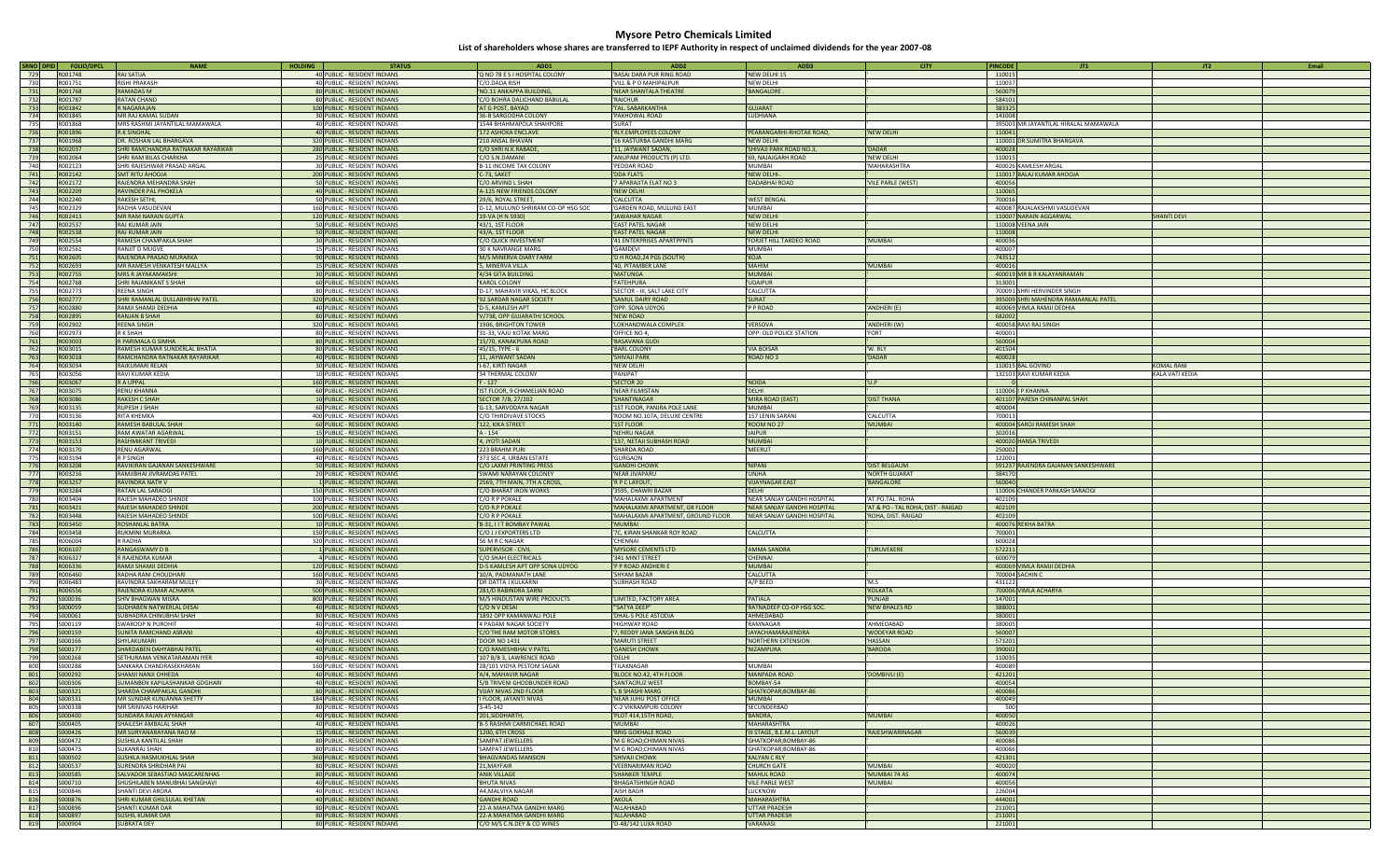| SRNO DPID<br><b>FOLIO/DPCL</b> | <b>NAME</b>                                    | <b>HOLDING</b><br><b>STATUS</b>                               | ADD1                                                    | ADD <sub>2</sub>                          | ADD3                                          | <b>CITY</b>                        | <b>PINCODE</b>   | JT2<br>JT1<br>Email                        |
|--------------------------------|------------------------------------------------|---------------------------------------------------------------|---------------------------------------------------------|-------------------------------------------|-----------------------------------------------|------------------------------------|------------------|--------------------------------------------|
| 729<br>R001748                 | RAJ SATIJA                                     | 40 PUBLIC - RESIDENT INDIANS                                  | Q NO 78 E S I HOSPITAL COLONY                           | 'BASAI DARA PUR RING ROAD                 | 'NEW DELHI 15                                 |                                    | 110015           |                                            |
| 730<br>R001751                 | RISHI PRAKASH                                  | 40 PUBLIC - RESIDENT INDIANS                                  | C/O.DADA RISH                                           | 'VILL & P O MAHIPALPUR                    | 'NEW DELHI                                    |                                    | 110037           |                                            |
| 731<br>R001768                 | RAMADAS M                                      | 80 PUBLIC - RESIDENT INDIANS                                  | 'NO.11 ANKAPPA BUILDING,                                | 'NEAR SHANTALA THEATRE                    | 'BANGALORE                                    |                                    | 560079           |                                            |
| 732<br>R001787                 | <b>RATAN CHAND</b>                             | 80 PUBLIC - RESIDENT INDIANS                                  | 'C/O BOHRA DALICHAND BABULAL                            | 'RAICHUR                                  |                                               |                                    | 584101           |                                            |
| 733<br>R001842                 | R NAGARAJAN                                    | 100 PUBLIC - RESIDENT INDIANS                                 | AT G POST, BAYAD                                        | 'TAL. SABARKANTHA                         | 'GUJARAT                                      |                                    | 383325           |                                            |
| 734<br>R001845                 | MR RAJ KAMAL SUDAN                             | 30 PUBLIC - RESIDENT INDIANS                                  | 36-B SARGODHA COLONY                                    | 'PAKHOWAL ROAD                            | 'LUDHIANA                                     |                                    | 141008           |                                            |
| 735<br>R001868                 | MRS RASHMI JAYANTILAL MAMAWALA                 | 40 PUBLIC - RESIDENT INDIANS                                  | 1544 BHAHMAPOLA SHAHPORE                                | 'SURAT                                    |                                               |                                    |                  | 395003 MR JAYANTILAL HIRALAL MAMAWALA      |
| 736<br>R001896                 | R.K SINGHAL                                    | 40 PUBLIC - RESIDENT INDIANS                                  | 172 ASHOKA ENCLAVE                                      | 'RLY.EMPLOYEES COLONY                     | 'PEARANGARHI-RHOTAK ROAD,                     | 'NEW DELHI                         | 110041           |                                            |
| 737<br>R001968                 | DR. ROSHAN LAL BHARGAVA                        | 320 PUBLIC - RESIDENT INDIANS                                 | 210 ANSAL BHAVAN                                        | '16 KASTURBA GANDHI MARG                  | 'NEW DELHI                                    |                                    |                  | 110001 DR.SUMITRA BHARGAVA                 |
| 738<br>R002037                 | SHRI RAMCHANDRA RATNAKAR RAYARIKAR             | 280 PUBLIC - RESIDENT INDIANS                                 | C/O SHRI N.K.RABADE                                     | '11, JAYWANT SADAN,                       | 'SHIVAJI PARK ROAD NO.3                       | <b>DADAR</b>                       | 400028           |                                            |
| R002064                        |                                                |                                                               |                                                         | 'ANUPAM PRODUCTS (P) LTD                  | '69, NAJAJGARH ROAD                           |                                    |                  |                                            |
| 739<br>740<br>R002123          | SHRI RAM BILAS CHARKHA                         | 25 PUBLIC - RESIDENT INDIANS                                  | C/O S.N.DAMANI                                          | 'PEDDAR ROAD                              | 'MUMBAI                                       | 'NEW DELHI<br>'MAHARASHTRA         | 110015           | 400026 KAMLESH ARGAL                       |
|                                | SHRI RAJESHWAR PRASAD ARGAL                    | 30 PUBLIC - RESIDENT INDIANS                                  | 'B-11 INCOME TAX COLONY                                 |                                           |                                               |                                    |                  |                                            |
| 741<br>R002142                 | <b>ALOOHA UTIR TMZ</b>                         | 200 PUBLIC - RESIDENT INDIANS                                 | 'C-73, SAKET                                            | 'DDA FLATS                                | 'NEW DELHI-                                   |                                    |                  | 110017 BALAJ KUMAR AHOOJA                  |
| 742<br>R002172                 | RAJENDRA MEHANDRA SHAH                         | 50 PUBLIC - RESIDENT INDIANS                                  | C/O ARVIND L SHAH                                       | 7 APARAJITA FLAT NO 3                     | 'DADABHAI ROAD                                | 'VILE PARLE (WEST)                 | 400056           |                                            |
| 743<br>R002209                 | RAVINDER PAL PHOKELA                           | 40 PUBLIC - RESIDENT INDIANS                                  | 'A-125 NEW FRIENDS COLONY                               | 'NEW DELHI                                |                                               |                                    | 110065           |                                            |
| 744<br>R002240                 | RAKESH SETHI,                                  | 50 PUBLIC - RESIDENT INDIANS                                  | '29/6, ROYAL STREET,                                    | 'CALCUTTA                                 | 'WEST BENGAL                                  |                                    | 700016           |                                            |
| 745<br>R002329                 | RADHA VASUDEVAN                                | 160 PUBLIC - RESIDENT INDIANS                                 | 'D-12, MULUND SHRIRAM CO-OP HSG SOC                     | 'GARDEN ROAD, MULUND EAST                 | 'MUMBAI                                       |                                    |                  | 400087 RAJALAKSHMI VASUDEVAN               |
| 746<br>R002413                 | MR RAM NARAIN GUPTA                            | 120 PUBLIC - RESIDENT INDIANS                                 | '19-VA (H N 5930)                                       | 'JAWAHAR NAGAR                            | 'NEW DELHI                                    |                                    |                  | 110007 NARAIN AGGARWAL<br>SHANTI DEVI      |
| 747<br>R002537                 | RAJ KUMAR JAIN                                 | 50 PUBLIC - RESIDENT INDIANS                                  | '43/1, 1ST FLOOR                                        | 'EAST PATEL NAGAR                         | 'NEW DELHI                                    |                                    |                  | 110008 VEENA JAIN                          |
| 748<br>R002538                 | RAJ KUMAR JAIN                                 | 50 PUBLIC - RESIDENT INDIANS                                  | '43/A, 1ST FLOOR                                        | <b>EAST PATEL NAGAR</b>                   | 'NEW DELHI                                    |                                    | 110008           |                                            |
| 749<br>R002554                 | RAMESH CHAMPAKLA SHAH                          | 30 PUBLIC - RESIDENT INDIANS                                  | 'C/O QUICK INVESTMENT                                   | '41 ENTERPRISES APARTPPNTS                | <b>'FORJET HILL TARDEO ROAD</b>               | 'MUMBAI                            | 400036           |                                            |
| 750<br>R002561                 | RANJIT D MUGVE                                 | 15 PUBLIC - RESIDENT INDIANS                                  | 30 K NAVRANGE MARG                                      | 'GAMDEVI                                  | 'MUMBA                                        |                                    | 400007           |                                            |
| 751<br>R002605                 | RAJENDRA PRASAD MURARKA                        | 90 PUBLIC - RESIDENT INDIANS                                  | 'M/S MINERVA DIARY FARM                                 | 'D H ROAD, 24 PGS (SOUTH)                 | 'KOJA                                         |                                    | 743512           |                                            |
| 752<br>R002693                 | MR RAMESH VENKATESH MALLYA                     | 15 PUBLIC - RESIDENT INDIANS                                  | 5, MINERVA VILLA                                        | '40, PITAMBER LANE                        | 'MAHIM                                        | 'MUMBAI                            | 400016           |                                            |
| 753<br>R002755                 | MRS R JAYAKAMAKSHI                             | 30 PUBLIC - RESIDENT INDIANS                                  | '4/34 GITA BUILDING                                     | 'MATUNGA                                  | 'MUMBAI                                       |                                    |                  | 400019 MR B R KALAYANRAMAN                 |
| 754<br>R002768                 | SHRI RAJANIKANT S SHAH                         | 60 PUBLIC - RESIDENT INDIANS                                  | KAROL COLONY                                            | 'FATEHPURA                                | 'UDAIPUR                                      |                                    | 313001           |                                            |
| 755<br>R002773                 | REENA SINGH                                    | 80 PUBLIC - RESIDENT INDIANS                                  | 'D-17, MAHAVIR VIKAS, HC BLOCK                          | 'SECTOR - III, SALT LAKE CITY             | 'CALCUTTA                                     |                                    |                  | 700091 SHRI HERVINDER SINGH                |
| 756<br>R002777                 | SHRI RAMANLAL DULLABHBHAI PATEL                | 320 PUBLIC - RESIDENT INDIANS                                 | 92 SARDAR NAGAR SOCIETY                                 | 'SAMUL DAIRY ROAD                         | 'SURAT                                        |                                    |                  | 395009 SHRI MAHENDRA RAMAANLAL PATEL       |
| 757<br>R002880                 | RAMJI SHAMJI DEDHIA                            | 40 PUBLIC - RESIDENT INDIANS                                  | 'D-5, KAMLESH APT                                       | 'OPP. SONA UDYOG                          | 'P P ROAD                                     | 'ANDHERI (E)                       |                  | 400069 VIMLA RAMJI DEDHIA                  |
| 758<br>R002895                 | RANJAN B SHAH                                  | 80 PUBLIC - RESIDENT INDIANS                                  | V/738, OPP GUJARATHI SCHOOL                             | 'NEW ROAD                                 |                                               |                                    | 682002           |                                            |
| 759<br>R002902                 | REENA SINGH                                    | 320 PUBLIC - RESIDENT INDIANS                                 | '1906, BRIGHTON TOWER                                   | 'LOKHANDWALA COMPLEX                      | 'VERSOVA                                      | 'ANDHERI (W)                       |                  | 400058 RAVI RAJ SINGH                      |
| 760<br>R002973                 | R K SHAH                                       | 80 PUBLIC - RESIDENT INDIANS                                  | 31-33, VAJU KOTAK MARG                                  | 'OFFICE NO 4,                             | 'OPP: OLD POLICE STATION                      | 'FORT                              | 400001           |                                            |
| 761<br>R003003                 | R PARIMALA G SIMHA                             | 80 PUBLIC - RESIDENT INDIANS                                  | '15/70, KANAKPURA ROAD                                  | 'BASAVANA GUDI                            |                                               |                                    | 560004           |                                            |
| 762<br>R003015                 | RAMESH KUMAR SUNDERLAL BHATIA                  | 80 PUBLIC - RESIDENT INDIANS                                  | '45/15, TYPE - 6                                        | 'BARL COLONY                              | 'VIA BOISAR                                   | 'W. RLY                            | 401504           |                                            |
| 763<br>R003018                 | RAMCHANDRA RATNAKAR RAYARIKAR                  | 40 PUBLIC - RESIDENT INDIANS                                  | '11, JAYWANT SADAN                                      | 'SHIVAJI PARK                             | 'ROAD NO 3                                    | 'DADAR                             | 400028           |                                            |
| 764<br>R003034                 | RAJKUMARI RELAN                                | 30 PUBLIC - RESIDENT INDIANS                                  | I-67, KIRTI NAGAR                                       | 'NEW DELHI                                |                                               |                                    |                  | 110015 BAL GOVIND<br>KOMAL RANI            |
| 765<br><b>R003056</b>          | RAVI KUMAR KEDIA                               | 10 PUBLIC - RESIDENT INDIANS                                  | 34 THERMAL COLONY                                       | 'PANIPAT                                  |                                               |                                    |                  | KALA VATI KEDIA<br>132103 RAVI KUMAR KEDIA |
| 766<br>R003067                 | R A UPPAL                                      | 160 PUBLIC - RESIDENT INDIANS                                 | 'F - 127                                                | 'SECTOR 20                                | 'NOIDA                                        | 'U.P                               |                  |                                            |
| 767<br>R003075                 | RENU KHANNA                                    | 60 PUBLIC - RESIDENT INDIANS                                  | IST FLOOR, 9 CHAMELIAN ROAD                             | 'NEAR FILMISTAN                           | 'DELHI                                        |                                    |                  | 110006 I P KHANNA                          |
| 768<br>R003086                 | <b>RAKESH C SHAH</b>                           | 10 PUBLIC - RESIDENT INDIANS                                  | 'SECTOR 7/B, 27/202                                     | <b>'SHANTINAGAR</b>                       | 'MIRA ROAD (EAST)                             | 'DIST THANA                        |                  | 401107 PARESH CHINANPAL SHAH               |
| 769<br>R003135                 | RUPESH J SHAH                                  | 60 PUBLIC - RESIDENT INDIANS                                  | 'G-13, SARVODAYA NAGAR                                  | 1ST FLOOR, PANJRA POLE LANE               | 'MUMBAI                                       |                                    | 400004           |                                            |
| 770<br>R003136                 | RITA KHEMKA                                    | 400 PUBLIC - RESIDENT INDIANS                                 | C/O THIRDIVAVE STOCKS                                   | 'ROOM NO.107A, DELUXE CENTRE              | '157 LENIN SARANI                             | 'CALCUTTA                          | 700013           |                                            |
| 771<br>R003140                 | RAMESH BABULAL SHAH                            | 60 PUBLIC - RESIDENT INDIANS                                  | '122, KIKA STREET                                       | '1ST FLOOR                                | 'ROOM NO 27                                   | 'MUMBAI                            |                  | 400004 SAROJ RAMESH SHAH                   |
| 772<br>R003151                 | RAM AWATAR AGARWAL                             | 15 PUBLIC - RESIDENT INDIANS                                  | 'A - 154                                                | 'NEHRU NAGAR                              | 'JAIPUR                                       |                                    | 302016           |                                            |
| 773<br>R003153                 | RASHMIKANT TRIVEDI                             | 10 PUBLIC - RESIDENT INDIANS                                  | '4, JYOTI SADAN                                         | '137, NETAJI SUBHASH ROAD                 | 'MUMBA                                        |                                    |                  | 400020 HANSA TRIVEDI                       |
| 774<br>R003170                 | RENU AGARWAL                                   | 160 PUBLIC - RESIDENT INDIANS                                 | 223 BRAHM PURI                                          | 'SHARDA ROAD                              | 'MEERUT                                       |                                    | 250002           |                                            |
| 775<br>R003194                 | R P SINGH                                      | 40 PUBLIC - RESIDENT INDIANS                                  | 373 SEC.4, URBAN ESTATE                                 | 'GURGAON                                  |                                               |                                    | 122001           |                                            |
| 776<br>R003208                 | RAVIKIRAN GAJANAN SANKESHWARE                  | 50 PUBLIC - RESIDENT INDIANS                                  | 'C/O LAXMI PRINTING PRESS                               | <b>'GANDHI CHOWI</b>                      | 'NIPANI                                       | 'DIST BELGAUM                      |                  | 591237 RAJENDRA GAJANAN SANKESHWARE        |
| 777                            |                                                |                                                               |                                                         |                                           |                                               |                                    |                  |                                            |
| R003216<br>778<br>R003257      | RAMJIBHAI JIVRAMDAS PATEL<br>RAVINDRA NATH V   | 20 PUBLIC - RESIDENT INDIANS<br>1 PUBLIC - RESIDENT INDIANS   | SWAMI NARAYAN COLONEY<br>'2569, 7TH MAIN, 7TH A CROS!   | 'NEAR JIVAPARU<br>'R P C LAYOUT,          | 'UNJHA<br>'VIJAYNAGAR EAST                    | <b>NORTH GUJARAT</b><br>'BANGALORE | 384170<br>560040 |                                            |
| 779<br>R003284                 | RATAN LAL SARAOGI                              | 150 PUBLIC - RESIDENT INDIANS                                 | C/O BHARAT IRON WORKS                                   | '3595, CHAWRI BAZAR                       | 'DELHI                                        |                                    |                  | 110006 CHANDER PARKASH SARAOGI             |
| 780<br>R003404                 | RAJESH MAHADEO SHINDE                          | 100 PUBLIC - RESIDENT INDIANS                                 | C/O R P POKALE                                          | 'MAHALAXMI APARTMENT                      | 'NEAR SANJAY GANDHI HOSPITAL                  | AT.PO.TAL. ROHA                    | 402109           |                                            |
| 781<br>R003421                 | RAJESH MAHADEO SHINDE                          | 200 PUBLIC - RESIDENT INDIANS                                 | 'C/O R.P POKALE                                         | 'MAHALAXMI APARTMENT, GR FLOOR            | 'NEAR SANJAY GANDHI HOSPITAL                  | 'AT & PO - TAL ROHA, DIST - RAIGAD | 402109           |                                            |
| 782<br>R003448                 | RAJESH MAHADEO SHINDE                          | 100 PUBLIC - RESIDENT INDIANS                                 | C/O R P POKALE                                          | 'MAHALAXMI APARTMENT, GROUND FLOOR        | 'NEAR SANJAY GANDHI HOSPITAL                  | 'ROHA, DIST. RAIGAD                | 402109           |                                            |
| 783<br>R003450                 | ROSHANLAL BATRA                                | 10 PUBLIC - RESIDENT INDIANS                                  | B-31, I I T BOMBAY PAWAL                                | 'MUMBAI                                   |                                               |                                    |                  | 400076 REKHA BATRA                         |
| 784<br>R003458                 | RUKMINI MURARKA                                | 150 PUBLIC - RESIDENT INDIANS                                 | C/O J J EXPORTERS LTD                                   | '7C, KIRAN SHANKAR ROY ROAD               | 'CALCUTTA                                     |                                    | 700001           |                                            |
| 785<br>R006004                 | R RADHA                                        | 320 PUBLIC - RESIDENT INDIANS                                 | 56 M R C NAGAR                                          | 'CHENNAI                                  |                                               |                                    | 600028           |                                            |
| 786<br>R006107                 | RANGASWAMY D B                                 | 1 PUBLIC - RESIDENT INDIANS                                   | 'SUPERVISOR - CIVIL                                     | 'MYSORE CEMENTS LTD                       | 'AMMA SANDRA                                  | 'TURUVEKERE                        | 572211           |                                            |
| 787<br>R006327                 | R RAJENDRA KUMAR                               | 4 PUBLIC - RESIDENT INDIANS                                   | C/O SHAH ELECTRICALS                                    | '341 MINT STREET                          | 'CHENNAI                                      |                                    | 600079           |                                            |
| 788<br>R006336                 | RAMJI SHAMJI DEDHIA                            | 120 PUBLIC - RESIDENT INDIANS                                 | D-5 KAMLESH APT OPP SONA UDYOG                          | 'P P ROAD ANDHERI E                       | 'MUMBAI                                       |                                    |                  | 400069 VIMLA RAMJI DEDHIA                  |
| 789<br>R006460                 | RADHA RANI CHOUDHARI                           | 160 PUBLIC - RESIDENT INDIANS                                 | '10/A, PADMANATH LANE                                   | 'SHYAM BAZAR                              | 'CALCUTTA                                     |                                    |                  | 700004 SACHIN C                            |
| 790<br>R006483                 | RAVINDRA SAKHARAM MULEY                        | 30 PUBLIC - RESIDENT INDIANS                                  | 'DR DATTA J KULKARNI                                    | 'SUBHASH ROAD                             | 'A/P BEED                                     | 'M.S                               | 431122           |                                            |
| 791<br>R006556                 | RAJENDRA KUMAR ACHARYA                         | 500 PUBLIC - RESIDENT INDIANS                                 | '281/D RABINDRA SARNI                                   |                                           |                                               | 'KOLKATA                           |                  | 700006 VIMLA ACHARYA                       |
| 792<br>S000036                 | SHIV BHAGWAN MISRA                             | 800 PUBLIC - RESIDENT INDIANS                                 | 'M/S HINDUSTAN WIRE PRODUCTS                            | 'LIMITED, FACTORY AREA                    | 'PATIALA                                      | 'PUNJAB                            | 147001           |                                            |
| 793<br>S000059                 | SUDHABEN NATWERLAL DESAI                       | 40 PUBLIC - RESIDENT INDIANS                                  | 'C/O N V DESAI                                          | "SATYA DEEP"                              | 'RATNADEEP CO-OP HSG SOC.                     | 'NEW BHALES RD                     | 388001           |                                            |
| 794<br>S000061                 | <b>SUBHADRA CHINUBHAI SHAH</b>                 | 80 PUBLIC - RESIDENT INDIANS                                  | 1892 OPP KAMANWALI POLE                                 | 'DHAL-S POLE ASTODIA                      | 'AHMEDABAD                                    |                                    | 380001           |                                            |
| 795<br>S000119                 | SWAROOP N PUROHIT                              | 40 PUBLIC - RESIDENT INDIANS                                  | 4 PADAM NAGAR SOCIETY                                   | 'HIGHWAY ROAD                             | 'RAMNAGAF                                     | 'AHMEDABAD                         | 380005           |                                            |
| 796<br>S000159                 | SUNITA RAMCHAND ASRANI                         | 40 PUBLIC - RESIDENT INDIANS                                  | 'C/O THE RAM MOTOR STORES                               | '7, REDDY JANA SANGHA BLDG                | 'JAYACHAMARAJENDRA                            | 'WODEYAR ROAD                      | 560007           |                                            |
| 797<br>S000166                 | SHYLAKUMARI                                    | 40 PUBLIC - RESIDENT INDIANS                                  | DOOR NO 1431                                            | 'MARUTI STREET                            | 'NORTHERN EXTENSION                           | 'HASSAN                            | 573201           |                                            |
|                                | SHARDABEN DAHYABHAI PATEL                      |                                                               | C/O RAMESHBHAI V PATEL                                  |                                           | 'NIZAMPURA                                    |                                    |                  |                                            |
| 798<br>S000177                 |                                                | 40 PUBLIC - RESIDENT INDIANS                                  |                                                         | 'GANESH CHOWK                             |                                               | 'BARODA                            | 390002           |                                            |
| 799<br>S000268<br>S000288      | SETHURAMA VENKATARAMAN IYER                    | 40 PUBLIC - RESIDENT INDIANS                                  | '107 B/B 3, LAWRENCE ROAD<br>'28/101 VIDYA PESTOM SAGAR | 'DELHI<br><b>TILAKNAGAR</b>               | 'MUMBAI                                       |                                    | 110035<br>400089 |                                            |
| 800<br>801<br>S000292          | SANKARA CHANDRASEKHARAN<br>SHAMJI NANJI CHHEDA | 160 PUBLIC - RESIDENT INDIANS<br>40 PUBLIC - RESIDENT INDIANS | 'A/4, MAHAVIR NAGAR                                     | 'BLOCK NO.42, 4TH FLOOR                   | 'MANPADA ROAD                                 | 'DOMBIVLI (E)                      | 421201           |                                            |
| 802<br>S000306                 | <b>SUMANBEN KAPILASHANKAR GOGHARI</b>          | 40 PUBLIC - RESIDENT INDIANS                                  | '5/B TRIVENI GHODBUNDER ROAD                            | 'SANTACRUZ WEST                           | 'BOMBAY-54                                    |                                    | 400054           |                                            |
| 803<br>S000321                 | SHARDA CHAMPAKLAL GANDHI                       | 80 PUBLIC - RESIDENT INDIANS                                  | VIJAY NIVAS 2ND FLOOR                                   | 'L B SHASHI MARG                          | 'GHATKOPAR;BOMBAY-86                          |                                    | 400086           |                                            |
| 804<br>S000331                 | MR SUNDAR KUNJANNA SHETTY                      | 184 PUBLIC - RESIDENT INDIANS                                 | I FLOOR, JAYANTI NIVAS                                  | 'NEAR JUHU POST OFFICE                    | 'MUMBAI                                       |                                    | 400049           |                                            |
| 805<br>S000338                 | <b>MR SRINIVAS HARIHAR</b>                     | 80 PUBLIC - RESIDENT INDIANS                                  | 3-45-142                                                | 'C-2 VIKRAMPURI COLONY                    | 'SECUNDERBAD                                  |                                    | 500              |                                            |
| 806<br>S000400                 | SUNDARA RAJAN AYYANGAR                         | 40 PUBLIC - RESIDENT INDIANS                                  | '201, SIDDHARTH,                                        | PLOT 414,15TH ROAD,                       | 'BANDRA,                                      | 'MUMBAI                            | 400050           |                                            |
| 807<br>S000405                 | SHAILESH AMBALAL SHAH                          | 40 PUBLIC - RESIDENT INDIANS                                  | 'B-5 RASHMI CARMICHAEL ROAD                             | 'MUMBAL                                   | 'MAHARASHTRA                                  |                                    | 400026           |                                            |
|                                | MR SURYANARAYANA RAO M                         |                                                               |                                                         |                                           | 'III STAGE, B.E.M.L. LAYOUT                   | 'RAJESHWARINAGAR                   |                  |                                            |
| 808<br>S000426                 |                                                | 15 PUBLIC - RESIDENT INDIANS                                  | '1200, 6TH CROSS                                        | 'BRIG GOKHALE ROAD                        |                                               |                                    | 560039<br>400086 |                                            |
| 809<br>S000472<br>S000473      | SUSHILA KANTILAL SHAH<br>SUKANRAJ SHAH         | 80 PUBLIC - RESIDENT INDIANS                                  | 'SAMPAT JEWELLERS<br><b>SAMPAT JEWELLERS</b>            | 'M G ROAD; CHIMAN NIVAS                   | 'GHATKOPAR;BOMBAY-86<br>'GHATKOPAR: BOMBAY-86 |                                    | 400086           |                                            |
| 810<br>811<br>S000502          | SUSHILA HASMUKHLAL SHAH                        | 80 PUBLIC - RESIDENT INDIANS<br>360 PUBLIC - RESIDENT INDIANS | <b>BHAGVANDAS MANSION</b>                               | 'M G ROAD; CHIMAN NIVAS<br>'SHIVAJI CHOWK | 'KALYAN C RLY                                 |                                    | 421301           |                                            |
| S000537                        | <b>SURENDRA SHRIDHAR PAI</b>                   |                                                               | '21.MAYFAIR                                             | <b>'VEERNARIMAN ROAD</b>                  | 'CHURCH GATE                                  | 'MUMBAL                            | 400020           |                                            |
| 812                            |                                                | 80 PUBLIC - RESIDENT INDIANS                                  |                                                         |                                           |                                               |                                    |                  |                                            |
| 813<br>S000585                 | SALVADOR SEBASTIAO MASCARENHAS                 | 80 PUBLIC - RESIDENT INDIANS                                  | 'ANIK VILLAGE                                           | 'SHANKER TEMPLE                           | 'MAHUL ROAD                                   | 'MUMBAI 74 AS                      | 400074           |                                            |
| 814<br>S000710<br>5000846      | SHUSHILABEN MANUBHAI SANGHAVI                  | 40 PUBLIC - RESIDENT INDIANS                                  | <b>BHUTA NIVAS</b><br>'A4.MAI VIYA NAGAR                | 'BHAGATSHINGH ROAD<br>'AISH BAGH          | 'VILE PARLE WEST                              | 'MUMBAI                            | 400056           |                                            |
| 815                            | <b>SHANTI DEVI ARORA</b>                       | 40 PUBLIC - RESIDENT INDIANS                                  |                                                         |                                           | 'LUCKNOW                                      |                                    | 226004           |                                            |
| 816<br>S000876                 | SHRI KUMAR GHILSULAL KHETAN                    | 40 PUBLIC - RESIDENT INDIANS                                  | <b>GANDHI ROAD</b>                                      | 'AKOLA                                    | 'MAHARASHTRA                                  |                                    | 444001           |                                            |
| 817<br>S000896                 | SHANTI KUMAR DAR                               | 80 PUBLIC - RESIDENT INDIANS                                  | 22-A MAHATMA GANDHI MARG                                | 'ALLAHABAD                                | <b>'UTTAR PRADESH</b>                         |                                    | 211001           |                                            |
| 818<br>S000897                 | <b>SUSHIL KUMAR DAR</b>                        | 80 PUBLIC - RESIDENT INDIANS                                  | '22-A MAHATMA GANDHI MARG                               | 'ALLAHABAD                                | <b>'UTTAR PRADESH</b>                         |                                    | 211001           |                                            |
| 819<br>S000904                 | <b>SUBRATA DEY</b>                             | 80 PUBLIC - RESIDENT INDIANS                                  | 'C/O M/S C.N.DEY & CO WINES                             | 'D-48/142 LUXA ROAD                       | 'VARANASI                                     |                                    | 221001           |                                            |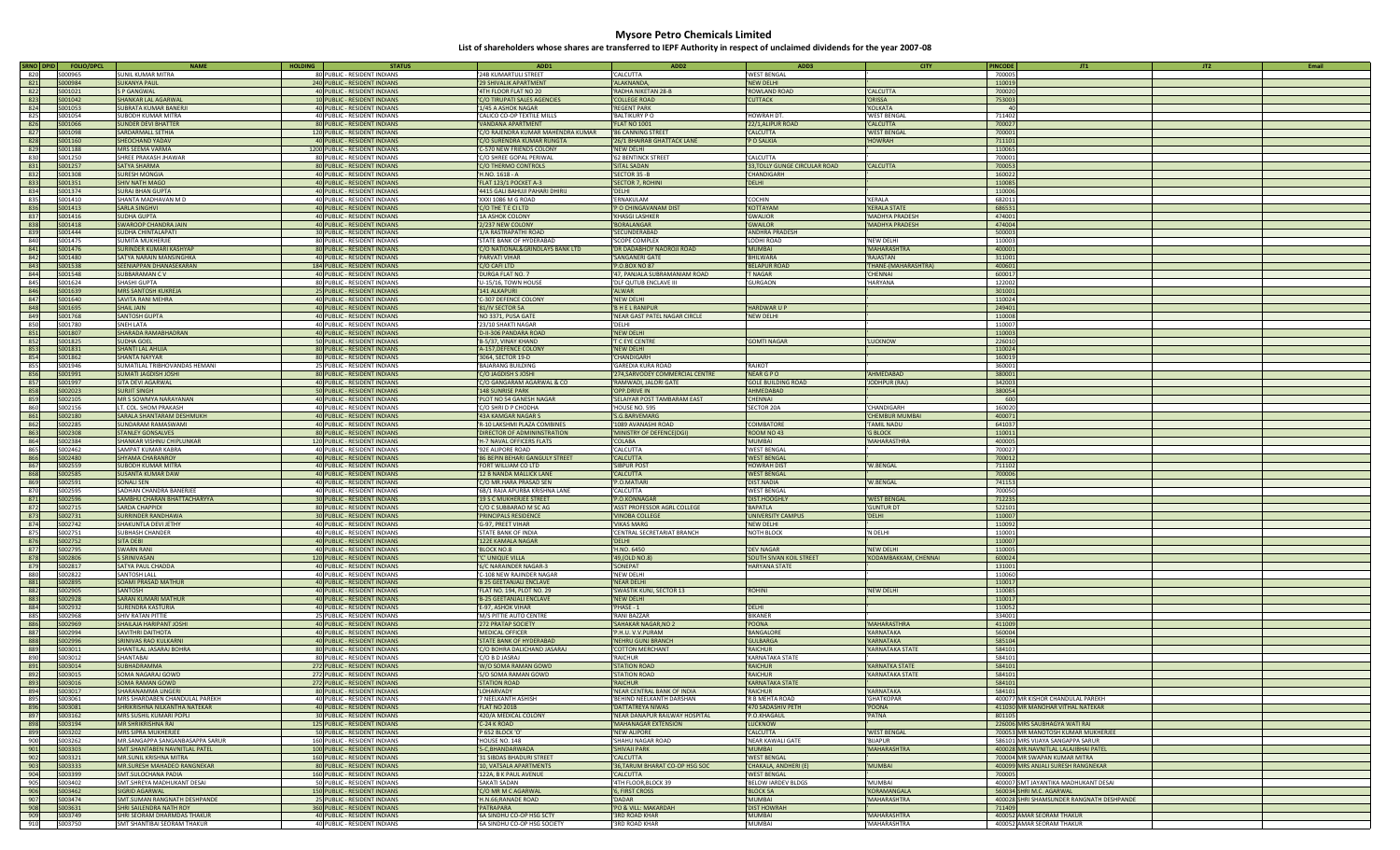| SRNO DPID | <b>FOLIO/DPCL</b> | <b>NAME</b>                     | <b>HOLDING</b><br><b>STATUS</b> | <b>ADD1</b>                       | ADD <sub>2</sub>                 | ADD3                           | <b>CITY</b>           | <b>PINCODE</b> | JT2                                       |
|-----------|-------------------|---------------------------------|---------------------------------|-----------------------------------|----------------------------------|--------------------------------|-----------------------|----------------|-------------------------------------------|
| 820       | 5000965           | SUNIL KUMAR MITRA               | 80 PUBLIC - RESIDENT INDIANS    | '24B KUMARTULI STREET             | 'CALCUTTA                        | 'WEST BENGAL                   |                       | 700005         |                                           |
| 821       | S000984           | SUKANYA PAUL                    | 240 PUBLIC - RESIDENT INDIANS   | '29 SHIVALIK APARTMENT            | 'ALAKNANDA,                      | 'NEW DELHI                     |                       | 110019         |                                           |
| 822       | S001021           | S P GANGWAL                     | 40 PUBLIC - RESIDENT INDIANS    | '4TH FLOOR FLAT NO 20             | 'RADHA NIKETAN 28-B              | 'ROWLAND ROAD                  | 'CALCUTTA             | 700020         |                                           |
|           |                   |                                 |                                 |                                   |                                  |                                |                       |                |                                           |
| 823       | S001042           | SHANKAR LAL AGARWAL             | 10 PUBLIC - RESIDENT INDIANS    | 'C/O TIRUPATI SALES AGENCIES      | 'COLLEGE ROAD                    | 'CUTTACK                       | <b>ORISSA</b>         | 753003         |                                           |
| 824       | S001053           | <b>SUBRATA KUMAR BANERJI</b>    | 40 PUBLIC - RESIDENT INDIANS    | '1/45 A ASHOK NAGAR               | 'REGENT PARK                     |                                | 'KOLKATA              |                |                                           |
| 825       | S001054           | SUBODH KUMAR MITRA              | 40 PUBLIC - RESIDENT INDIANS    | 'CALICO CO-OP TEXTILE MILLS       | 'BALTIKURY P O                   | 'HOWRAH DT                     | 'WEST BENGAL          | 711402         |                                           |
| 826       | S001066           | <b>SUNDER DEVI BHATTER</b>      | 80 PUBLIC - RESIDENT INDIANS    | <b>VANDANA APARTMENT</b>          | 'FLAT NO 1001                    | '22/1, ALIPUR ROAD             | 'CALCUTTA             | 700027         |                                           |
| 827       | S001098           | SARDARMALL SETHIA               | 120 PUBLIC - RESIDENT INDIANS   | C/O RAJENDRA KUMAR MAHENDRA KUMAR | '86 CANNING STREET               | 'CALCUTTA                      | 'WEST BENGAL          | 700001         |                                           |
| 828       | S001160           | SHEOCHAND YADAV                 | 40 PUBLIC - RESIDENT INDIANS    | 'C/O SURENDRA KUMAR RUNGTA        | '26/1 BHAIRAB GHATTACK LANE      | 'P O SALKIA                    | 'HOWRAH               | 711101         |                                           |
|           |                   |                                 |                                 |                                   |                                  |                                |                       |                |                                           |
| 829       | S001188           | MRS SEEMA VARMA                 | 1200 PUBLIC - RESIDENT INDIANS  | C-570 NEW FRIENDS COLONY          | 'NEW DELHI                       |                                |                       | 110065         |                                           |
| 830       | S001250           | SHREE PRAKASH JHAWAR            | 80 PUBLIC - RESIDENT INDIANS    | 'C/O SHREE GOPAL PERIWAL          | '62 BENTINCK STREET              | 'CALCUTTA                      |                       | 700001         |                                           |
| 831       | S001257           | <b>SATYA SHARMA</b>             | 80 PUBLIC - RESIDENT INDIANS    | 'C/O THERMO CONTROLS              | 'SITAL SADAN                     | '33, TOLLY GUNGE CIRCULAR ROAD | 'CALCUTTA             | 700053         |                                           |
| 832       | S001308           | SURESH MONGIA                   | 40 PUBLIC - RESIDENT INDIANS    | 'H.NO. 1618 - A                   | 'SECTOR 35 -B                    | 'CHANDIGARH                    |                       | 160022         |                                           |
| 833       | S001351           | SHIV NATH MAGO                  | 40 PUBLIC - RESIDENT INDIANS    | 'FLAT 123/1 POCKET A-3            | 'SECTOR 7, ROHINI                | 'DELHI                         |                       | 110085         |                                           |
| 834       | S001374           | <b>SURAJ BHAN GUPTA</b>         | 40 PUBLIC - RESIDENT INDIANS    | '4415 GALI BAHUJI PAHARI DHIRIJ   | 'DELHI                           |                                |                       | 110006         |                                           |
| 835       | S001410           | SHANTA MADHAVAN M D             | 40 PUBLIC - RESIDENT INDIANS    | 'XXXI 1086 M G ROAD               | 'ERNAKULAM                       | 'COCHIN                        | 'KERALA               | 682011         |                                           |
|           |                   |                                 |                                 |                                   |                                  | 'KOTTAYAM                      | <b>'KERALA STATE</b>  |                |                                           |
| 836       | S001413           | <b>SARLA SINGHVI</b>            | 40 PUBLIC - RESIDENT INDIANS    | 'C/O THE T E CI LTD               | 'P O CHINGAVANAM DIST            |                                |                       | 686531         |                                           |
| 837       | S001416           | SUDHA GUPTA                     | 40 PUBLIC - RESIDENT INDIANS    | '1A ASHOK COLONY                  | 'KHASGI LASHKER                  | 'GWALIOR                       | 'MADHYA PRADESH       | 474001         |                                           |
| 838       | S001418           | SWAROOP CHANDRA JAIN            | 40 PUBLIC - RESIDENT INDIANS    | '2/237 NEW COLONY                 | 'BORALANGAR                      | 'GWAILOR                       | 'MADHYA PRADESH       | 474004         |                                           |
| 839       | S001444           | SUDHA CHINTALAPATI              | 30 PUBLIC - RESIDENT INDIANS    | '1/A RASTRAPATHI ROAD             | 'SECUNDERABAD                    | 'ANDHRA PRADESH                |                       | 500003         |                                           |
| 840       | S001475           | SUMITA MUKHERJIE                | 80 PUBLIC - RESIDENT INDIANS    | 'STATE BANK OF HYDERABAD          | 'SCOPE COMPLEX                   | 'LODHI ROAD                    | 'NEW DELHI            | 110003         |                                           |
| 841       | S001476           | SURINDER KUMARI KASHYAP         | 80 PUBLIC - RESIDENT INDIANS    | 'C/O NATIONAL&GRINDLAYS BANK LTD  | <b>DR DADABHOY NAOROJI ROAD</b>  | 'MUMBAI                        | 'MAHARASHTRA          | 400001         |                                           |
| 842       | 5001480           | SATYA NARAIN MANSINGHKA         | 40 PUBLIC - RESIDENT INDIANS    | 'PARVATI VIHAR                    | 'SANGANERI GATE                  | 'BHILWARA                      | 'RAJASTAN             | 311001         |                                           |
|           |                   |                                 |                                 |                                   |                                  |                                |                       |                |                                           |
| 843       | S001538           | SEENIAPPAN DHANASEKARAN         | 184 PUBLIC - RESIDENT INDIANS   | 'C/O CAFI LTD                     | 'P.O.BOX NO 87                   | 'BELAPUR ROAD                  | 'THANE-(MAHARASHTRA)  | 400601         |                                           |
| 844       | S001548           | SUBBARAMAN C V                  | 40 PUBLIC - RESIDENT INDIANS    | DURGA FLAT NO. 7                  | '47, PANJALA SUBRAMANIAM ROAD    | 'T NAGAR                       | 'CHENNAI              | 600017         |                                           |
| 845       | S001624           | SHASHI GUPTA                    | 80 PUBLIC - RESIDENT INDIANS    | 'U-15/16, TOWN HOUSE              | 'DLF QUTUB ENCLAVE III           | 'GURGAON                       | 'HARYANA              | 122002         |                                           |
| 846       | S001639           | MRS SANTOSH KUKREJA             | 25 PUBLIC - RESIDENT INDIANS    | '141 ALKAPURI                     | 'ALWAR                           |                                |                       | 301001         |                                           |
| 847       | S001640           | SAVITA RANI MEHRA               | 40 PUBLIC - RESIDENT INDIANS    | 'C-307 DEFENCE COLONY             | 'NEW DELHI                       |                                |                       | 110024         |                                           |
| 848       | S001695           | <b>SHAIL JAIN</b>               |                                 | '81/IV SECTOR 5A                  | 'B H E L RANIPUR                 | 'HARDWAR U P                   |                       | 249401         |                                           |
|           |                   |                                 | 40 PUBLIC - RESIDENT INDIANS    |                                   |                                  |                                |                       |                |                                           |
| 849       | S001768           | SANTOSH GUPTA                   | 40 PUBLIC - RESIDENT INDIANS    | 'NO 3371, PUSA GATE               | 'NEAR GAST PATEL NAGAR CIRCLE    | 'NEW DELHI                     |                       | 110008         |                                           |
| 850       | S001780           | SNEH LATA                       | 40 PUBLIC - RESIDENT INDIANS    | '23/10 SHAKTI NAGAR               | 'DELHI                           |                                |                       | 110007         |                                           |
| 851       | S001807           | SHARADA RAMABHADRAN             | 40 PUBLIC - RESIDENT INDIANS    | 'D-II-306 PANDARA ROAD            | 'NEW DELHI                       |                                |                       | 110003         |                                           |
| 852       | S001825           | SUDHA GOEL                      | 50 PUBLIC - RESIDENT INDIANS    | 'B-5/37, VINAY KHAND              | 'T C EYE CENTRE                  | 'GOMTI NAGAR                   | 'LUCKNOW              | 226010         |                                           |
| 853       | S001831           | SHANTI LAL AHUJA                | 80 PUBLIC - RESIDENT INDIANS    | 'A-157, DEFENCE COLONY            | 'NEW DELHI                       |                                |                       | 110024         |                                           |
| 854       | S001862           | SHANTA NAYYAR                   | 80 PUBLIC - RESIDENT INDIANS    |                                   | 'CHANDIGARH                      |                                |                       | 160019         |                                           |
|           |                   |                                 |                                 | '3064, SECTOR 19-D                |                                  |                                |                       |                |                                           |
| 855       | S001946           | SUMATILAL TRIBHOVANDAS HEMANI   | 25 PUBLIC - RESIDENT INDIANS    | 'BAJARANG BUILDING                | 'GAREDIA KURA ROAD               | 'RAJKOT                        |                       | 360001         |                                           |
| 856       | S001991           | SUMATI JAGDISH JOSHI            | 80 PUBLIC - RESIDENT INDIANS    | <b>C/O JAGDISH S JOSHI</b>        | '274, SARVODEY COMMERCIAL CENTRE | 'NEAR G P O                    | 'AHMEDABAD            | 380001         |                                           |
| 857       | S001997           | SITA DEVI AGARWAL               | 40 PUBLIC - RESIDENT INDIANS    | 'C/O GANGARAM AGARWAL & CO        | 'RAMWADI, JALORI GATE            | <b>GOLE BUILDING ROAD</b>      | 'JODHPUR (RAJ)        | 342003         |                                           |
| 858       | S002023           | <b>SURJIT SINGH</b>             | 50 PUBLIC - RESIDENT INDIANS    | '148 SUNRISE PARK                 | 'OPP.DRIVE IN                    | 'AHMEDABAD                     |                       | 380054         |                                           |
| 859       | S002105           | MR S SOWMYA NARAYANAN           | 40 PUBLIC - RESIDENT INDIANS    | 'PLOT NO 54 GANESH NAGAR          | 'SELAIYAR POST TAMBARAM EAST     | 'CHENNAI                       |                       | 600            |                                           |
| 860       | S002156           | LT. COL. SHOM PRAKASH           | 40 PUBLIC - RESIDENT INDIANS    | C/O SHRI D P CHODHA               | 'HOUSE NO. 595                   | 'SECTOR 20A                    | 'CHANDIGARH           | 160020         |                                           |
|           |                   |                                 |                                 |                                   |                                  |                                |                       |                |                                           |
| 861       | S002180           | SARALA SHANTARAM DESHMUKH       | 40 PUBLIC - RESIDENT INDIANS    | '43A KAMGAR NAGAR S               | 'S.G.BARVEMARG                   |                                | <b>CHEMBUR MUMBAI</b> | 400071         |                                           |
| 862       | S002285           | SUNDARAM RAMASWAMI              | 40 PUBLIC - RESIDENT INDIANS    | 'R-10 LAKSHMI PLAZA COMBINES      | '1089 AVANASHI ROAD              | 'COIMBATORE                    | 'TAMIL NADU           | 641037         |                                           |
| 863       | S002308           | <b>STANLEY GONSALVES</b>        | 80 PUBLIC - RESIDENT INDIANS    | 'DIRECTOR OF ADMININSTRATION      | 'MINISTRY OF DEFENCE(DGI         | 'ROOM NO 43                    | <b>'G BLOCK</b>       | 110011         |                                           |
| 864       | S002384           | SHANKAR VISHNU CHIPLUNKAR       | 120 PUBLIC - RESIDENT INDIANS   | 'H-7 NAVAL OFFICERS FLATS         | 'COLABA                          | 'MUMBAI                        | 'MAHARASTHRA          | 400005         |                                           |
| 865       | S002462           | SAMPAT KUMAR KABRA              | 40 PUBLIC - RESIDENT INDIANS    | '92E ALIPORE ROAD                 | 'CALCUTTA                        | 'WEST BENGAL                   |                       | 700027         |                                           |
| 866       | S002480           | SHYAMA CHARANROY                | 40 PUBLIC - RESIDENT INDIANS    | '86 BEPIN BEHARI GANGULY STREET   | 'CALCUTTA                        | 'WEST BENGAL                   |                       | 700012         |                                           |
|           |                   |                                 |                                 |                                   |                                  |                                |                       |                |                                           |
| 867       | S002559           | SUBODH KUMAR MITRA              | 40 PUBLIC - RESIDENT INDIANS    | FORT WILLIAM CO LTD               | <b>'SIBPUR POST</b>              | 'HOWRAH DIST                   | 'W.BENGAL             | 711102         |                                           |
| 868       | S002585           | <b>SUSANTA KUMAR DAW</b>        | 40 PUBLIC - RESIDENT INDIANS    | '12 B NANDA MALLICK LANE          | 'CALCUTTA                        | 'WEST BENGAL                   |                       | 700006         |                                           |
| 869       | S002591           | SONALI SEN                      | 40 PUBLIC - RESIDENT INDIANS    | C/O MR.HARA PRASAD SEN            | 'P.O.MATIARI                     | 'DIST.NADIA                    | 'W.BENGAL             | 741153         |                                           |
| 870       | S002595           | SADHAN CHANDRA BANERJEE         | 40 PUBLIC - RESIDENT INDIANS    | '6B/1 RAJA APURBA KRISHNA LANE    | 'CALCUTTA                        | 'WEST BENGAL                   |                       | 700050         |                                           |
| 871       | S002596           | SAMBHU CHARAN BHATTACHARYYA     | 30 PUBLIC - RESIDENT INDIANS    | '19 S C MUKHERJEE STREET          | 'P.O.KONNAGAR                    | 'DIST.HOOGHLY                  | 'WEST BENGAL          | 712235         |                                           |
| 872       | S002715           | SARDA CHAPPIDI                  | 80 PUBLIC - RESIDENT INDIANS    | 'C/O C SUBBARAO M SC AG           | 'ASST PROFESSOR AGRL COLLEGE     | 'BAPATLA                       | <b>'GUNTUR DT</b>     | 522101         |                                           |
| 873       | S002731           | SURRINDER RANDHAWA              |                                 | 'PRINCIPALS RESIDENCE             | 'VINOBA COLLEGE                  | 'UNIVERSITY CAMPUS             | 'DELHI                | 110007         |                                           |
|           |                   |                                 | 30 PUBLIC - RESIDENT INDIANS    |                                   |                                  |                                |                       |                |                                           |
| 874       | S002742           | SHAKUNTLA DEVI JETHY            | 40 PUBLIC - RESIDENT INDIANS    | 'G-97, PREET VIHAR                | 'VIKAS MARG                      | 'NEW DELHI                     |                       | 110092         |                                           |
| 875       | S002751           | SUBHASH CHANDER                 | 40 PUBLIC - RESIDENT INDIANS    | 'STATE BANK OF INDIA              | 'CENTRAL SECRETARIAT BRANCH      | 'NOTH BLOCK                    | 'N DELHI              | 110001         |                                           |
| 876       | S002752           | SITA DEBI                       | 40 PUBLIC - RESIDENT INDIANS    | '122E KAMALA NAGAR                | 'DELHI                           |                                |                       | 110007         |                                           |
| 877       | S002795           | <b>SWARN RANI</b>               | 40 PUBLIC - RESIDENT INDIANS    | BLOCK NO.8                        | 'H.NO. 6450                      | 'DEV NAGAR                     | 'NEW DELHI            | 110005         |                                           |
| 878       | S002806           | S SRINIVASAN                    | 120 PUBLIC - RESIDENT INDIANS   | "C' UNIQUE VILLA                  | '49, (OLD NO.8)                  | 'SOUTH SIVAN KOIL STREET       | 'KODAMBAKKAM, CHENNAI | 600024         |                                           |
| 879       | S002817           | SATYA PAUL CHADDA               | 40 PUBLIC - RESIDENT INDIANS    | '6/C NARAINDER NAGAR-3            | 'SONEPAT                         | 'HARYANA STATE                 |                       | 131001         |                                           |
| 880       | S002822           | SANTOSH LALL                    | 40 PUBLIC - RESIDENT INDIANS    | C-108 NEW RAJINDER NAGAR          | 'NEW DELHI                       |                                |                       | 110060         |                                           |
|           |                   |                                 |                                 |                                   |                                  |                                |                       |                |                                           |
| 881       | S002895           | SOAMI PRASAD MATHUR             | 40 PUBLIC - RESIDENT INDIANS    | 'B 25 GEETANJALI ENCLAVE          | 'NEAR DELHI                      |                                |                       | 110017         |                                           |
| 882       | S002905           | SANTOSH                         | 40 PUBLIC - RESIDENT INDIANS    | 'FLAT NO. 194, PLOT NO. 29        | 'SWASTIK KUNJ, SECTOR 13         | 'ROHINI                        | 'NEW DELHI            | 110085         |                                           |
| 883       | S002928           | <b>SARAN KUMARI MATHUR</b>      | 40 PUBLIC - RESIDENT INDIANS    | 'B-25 GEETANJALI ENCLAVE          | 'NEW DELHI                       |                                |                       | 110017         |                                           |
| 884       | S002932           | SURENDRA KASTURIA               | 40 PUBLIC - RESIDENT INDIANS    | 'E-97, ASHOK VIHAR                | 'PHASE - 1                       | 'DELHI                         |                       | 110052         |                                           |
| 885       | S002968           | SHIV RATAN PITTIE               | 25 PUBLIC - RESIDENT INDIANS    | 'M/S PITTIE AUTO CENTRE           | 'RANI BAZZAR                     | 'BIKANER                       |                       | 334001         |                                           |
| 886       | S002969           | SHAILAJA HARIPANT JOSHI         | 40 PUBLIC - RESIDENT INDIANS    | '272 PRATAP SOCIETY               | 'SAHAKAR NAGAR, NO 2             | 'POONA                         | 'MAHARASTHRA          | 411009         |                                           |
| 887       | S002994           | <b>SAVITHRI DAITHOTA</b>        | 40 PUBLIC - RESIDENT INDIANS    | 'MEDICAL OFFICER                  | 'P.H.U. V.V.PURAM                | 'BANGALOR                      | 'KARNATAKA            | 560004         |                                           |
| 888       | S002996           | SRINIVAS RAO KULKARN            | 40 PUBLIC - RESIDENT INDIANS    | 'STATE BANK OF HYDERABAD          | 'NEHRU GUNJ BRANCH               | 'GULBARGA                      | 'KARNATAKA            | 585104         |                                           |
|           |                   |                                 |                                 |                                   |                                  |                                |                       | 584101         |                                           |
| 889       | S003011           | SHANTILAL JASARAJ BOHRA         | 80 PUBLIC - RESIDENT INDIANS    | C/O BOHRA DALICHAND JASARAJ       | 'COTTON MERCHANT                 | 'RAICHUR                       | 'KARNATAKA STATE      |                |                                           |
| 890       | S003012           | SHANTABAI                       | 80 PUBLIC - RESIDENT INDIANS    | C/O B D JASRAJ                    | 'RAICHUR                         | 'KARNATAKA STATE               |                       | 58410          |                                           |
| 891       | S003014           | <b>SUBHADRAMMA</b>              | 272 PUBLIC - RESIDENT INDIANS   | 'W/O SOMA RAMAN GOWD              | 'STATION ROAD                    | 'RAICHUR                       | 'KARNATKA STATE       | 58410          |                                           |
| 892       | S003015           | SOMA NAGARAJ GOWD               | 272 PUBLIC - RESIDENT INDIANS   | 'S/O SOMA RAMAN GOWD              | <b>'STATION ROAD</b>             | 'RAICHUR                       | 'KARNATAKA STATE      | 58410          |                                           |
| 893       | S003016           | SOMA RAMAN GOWD                 | 272 PUBLIC - RESIDENT INDIANS   | 'STATION ROAD                     | 'RAICHUR                         | 'KARNATAKA STAT                |                       | 58410          |                                           |
| 894       | S003017           | SHARANAMMA LINGERI              | 80 PUBLIC - RESIDENT INDIANS    | LOHARVADY                         | 'NEAR CENTRAL BANK OF INDIA      | 'RAICHUR                       | 'KARNATAKA            | 584101         |                                           |
| 895       | 5003061           | MRS SHARDABEN CHANDULAL PAREKH  | 40 PUBLIC - RESIDENT INDIANS    | '7 NEELKANTH ASHISH               | 'BEHIND NEELKANTH DARSHAN        | 'R B MEHTA ROAD                | 'GHATKOPAR            |                | 400077 MR KISHOR CHANDULAL PAREKH         |
|           |                   | SHRIKRISHNA NILKANTHA NATEKAR   | 40 PUBLIC - RESIDENT INDIANS    | 'FLAT NO 201B                     | 'DATTATREYA NIWAS                | '470 SADASHIV PETH             |                       |                | 411030 MR MANOHAR VITHAL NATEKAR          |
| 896       | S003081           |                                 |                                 |                                   |                                  |                                | 'POONA                |                |                                           |
| 897       | S003162           | MRS SUSHIL KUMARI POPLI         | 30 PUBLIC - RESIDENT INDIANS    | '420/A MEDICAL COLONY             | 'NEAR DANAPUR RAILWAY HOSPITAL   | 'P.O.KHAGAUL                   | 'PATNA                | 801105         |                                           |
| 898       | S003194           | MR SHRIKRISHNA RAI              | 125 PUBLIC - RESIDENT INDIANS   | 'C-24 K ROAD                      | 'MAHANAGAR EXTENSION             | 'LUCKNOW                       |                       |                | 226006 MRS SAUBHAGYA WATI RAI             |
| 899       | S003202           | <b>MRS SIPRA MUKHERJEE</b>      | 50 PUBLIC - RESIDENT INDIANS    | 'P 652 BLOCK 'O'                  | 'NEW ALIPORE                     | 'CALCUTTA                      | 'WEST BENGAL          |                | 700053 MR MANOTOSH KUMAR MUKHERJEE        |
| 900       | S003262           | MR.SANGAPPA SANGANBASAPPA SARUR | 160 PUBLIC - RESIDENT INDIANS   | 'HOUSE NO. 148                    | 'SHAHU NAGAR ROAD                | 'NEAR KAWALI GATE              | 'BIJAPUR              |                | 586101 MRS VIJAYA SANGAPPA SARUR          |
| 901       | S003303           | SMT.SHANTABEN NAVNITLAL PATEL   | 100 PUBLIC - RESIDENT INDIANS   | '5-C, BHANDARWADA                 | 'SHIVAJI PARK                    | 'MUMBAI                        | <b>MAHARASHTRA</b>    |                | 400028 MR.NAVNITLAL LALAJIBHAI PATEL      |
| 902       | S003321           | MR.SUNIL KRISHNA MITRA          | 160 PUBLIC - RESIDENT INDIANS   | '31 SIBDAS BHADURI STREET         | 'CALCUTTA                        | 'WEST BENGAL                   |                       |                | 700004 MR SWAPAN KUMAR MITRA              |
|           |                   |                                 | 80 PUBLIC - RESIDENT INDIANS    |                                   |                                  |                                | <b>MUMBAI</b>         |                | 400099 MRS ANJALI SURESH RANGNEKAR        |
| 903       | S003333           | MR.SURESH MAHADEO RANGNEKAR     |                                 | '10, VATSALA APARTMENTS           | '36, TARUM BHARAT CO-OP HSG SOC  | 'CHAKALA, ANDHERI (E)          |                       |                |                                           |
| 904       | S003399           | SMT.SULOCHANA PADIA             | 160 PUBLIC - RESIDENT INDIANS   | '122A, B K PAUL AVENUE            | 'CALCUTTA                        | 'WEST BENGAL                   |                       | 700005         |                                           |
| 905       | S003402           | SMT.SHRFYA MADHUKANT DESAL      | 50 PUBLIC - RESIDENT INDIANS    | 'SAKATI SADAN                     | '4TH FLOOR.BLOCK 39              | 'BELOW IARDEV BLDGS            | 'MI IMRAI             |                | 400007 SMT JAYANTIKA MADHUKANT DESAI      |
| 906       | S003462           | <b>SIGRID AGARWAL</b>           | 150 PUBLIC - RESIDENT INDIANS   | 'C/O MR M C AGARWAL               | '6, FIRST CROSS                  | <b>BLOCK 5A</b>                | <b>KORAMANGALA</b>    |                | 560034 SHRI M.C. AGARWAL                  |
| 907       | S003474           | SMT.SUMAN RANGNATH DESHPANDE    | 25 PUBLIC - RESIDENT INDIANS    | 'H.N.66; RANADE ROAD              | 'DADAR                           | 'MUMBAI                        | 'MAHARASHTRA          |                | 400028 SHRI SHAMSUNDER RANGNATH DESHPANDE |
| 908       | S003631           | SHRI SAILENDRA NATH ROY         | 360 PUBLIC - RESIDENT INDIANS   | 'PATRAPARA                        | 'PO & VILL: MAKARDAH             | 'DIST HOWRAH                   |                       | 711409         |                                           |
| 909       | S003749           | SHRI SEORAM DHARMDAS THAKUR     | 40 PUBLIC - RESIDENT INDIANS    | '6A SINDHU CO-OP HSG SCTY         | '3RD ROAD KHAR                   | 'MUMBAI                        | 'MAHARASHTRA          |                | 400052 AMAR SEORAM THAKUR                 |
|           |                   |                                 |                                 |                                   |                                  |                                |                       |                |                                           |
| 910       | S003750           | SMT SHANTIBAI SEORAM THAKUR     | 40 PUBLIC - RESIDENT INDIANS    | '6A SINDHU CO-OP HSG SOCIETY      | '3RD ROAD KHAR                   | 'MUMBAI                        | 'MAHARASHTRA          |                | 400052 AMAR SEORAM THAKUR                 |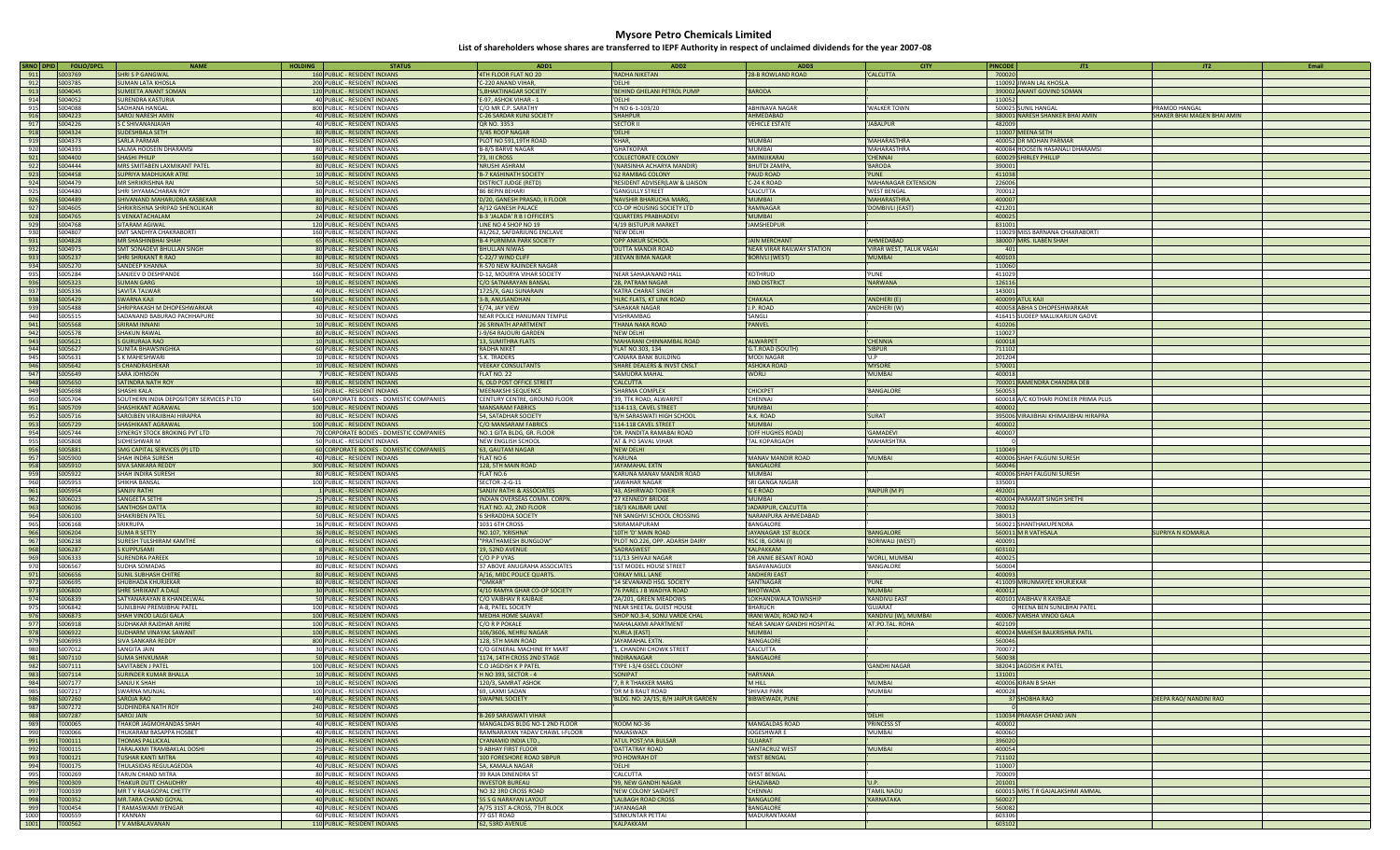| SRNO DPID<br><b>FOLIO/DPC</b>     | <b>NAME</b>                              | <b>HOLDING</b> | <b>STATUS</b>                             | ADD1                                 | ADD <sub>2</sub>                    | ADD3                                 | <b>CITY</b>                  | <b>PINCODE</b>                        | JT <sub>2</sub>             | Email |
|-----------------------------------|------------------------------------------|----------------|-------------------------------------------|--------------------------------------|-------------------------------------|--------------------------------------|------------------------------|---------------------------------------|-----------------------------|-------|
| 911<br>S003769                    | <b>SHRI S P GANGWAL</b>                  |                | 160 PUBLIC - RESIDENT INDIANS             | '4TH FLOOR FLAT NO 20                | 'RADHA NIKETAN                      | 28-B ROWLAND ROAD                    | 'CALCUTTA                    | 700020                                |                             |       |
| 912<br>5003785                    | SUMAN LATA KHOSLA                        |                | 200 PUBLIC - RESIDENT INDIANS             | 'C-220 ANAND VIHAR.                  | 'DELHI                              |                                      |                              | 110092 JIWAN LAL KHOSLA               |                             |       |
| 913<br>S004045                    | <b>SUMEETA ANANT SOMAN</b>               |                | 120 PUBLIC - RESIDENT INDIANS             | 5, BHAKTINAGAR SOCIETY               | 'BEHIND GHELANI PETROL PUMP         | <b>BARODA</b>                        |                              | 390002 ANANT GOVIND SOMAN             |                             |       |
| 914<br>S004052                    | <b>SURENDRA KASTURIA</b>                 |                | 40 PUBLIC - RESIDENT INDIANS              | 'E-97, ASHOK VIHAR - 1               | 'DELHI                              |                                      |                              | 110052                                |                             |       |
| 915<br>5004088                    | SADHANA HANGAI                           |                |                                           | 'C/O MR C.P. SARATHY                 |                                     | ARHINAVA NAGAR                       | <b>WAI KFR TOWN</b>          |                                       | PRAMOD HANGAL               |       |
|                                   |                                          |                | 800 PUBLIC - RESIDENT INDIANS             |                                      | 'H NO 6-1-103/20                    |                                      |                              | 500025 SUNIL HANGAL                   |                             |       |
| 916<br>S004223                    | SAROJ NARESH AMIN                        |                | 40 PUBLIC - RESIDENT INDIANS              | 'C-26 SARDAR KUNJ SOCIETY            | <b>'SHAHPUR</b>                     | AHMEDABAD                            |                              | 380001 NARESH SHANKER BHAI AMIN       | SHAKER BHAI MAGEN BHAI AMIN |       |
| 917<br>\$004226                   | S C SHIVANANIAIAH                        |                | 40 PUBLIC - RESIDENT INDIANS              | 'OR NO. 3353                         | 'SECTOR II                          | <b>VEHICLE ESTATE</b>                | 'JABALPUR                    | 482009                                |                             |       |
| 918<br>S004324                    | <b>SUDESHBALA SETH</b>                   |                | 80 PUBLIC - RESIDENT INDIANS              | '3/45 ROOP NAGAR                     | 'DELHI                              |                                      |                              | 110007 MEENA SETH                     |                             |       |
| 919<br>S004373                    | <b>SARLA PARMAR</b>                      |                | 160 PUBLIC - RESIDENT INDIANS             | 'PLOT NO 591,19TH ROAD               | 'KHAR,                              | <b>MUMBAI</b>                        | 'MAHARASTHRA                 | 400052 DR MOHAN PARMAR                |                             |       |
| 920<br>5004393                    | SALMA HOOSEIN DHARAMSI                   |                | 80 PUBLIC - RESIDENT INDIANS              | 'B-8/5 BARVE NAGAR                   | <b>GHATKOPAR</b>                    | MUMBAI                               | 'MAHARASTHRA                 | 400084 HOOSEIN HASANALI DHARAMSI      |                             |       |
| 921<br>5004400                    | SHASHI PHILIP                            |                | 160 PUBLIC - RESIDENT INDIANS             | '73, III CROSS                       | 'COLLECTORATE COLONY                | <b>AMINIIIKARA</b>                   | 'CHENNAI                     | 600029 SHIRLEY PHILLIP                |                             |       |
| 922<br>5004444                    | MRS SMITABEN LAXMIKANT PATEL             |                | 80 PUBLIC - RESIDENT INDIANS              | 'NRUSHI ASHRAM                       | '(NARSINHA ACHARYA MANDIR)          | 'BHUTDI ZAMPA                        | 'BARODA                      | 390001                                |                             |       |
| 923<br>5004458                    | SUPRIYA MADHUKAR ATRE                    |                | 10 PUBLIC - RESIDENT INDIANS              | 'B-7 KASHINATH SOCIETY               | '62 RAMBAG COLONY                   | 'PAUD ROAD                           | 'PUNE                        | 411038                                |                             |       |
|                                   |                                          |                |                                           |                                      |                                     |                                      |                              |                                       |                             |       |
| 924<br>S004479                    | <b>MR SHRIKRISHNA RAI</b>                |                | 50 PUBLIC - RESIDENT INDIANS              | 'DISTRICT JUDGE (RETD)               | 'RESIDENT ADVISER(LAW & LIAISON     | C-24 K ROAD                          | 'MAHANAGAR EXTENSION         | 226006                                |                             |       |
| 925<br>\$004480                   | SHRI SHYAMACHARAN ROY                    |                | 80 PUBLIC - RESIDENT INDIANS              | '86 BEPIN BEHARI                     | 'GANGULLY STREET                    | CALCUTTA                             | 'WEST BENGAL                 | 700012                                |                             |       |
| 926<br>S004489                    | SHIVANAND MAHARUDRA KASBEKAR             |                | 80 PUBLIC - RESIDENT INDIANS              | 'D/20, GANESH PRASAD, II FLOOR       | 'NAVSHIR BHARUCHA MARG              | 'MUMBAI                              | 'MAHARASTHRA                 | 400007                                |                             |       |
| 927<br>S004605                    | SHRIKRISHNA SHRIPAD SHENOLIKAR           |                | 80 PUBLIC - RESIDENT INDIANS              | 'A/12 GANESH PALACE                  | 'CO-OP HOUSING SOCIETY LTD          | RAMNAGAR                             | 'DOMBIVLI (EAST)             | 421201                                |                             |       |
| 928<br>S004765                    | S VENKATACHALAM                          |                | 24 PUBLIC - RESIDENT INDIANS              | 'B-3 'JALADA' R B I OFFICER'S        | 'QUARTERS PRABHADEVI                | <b>MUMBAI</b>                        |                              | 400025                                |                             |       |
| 929<br>5004768                    | SITARAM AGIWAI                           |                | 120 PUBLIC - RESIDENT INDIANS             | 'LINE NO 4 SHOP NO 19                | '4/19 BISTUPUR MARKET               | <b>JAMSHEDPUR</b>                    |                              | 831001                                |                             |       |
| 5004807                           | <b>SMT SANDHYA CHAKRABORTI</b>           |                | 160 PUBLIC - RESIDENT INDIANS             | 'A1/262, SAFDARJUNG ENCLAVE          | 'NEW DELHI                          |                                      |                              |                                       |                             |       |
| 930<br>5004828                    |                                          |                |                                           |                                      |                                     |                                      |                              | 110029 MISS BARNANA CHAKRABORTI       |                             |       |
| 931                               | MR SHASHINBHAI SHAH                      |                | 65 PUBLIC - RESIDENT INDIANS              | 'B-4 PURNIMA PARK SOCIETY            | 'OPP ANKUR SCHOOL                   | <b>JAIN MERCHANT</b>                 | 'AHMEDABAD                   | 380007 MRS. ILABEN SHAH               |                             |       |
| 932<br>\$004973                   | SMT SONADEVI BHULLAN SINGH               |                | 80 PUBLIC - RESIDENT INDIANS              | 'BHULLAN NIWAS                       | 'DUTTA MANDIR ROAD                  | NEAR VIRAR RAILWAY STATION           | 'VIRAR WEST, TALUK VASAI     | 401                                   |                             |       |
| 933<br>S005237                    | <b>SHRI SHRIKANT R RAO</b>               |                | 80 PUBLIC - RESIDENT INDIANS              | 'C-22/7 WIND CLIFF                   | 'JEEVAN BIMA NAGAR                  | <b>BORIVLI (WEST)</b>                | 'MUMBAI                      | 400103                                |                             |       |
| 934<br>S005270                    | <b>SANDEEP KHANNA</b>                    |                | 30 PUBLIC - RESIDENT INDIANS              | 'R-570 NEW RAJINDER NAGAR            |                                     |                                      |                              | 110060                                |                             |       |
| 935<br>5005284                    | SANJEEV D DESHPANDE                      |                | 160 PUBLIC - RESIDENT INDIANS             | 'D-12, MOURYA VIHAR SOCIETY          | 'NEAR SAHAJANAND HALL               | <b>KOTHRUD</b>                       | 'PUNF                        | 411029                                |                             |       |
| 936<br>S005323                    | <b>SUMAN GARG</b>                        |                | 10 PUBLIC - RESIDENT INDIANS              | <b>C/O SATNARAYAN BANSAL</b>         | '28, PATRAM NAGAR                   | 'JIND DISTRICT                       | 'NARWANA                     | 126116                                |                             |       |
| 937<br>\$005336                   | SAVITA TAI WAR                           |                | 40 PUBLIC - RESIDENT INDIANS              | '1725/X, GALI SUNARAIN               | 'KATRA CHARAT SINGH                 |                                      |                              | 143001                                |                             |       |
| S005429                           | <b>SWARNA KAJI</b>                       |                |                                           |                                      |                                     |                                      |                              |                                       |                             |       |
| 938                               |                                          |                | 160 PUBLIC - RESIDENT INDIANS             | '3-B, ANUSANDHAN                     | 'HLRC FLATS, KT LINK ROAD           | CHAKALA                              | 'ANDHERI (E                  | <b>400099 ATUL KAJI</b>               |                             |       |
| 939<br>S005488                    | SHRIPRAKASH M DHOPESHWARKAR              |                | 40 PUBLIC - RESIDENT INDIANS              | 'E/74, JAY VIEW                      | 'SAHAKAR NAGAR                      | J.P. ROAD                            | 'ANDHERI (W)                 | 400058 ABHA S DHOPESHWARKAR           |                             |       |
| 940<br>\$005515                   | SADANAND BABURAO PACHHAPURE              |                | 30 PUBLIC - RESIDENT INDIANS              | 'NEAR POLICE HANUMAN TEMPLE          | 'VISHRAMBAG                         | <b>SANGLI</b>                        |                              | 416415 SUDEEP MALLIKARJUN GADVE       |                             |       |
| 941<br>S005568                    | <b>SRIRAM INNANI</b>                     |                | 10 PUBLIC - RESIDENT INDIANS              | '26 SRINATH APARTMENT                | 'THANA NAKA ROAD                    | PANVEL                               |                              | 410206                                |                             |       |
| 942<br>\$005578                   | <b>SHAKUN RAWAL</b>                      |                | 80 PUBLIC - RESIDENT INDIANS              | 'J-9/64 RAJOURI GARDEN               | 'NEW DELHI                          |                                      |                              | 110027                                |                             |       |
| 943<br>S005621                    | <b>GURURAJA RAO</b>                      |                | 10 PUBLIC - RESIDENT INDIANS              | '13, SUMITHRA FLATS                  | 'MAHARANI CHINNAMBAL ROAD           | AI WARPFT                            | 'CHENNIA                     | 600018                                |                             |       |
| 944<br>S005627                    | SUNITA BHAWSINGHKA                       |                | 60 PUBLIC - RESIDENT INDIANS              | 'RADHA NIKET                         | 'FLAT NO.303, 134                   | <b>G.T.ROAD (SOUTH</b>               | 'SIBPUR                      | 711102                                |                             |       |
| 945<br>5005631                    | <b>SK MAHFSHWARI</b>                     |                | 10 PUBLIC - RESIDENT INDIANS              | 'S.K. TRADERS                        | 'CANARA BANK BUILDING               | <b>MODI NAGAR</b>                    | 'U.P                         | 201204                                |                             |       |
|                                   |                                          |                |                                           |                                      |                                     |                                      |                              |                                       |                             |       |
| 946<br>S005642                    | <b>CHANDRASHEKAR</b>                     |                | 10 PUBLIC - RESIDENT INDIANS              | <b>VEEKAY CONSULTANTS</b>            | 'SHARE DEALERS & INVST CNSLT        | 'ASHOKA ROAD                         | <b>'MYSORE</b>               | 570001                                |                             |       |
| 947<br>\$005649                   | <b>SARA JOHNSON</b>                      |                | 7 PUBLIC - RESIDENT INDIANS               | 'FLAT NO. 22                         | 'SAMUDRA MAHAL                      | 'WORLI                               | 'MUMBAI                      | 400018                                |                             |       |
| 948<br>\$005650                   | <b>SATINDRA NATH ROY</b>                 |                | 80 PUBLIC - RESIDENT INDIANS              | '6, OLD POST OFFICE STREET           | 'CALCUTTA                           |                                      |                              | 700001 RAMENDRA CHANDRA DEB           |                             |       |
| 949<br>S005698                    | SHASHI KALA                              |                | 160 PUBLIC - RESIDENT INDIANS             | 'MEENAKSHI SEQUENCE                  | 'SHARMA COMPLEX                     | <b>CHICKPET</b>                      | 'BANGALORE                   | 560053                                |                             |       |
| 950<br>\$005704                   | SOUTHERN INDIA DEPOSITORY SERVICES P LTD |                | 640 CORPORATE BODIES - DOMESTIC COMPANIES | CENTURY CENTRE, GROUND FLOOR         | '39. TTK ROAD, ALWARPET             | CHENNA                               |                              | 600018 A/C KOTHARI PIONEER PRIMA PLUS |                             |       |
| 951<br>5005709                    | <b>SHASHIKANT AGRAWAI</b>                |                | 100 PUBLIC - RESIDENT INDIANS             | 'MANSARAM FABRICS                    | '114-113, CAVEL STREET              | 'MUMBAI                              |                              | 400002                                |                             |       |
| 952<br>S005716                    | SAROJBEN VIRAJIBHAI HIRAPRA              |                | 80 PUBLIC - RESIDENT INDIANS              | '54, SATADHAR SOCIETY                | 'B/H SARASWATI HIGH SCHOOL          | A.K. ROAD                            | 'SURAT                       | 395006 VIRAJIBHAI KHIMAJIBHAI HIRAPRA |                             |       |
|                                   |                                          |                |                                           | 'C/O MANSARAM FABRICS                |                                     | <b>MUMBAL</b>                        |                              |                                       |                             |       |
| 953<br>S005729                    | <b>SHASHIKANT AGRAWAL</b>                |                | 100 PUBLIC - RESIDENT INDIANS             |                                      | '114-118 CAVEL STREET               |                                      |                              | 400002                                |                             |       |
| 954<br>5005744                    | SYNERGY STOCK BROKING PVT LTD            |                | 70 CORPORATE BODIES - DOMESTIC COMPANIES  | 'NO.1 GITA BLDG, GR. FLOOR           | 'DR. PANDITA RAMABAI ROAD           | (OFF HUGHES ROAD)                    | 'GAMADFVI                    | 400007                                |                             |       |
| 955<br>\$005808                   | SIDHESHWAR M                             |                | 50 PUBLIC - RESIDENT INDIANS              | 'NEW ENGLISH SCHOOL                  | 'AT & PO SAVAL VIHAR                | <b>TAL KOPARGAOH</b>                 | 'MAHARSHTRA                  |                                       |                             |       |
| 956<br>5005881                    | SMG CAPITAL SERVICES (P) LTD             |                | 60 CORPORATE BODIES - DOMESTIC COMPANIES  | '63, GAUTAM NAGAR                    | 'NEW DELHI                          |                                      |                              | 110049                                |                             |       |
| 957<br>\$005900                   | <b>SHAH INDRA SURESH</b>                 |                | 40 PUBLIC - RESIDENT INDIANS              | 'FLAT NO 6                           | 'KARLINA                            | MANAV MANDIR ROAD                    | 'MUMBAI                      | 400006 SHAH FALGUNI SURESH            |                             |       |
| 958<br>S005910                    | <b>SIVA SANKARA REDDY</b>                |                | 300 PUBLIC - RESIDENT INDIANS             | '128, 5TH MAIN ROAD                  | <b>JAYAMAHAL EXTN</b>               | <b>BANGALORE</b>                     |                              | 560046                                |                             |       |
| 959<br>S005922                    | <b>SHAH INDIRA SURESH</b>                |                | 80 PUBLIC - RESIDENT INDIANS              | 'FLAT NO.6                           | 'KARUNA MANAV MANDIR ROAD           | MUMBAI                               |                              | 400006 SHAH FALGUNI SURESH            |                             |       |
| 960<br>5005953                    | <b>SHIKHA BANSAL</b>                     |                | 100 PUBLIC - RESIDENT INDIANS             | 'SECTOR -2-G-11                      | 'IAWAHAR NAGAR                      | SRI GANGA NAGAR                      |                              | 335001                                |                             |       |
|                                   |                                          |                |                                           |                                      |                                     |                                      |                              |                                       |                             |       |
| 961<br>S005954                    | <b>SANJIV RATHI</b>                      |                | 1 PUBLIC - RESIDENT INDIANS               | <b>SANJIV RATHI &amp; ASSOCIATES</b> | '43, ASHIRWAD TOWER                 | <b>GEROAD</b>                        | 'RAIPUR (M P)                | 492001                                |                             |       |
| 962<br>5006023                    | <b>SANGFFTA SFTHI</b>                    |                | 25 PUBLIC - RESIDENT INDIANS              | 'INDIAN OVERSEAS COMM. CORPN.        | '27 KENNEDY BRIDGE                  | MUMBA                                |                              | 400004 PARAMJIT SINGH SHETHI          |                             |       |
| 963<br>S006036                    | SANTHOSH DATTA                           |                | 80 PUBLIC - RESIDENT INDIANS              | FLAT NO. A2, 2ND FLOOR               | '18/3 KALIBARI LANE                 | JADARPUR, CALCUTTA                   |                              | 700032                                |                             |       |
| 964<br>S006100                    | <b>SHAKRIBEN PATEL</b>                   |                | 50 PUBLIC - RESIDENT INDIANS              | '6 SHRADDHA SOCIETY                  | 'NR SANGHVI SCHOOL CROSSING         | 'NARANPURA AHMEDABAD                 |                              | 380013                                |                             |       |
| 965<br>\$006168                   | SRIKRUPA                                 |                | 16 PUBLIC - RESIDENT INDIANS              | '1031 6TH CROSS                      | 'SRIRAMAPURAM                       | <b>BANGALORE</b>                     |                              | 560021 SHANTHAKUPENDRA                |                             |       |
| 966<br>S006204                    | <b>SUMA R SETTY</b>                      |                | 36 PUBLIC - RESIDENT INDIANS              | 'NO.107, 'KRISHNA'                   | '10TH 'D' MAIN ROAD                 | JAYANAGAR 1ST BLOCK                  | 'BANGALORE                   | 560011 M R VATHSALA                   | SUPRIYA N KOMARLA           |       |
| 967<br>\$006238                   | <b>SURESH TULSHIRAM KAMTHE</b>           |                | 60 PUBLIC - RESIDENT INDIANS              | ""PRATHAMESH BUNGLOW"                | 'PLOT NO.226, OPP. ADARSH DAIRY     | 'RSC IB, GORAI (I)                   | 'BORIWALI (WEST)             | 400091                                |                             |       |
| 968<br>5006287                    | <b>S KUPPUSAMI</b>                       |                | 8 PUBLIC - RESIDENT INDIANS               | '19, 52ND AVENUE                     | 'SADRASWEST                         | <b>KAI PAKKAM</b>                    |                              | 603102                                |                             |       |
|                                   | <b>SURENDRA PAREEK</b>                   |                |                                           |                                      |                                     |                                      |                              |                                       |                             |       |
| 969<br>S006333<br>970<br>\$006567 | SUDHA SOMADAS                            |                | 10 PUBLIC - RESIDENT INDIANS              | 'C/O P P VYAS                        | '11/13 SHIVAJI NAGAR                | DR ANNIE BESANT ROAD<br>'BASAVANAGUD | 'WORLI, MUMBAI<br>'BANGALORE | 400025<br>560004                      |                             |       |
|                                   |                                          |                | 80 PUBLIC - RESIDENT INDIANS              | '37 ABOVE ANUGRAHA ASSOCIATES        | '1ST MODEL HOUSE STREET             |                                      |                              |                                       |                             |       |
| 971<br>S006656                    | <b>SUNIL SUBHASH CHITRE</b>              |                | 80 PUBLIC - RESIDENT INDIANS              | 'A/16, MIDC POLICE QUARTS.           | 'ORKAY MILL LANE                    | <b>ANDHERI EAST</b>                  |                              | 400093                                |                             |       |
| 972<br>S006695                    | SHUBHADA KHURJEKAR                       |                | 80 PUBLIC - RESIDENT INDIANS              | ""OMKAR"                             | '14 SEVANAND HSG. SOCIETY           | SANTNAGAR                            | 'PUNE                        | 411009 MRUNMAYEE KHURJEKAR            |                             |       |
| 973<br>5006800                    | <b>SHRE SHRIKANT A DALE</b>              |                | 30 PUBLIC - RESIDENT INDIANS              | '4/10 RAMYA GHAR CO-OP SOCIETY       | '76 PAREL J B WADIYA ROAD           | 'BHOTWADA                            | 'MUMBAI                      | 400012                                |                             |       |
| 974<br>S006839                    | SATYANARAYAN B KHANDELWAL                |                | 50 PUBLIC - RESIDENT INDIANS              | 'C/O VAIBHAV R KAJBAJE               | '2A/201, GREEN MEADOWS              | LOKHANDWALA TOWNSHIP                 | 'KANDIVLI EAST               | 400101 VAIBHAV R KAYBAJE              |                             |       |
| 975<br>\$006842                   | SUNII BHAI PREMIIBHAI PATFI              |                | 100 PUBLIC - RESIDENT INDIANS             | 'A-8, PATEL SOCIETY                  | 'NEAR SHEETAL GUEST HOUSE           | <b>BHARUCH</b>                       | 'GUIARAT                     | O HEENA BEN SUNILBHAI PATEL           |                             |       |
| 976<br>5006873                    | SHAH VINOD LALGI GALA                    |                | 100 PUBLIC - RESIDENT INDIANS             | 'MEDHA HOME SAJAVAT                  | 'SHOP NO.3-4, SONU VARDE CHAL       | <b>IRANI WADI, ROAD NO 4</b>         | 'KANDIVLI (W), MUMBAI        | 400067 VARSHA VINOD GALA              |                             |       |
| 977<br>S006918                    | <b>SUDHAKAR RAJDHAR AHIRE</b>            |                | 100 PUBLIC - RESIDENT INDIANS             | 'C/O R P POKALE                      | 'MAHAI AXMI APARTMENT               | NEAR SANJAY GANDHI HOSPITAL          | 'AT.PO.TAL. ROHA             | 402109                                |                             |       |
| 978<br>S006922                    | <b>SUDHARM VINAYAK SAWANT</b>            |                | 100 PUBLIC - RESIDENT INDIANS             | '106/3606, NEHRU NAGAR               | 'KURLA (EAST)                       | 'MUMBAI                              |                              | 400024 MAHESH BALKRISHNA PATIL        |                             |       |
|                                   |                                          |                |                                           |                                      |                                     |                                      |                              |                                       |                             |       |
| 979<br>S006993                    | <b>SIVA SANKARA REDDY</b>                |                | 800 PUBLIC - RESIDENT INDIANS             | '128, 5TH MAIN ROAD                  | 'JAYAMAHAL EXTN.                    | <b>BANGALORI</b>                     |                              | 560046                                |                             |       |
| 980<br>S007012                    | SANGITA JAIN                             |                | 30 PUBLIC - RESIDENT INDIANS              | 'C/O GENERAL MACHINE RY MART         | '1, CHANDNI CHOWK STREET            | CALCUTTA                             |                              | 700072                                |                             |       |
| 981<br>S007110                    | <b>SUMA SHIVKUMAR</b>                    |                | 50 PUBLIC - RESIDENT INDIANS              | '1174, 14TH CROSS 2ND STAGE          | 'INDIRANAGAR                        | <b>BANGALORE</b>                     |                              | 560038                                |                             |       |
| 982<br>S007111                    | <b>SAVITAREN I PATE</b>                  |                | 100 PUBLIC - RESIDENT INDIANS             | 'C.O JAGDISH K P PATEL               | 'TYPE I-3/4 GSECL COLONY            |                                      | <b>GANDHI NAGAR</b>          | 382041 JAGDISH K PATEL                |                             |       |
| 983<br>S007114                    | <b>SURINDER KUMAR BHALLA</b>             |                | 10 PUBLIC - RESIDENT INDIANS              | 'H NO 393, SECTOR - 4                | 'SONIPAT                            | <b>HARYANA</b>                       |                              | 131001                                |                             |       |
| 984<br>S007177                    | SANJU K SHAH                             |                | 10 PUBLIC - RESIDENT INDIANS              | '120/3, SAMRAT ASHOK                 | '7, R R THAKKER MARG                | M HILL                               | 'MUMBA                       | 400006 KIRAN B SHAH                   |                             |       |
| 985<br>S007217                    | SWARNA MUNIAI                            |                | 100 PUBLIC - RESIDENT INDIANS             | '69. LAXMI SADAN                     | 'DR M B RAUT ROAD                   | <b>SHIVAII PARK</b>                  | 'MUMBAI                      | 400028                                |                             |       |
| 986<br>S007260                    | SAROJA RAO                               |                | 40 PUBLIC - RESIDENT INDIANS              | 'SWAPNIL SOCIETY                     | 'BLDG. NO. 2A/15, B/H JAIPUR GARDEN | <b>BIBWEWADI, PUNE</b>               |                              | 37 SHOBHA RAO                         | DEEPA RAO/ NANDINI RAO      |       |
| 987<br>S007272                    | <b>SUDHINDRA NATH ROY</b>                |                | 240 PUBLIC - RESIDENT INDIANS             |                                      |                                     |                                      |                              |                                       |                             |       |
|                                   |                                          |                |                                           |                                      |                                     |                                      |                              |                                       |                             |       |
| 988<br>S007287                    | SAROJ JAIN                               |                | 50 PUBLIC - RESIDENT INDIANS              | 'B-269 SARASWATI VIHAR               |                                     |                                      | 'DELHI                       | 110034 PRAKASH CHAND JAIN             |                             |       |
| 989<br>T000065                    | THAKOR JAGMOHANDAS SHAH                  |                | 40 PUBLIC - RESIDENT INDIANS              | MANGALDAS BLDG NO-1 2ND FLOOR        | 'ROOM NO-36                         | MANGALDAS ROAD                       | 'PRINCESS ST                 | 400002                                |                             |       |
| 990<br>T000066                    | THUKARAM BASAPPA HOSBET                  |                | 40 PUBLIC - RESIDENT INDIANS              | 'RAMNARAYAN YADAV CHAWL I-FLOOR      | 'MAJASWADI                          | JOGESHWAR E                          | 'MUMBAI                      | 400060                                |                             |       |
| 991<br>T000111                    | <b>THOMAS PALLICKAL</b>                  |                | 40 PUBLIC - RESIDENT INDIANS              | 'CYANAMID INDIA LTD.                 | 'ATUL POST; VIA BULSAR              | <b>GUJARAT</b>                       |                              | 396020                                |                             |       |
| 992<br>T000115                    | TARALAXMI TRAMBAKLAL DOSHI               |                | 25 PUBLIC - RESIDENT INDIANS              | '9 ABHAY FIRST FLOOR                 | 'DATTATRAY ROAD                     | SANTACRUZ WEST                       | 'MUMBAI                      | 400054                                |                             |       |
| 993<br>T000121                    | <b>TUSHAR KANTI MITRA</b>                |                | 40 PUBLIC - RESIDENT INDIANS              | '100 FORESHORE ROAD SIBPUR           | 'PO HOWRAH DT                       | <b>WEST BENGAL</b>                   |                              | 711102                                |                             |       |
| 994<br>T000175                    | THULASIDAS REGULAGEDDA                   |                | 40 PUBLIC - RESIDENT INDIANS              | '5A, KAMALA NAGAR                    | 'DELHI                              |                                      |                              | 110007                                |                             |       |
| 995<br>T000269                    | TARUN CHAND MITRA                        |                | 80 PUBLIC - RESIDENT INDIANS              | '39 RAJA DINENDRA ST                 | 'CALCUTTA                           | 'WEST BENGAL                         |                              | 700009                                |                             |       |
| T000309                           | THAKUR DUTT CHAUDHRY                     |                | 40 PUBLIC - RESIDENT INDIANS              | <b>'INVESTOR BUREAU</b>              | '99, NEW GANDHI NAGAR               | 'GHAZIABAD                           |                              | 201001                                |                             |       |
| 996                               |                                          |                |                                           |                                      |                                     |                                      | 'U.P.                        |                                       |                             |       |
| 997<br>T000339                    | MR T V RAJAGOPAL CHETTY                  |                | 40 PUBLIC - RESIDENT INDIANS              | 'NO 32 3RD CROSS ROAD                | 'NEW COLONY SAIDAPET                | <b>CHENNAI</b>                       | <b>TAMIL NADU</b>            | 600015 MRS T R GAJALAKSHMI AMMAL      |                             |       |
| 998<br>T000352                    | MR.TARA CHAND GOYAL                      |                | 40 PUBLIC - RESIDENT INDIANS              | <b>55 S G NARAYAN LAYOUT</b>         | 'LALBAGH ROAD CROSS                 | 'BANGALORE                           | 'KARNATAKA                   | 560027                                |                             |       |
| 999<br>T000454                    | <b>FRAMASWAMI IYENGAR</b>                |                | 40 PUBLIC - RESIDENT INDIANS              | 'A/75 31ST A-CROSS, 7TH BLOCK        | 'JAYANAGAR                          | <b>BANGALORE</b>                     |                              | 560082                                |                             |       |
| 1000<br>T000559                   | T KANNAN                                 |                | 60 PUBLIC - RESIDENT INDIANS              | '77 GST ROAD                         | 'SENKUNTAR PETTAI                   | 'MADURANTAKAM                        |                              | 603306                                |                             |       |
| 1001<br>T000562                   | TV AMBALAVANAN                           |                | 110 PUBLIC - RESIDENT INDIANS             | '62, 53RD AVENUE                     | 'KALPAKKAM                          |                                      |                              | 603102                                |                             |       |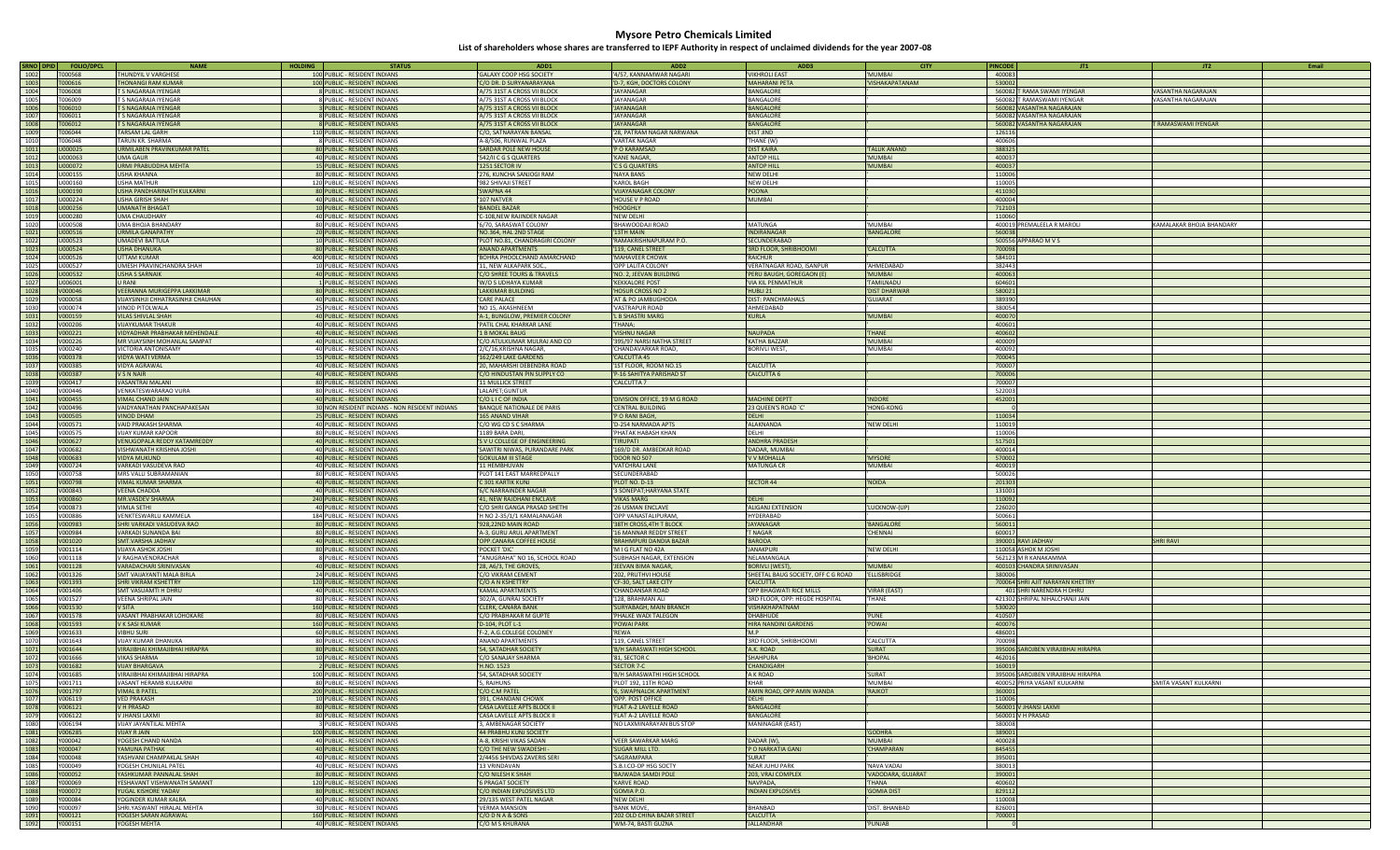| SRNO DPID | <b>FOLIO/DPCL</b> | <b>NAME</b>                       | <b>HOLDING</b> | <b>STATUS</b>                                  | ADD1                            | ADD <sub>2</sub>              | ADD3                                | <b>CITY</b>        | <b>PINCODE</b> | JT1                                | JT2                       | Email |
|-----------|-------------------|-----------------------------------|----------------|------------------------------------------------|---------------------------------|-------------------------------|-------------------------------------|--------------------|----------------|------------------------------------|---------------------------|-------|
| 1002      | <b>T000568</b>    | THUNDYIL V VARGHESE               |                | 100 PUBLIC - RESIDENT INDIANS                  | GALAXY COOP HSG SOCIETY         | '4/57, KANNAMWAR NAGARI       | 'VIKHROLI EAST                      | 'MUMBAI            | 400083         |                                    |                           |       |
| 1003      | T000616           | <b>HONANGI RAM KUMAR</b>          |                | 100 PUBLIC - RESIDENT INDIANS                  | C/O DR. D SURYANARAYANA         | 'D-7, KGH, DOCTORS COLONY     | 'MAHARANI PETA                      | 'VISHAKAPATANAM    | 530002         |                                    |                           |       |
| 1004      | T006008           | <b>S NAGARAJA IYENGAR</b>         |                | 8 PUBLIC - RESIDENT INDIANS                    | 'A/75 31ST A CROSS VII BLOCK    | 'JAYANAGAR                    | 'BANGALORE                          |                    |                | 560082 T RAMA SWAMI IYENGAR        | VASANTHA NAGARAJAN        |       |
|           | <b>T006009</b>    |                                   |                |                                                |                                 | 'IAYANAGAR                    |                                     |                    |                |                                    |                           |       |
| 1005      |                   | <b>S NAGARAJA IYENGAR</b>         |                | 8 PUBLIC - RESIDENT INDIANS                    | 'A/75 31ST A CROSS VII BLOCK    |                               | 'BANGALORI                          |                    |                | 560082 T RAMASWAMI IYENGAR         | VASANTHA NAGARAJAN        |       |
| 1006      | 006010            | <b>S NAGARAJA IYENGAR</b>         |                | 3 PUBLIC - RESIDENT INDIANS                    | 'A/75 31ST A CROSS VII BLOCK    | 'JAYANAGAR                    | 'BANGALORE                          |                    |                | 560082 VASANTHA NAGARAJAN          |                           |       |
| 1007      | T006011           | <b>S NAGARAJA IYENGAR</b>         |                | 8 PUBLIC - RESIDENT INDIANS                    | 'A/75 31ST A CROSS VII BLOCK    | 'JAYANAGAR                    | 'BANGALORE                          |                    |                | 560082 VASANTHA NAGARAJAN          |                           |       |
| 1008      | T006012           | T S NAGARAJA IYENGAR              |                | 8 PUBLIC - RESIDENT INDIANS                    | 'A/75 31ST A CROSS VII BLOCK    | 'JAYANAGAR                    | 'BANGALORE                          |                    |                | 560082 VASANTHA NAGARAJAN          | <b>FRAMASWAMI IYENGAR</b> |       |
| 1009      | 006044            | ARSAM LAL GARH                    |                | 110 PUBLIC - RESIDENT INDIANS                  | 'C/O, SATNARAYAN BANSAL         | '28, PATRAM NAGAR NARWANA     | <b>DIST JIND</b>                    |                    | 126116         |                                    |                           |       |
| 1010      | 1006048           | TARUN KR. SHARMA                  |                | 8 PUBLIC - RESIDENT INDIANS                    | 'A-8/506, RUNWAL PLAZA          | 'VARTAK NAGAR                 | 'THANE (W)                          |                    | 400606         |                                    |                           |       |
| 1011      | J000025           | URMILABEN PRAVINKUMAR PATEL       |                | 80 PUBLIC - RESIDENT INDIANS                   | 'SARDAR POLE NEW HOUSE          | 'P O KARAMSAD                 | 'DIST KAIRA                         | 'TALUK ANAND       | 388325         |                                    |                           |       |
| 1012      | J000063           | UMA GAUR                          |                | 40 PUBLIC - RESIDENT INDIANS                   | '542/II C G S QUARTERS          | 'KANE NAGAR,                  | 'ANTOP HILL                         | 'MUMBAI            | 400037         |                                    |                           |       |
| 1013      | U000072           | URMI PRABUDDHA MEHTA              |                | 15 PUBLIC - RESIDENT INDIANS                   | '1251 SECTOR IV                 | 'C S G QUARTERS               | 'ANTOP HILL                         | <b>MUMBAI</b>      | 400037         |                                    |                           |       |
| 1014      | U000155           | USHA KHANNA                       |                | 80 PUBLIC - RESIDENT INDIANS                   | '276, KUNCHA SANJOGI RAM        | 'NAYA BANS                    | 'NEW DELHI                          |                    | 110006         |                                    |                           |       |
| 1015      | U000160           | <b>USHA MATHUR</b>                |                | 120 PUBLIC - RESIDENT INDIANS                  | '982 SHIVAJI STREET             | 'KAROL BAGH                   | 'NEW DELHI                          |                    | 110005         |                                    |                           |       |
|           |                   |                                   |                |                                                |                                 |                               |                                     |                    |                |                                    |                           |       |
| 1016      | U000190           | USHA PANDHARINATH KULKARNI        |                | 80 PUBLIC - RESIDENT INDIANS                   | 'SWAPNA 44                      | <b>VIJAYANAGAR COLONY</b>     | 'POONA                              |                    | 411030         |                                    |                           |       |
| 1017      | J000224           | USHA GIRISH SHAH                  |                | 40 PUBLIC - RESIDENT INDIANS                   | 107 NATVER                      | 'HOUSE V P ROAD               | 'MUMBAI                             |                    | 400004         |                                    |                           |       |
| 1018      | U000256           | <b>UMANATH BHAGAT</b>             |                | 10 PUBLIC - RESIDENT INDIANS                   | <b>BANDEL BAZAR</b>             | 'HOOGHLY                      |                                     |                    | 712103         |                                    |                           |       |
| 1019      | U000280           | <b>UMA CHAUDHARY</b>              |                | 40 PUBLIC - RESIDENT INDIANS                   | C-108, NEW RAJINDER NAGAR       | 'NEW DELHI                    |                                     |                    | 110060         |                                    |                           |       |
| 1020      | J000508           | UMA BHOJA BHANDARY                |                | 80 PUBLIC - RESIDENT INDIANS                   | '6/70, SARASWAT COLONY          | 'BHAWOODAJI ROAD              | 'MATUNGA                            | 'MUMBAI            |                | 400019 PREMALEELA R MAROLI         | KAMALAKAR BHOIA BHANDARY  |       |
| 1021      | U000516           | <b>URMILA GANAPATHY</b>           |                | 20 PUBLIC - RESIDENT INDIANS                   | 'NO.364, HAL 2ND STAGE          | '13TH MAIN                    | 'INDIRANAGAR                        | 'BANGALORE         | 560038         |                                    |                           |       |
| 1022      | U000523           | <b>UMADEVI BATTULA</b>            |                | 10 PUBLIC - RESIDENT INDIANS                   | 'PLOT NO.81, CHANDRAGIRI COLONY | 'RAMAKRISHNAPURAM P.O.        | 'SECUNDERABAD                       |                    |                | 500556 APPARAO M V S               |                           |       |
| 1023      | J000524           | USHA DHANUKA                      |                | 80 PUBLIC - RESIDENT INDIANS                   | 'ANAND APARTMENTS               | '119, CANEL STREET            | '3RD FLOOR, SHRIBHOOMI              | 'CALCUTTA          | 700098         |                                    |                           |       |
| 1024      | U000526           | UTTAM KUMAR                       |                | 400 PUBLIC - RESIDENT INDIANS                  | 'BOHRA PHOOLCHAND AMARCHAND     | 'MAHAVEER CHOWK               | 'RAICHUR                            |                    | 584101         |                                    |                           |       |
| 1025      | U000527           | UMESH PRAVINCHANDRA SHAH          |                | 10 PUBLIC - RESIDENT INDIANS                   | 11, NEW ALKAPARK SOC.           | 'OPP LALITA COLONY            | 'VERATNAGAR ROAD, ISANPUR           | 'AHMEDABAC         | 382443         |                                    |                           |       |
|           | J000532           |                                   |                |                                                |                                 | 'NO. 2, JEEVAN BUILDING       |                                     | 'MUMBAI            | 400063         |                                    |                           |       |
| 1026      |                   | <b>USHA S SARNAIK</b>             |                | 40 PUBLIC - RESIDENT INDIANS                   | 'C/O SHREE TOURS & TRAVELS      |                               | 'PERU BAUGH, GOREGAON (E)           |                    |                |                                    |                           |       |
| 1027      | U006001           | U RANI                            |                | 1 PUBLIC - RESIDENT INDIANS                    | 'W/O S UDHAYA KUMAR             | 'KEKKALORE POST               | 'VIA KIL PENMATHUR                  | 'TAMILNADU         | 604601         |                                    |                           |       |
| 1028      | V000046           | VEERANNA MURIGEPPA LAKKIMAR       |                | 80 PUBLIC - RESIDENT INDIANS                   | LAKKIMAR BUILDING               | 'HOSUR CROSS NO 2             | 'HUBLI 21                           | 'DIST DHARWAR      | 580021         |                                    |                           |       |
| 1029      | V000058           | VIJAYSINHJI CHHATRASINHJI CHAUHAN |                | 40 PUBLIC - RESIDENT INDIANS                   | CARE PALACE                     | 'AT & PO JAMBUGHODA           | 'DIST: PANCHMAHALS                  | 'GUJARAT           | 389390         |                                    |                           |       |
| 1030      | V000074           | VINOD PITOLWALA                   |                | 25 PUBLIC - RESIDENT INDIANS                   | 'NO 15, AKASHNEEM               | 'VASTRAPUR ROAD               | 'AHMEDABAD                          |                    | 380054         |                                    |                           |       |
| 1031      | V000159           | <b>VILAS SHIVLAL SHAH</b>         |                | 40 PUBLIC - RESIDENT INDIANS                   | 'A-1, BUNGLOW, PREMIER COLONY   | 'L B SHASTRI MARG             | 'KURLA                              | <b>MUMBAI</b>      | 400070         |                                    |                           |       |
| 1032      | V000206           | <b>VIJAYKUMAR THAKUR</b>          |                | 40 PUBLIC - RESIDENT INDIANS                   | 'PATIL CHAL KHARKAR LANE        | 'THANA;                       |                                     |                    | 400601         |                                    |                           |       |
| 1033      | V000221           | VIDYADHAR PRABHAKAR MEHENDALE     |                | 40 PUBLIC - RESIDENT INDIANS                   | '1 B MOKAL BAUG                 | 'VISHNU NAGAR                 | 'NAUPADA                            | 'THANE             | 400602         |                                    |                           |       |
| 1034      | V000226           | MR VIJAYSINH MOHANLAL SAMPAT      |                | 40 PUBLIC - RESIDENT INDIANS                   | 'C/O ATULKUMAR MULRAJ AND CO    | '395/97 NARSI NATHA STREET    | 'KATHA BAZZAR                       | 'MUMBAI            | 400009         |                                    |                           |       |
| 1035      | V000240           | VICTORIA ANTONISAMY               |                | 40 PUBLIC - RESIDENT INDIANS                   | 2/C/16, KRISHNA NAGAR,          | 'CHANDAVARKAR ROAD,           | 'BORIVLI WEST                       | 'MUMBAI            | 400092         |                                    |                           |       |
|           |                   |                                   |                |                                                |                                 |                               |                                     |                    |                |                                    |                           |       |
| 1036      | V000378           | VIDYA WATI VERMA                  |                | 15 PUBLIC - RESIDENT INDIANS                   | '162/249 LAKE GARDENS           | 'CALCUTTA 45                  |                                     |                    | 700045         |                                    |                           |       |
| 1037      | V000385           | <b>VIDYA AGRAWAL</b>              |                | 40 PUBLIC - RESIDENT INDIANS                   | '20, MAHARSHI DEBENDRA ROAD     | '1ST FLOOR, ROOM NO.15        | 'CALCUTTA                           |                    | 700007         |                                    |                           |       |
| 1038      | V000387           | V S N NAIR                        |                | 40 PUBLIC - RESIDENT INDIANS                   | C/O HINDUSTAN PIN SUPPLY CO     | 'P-16 SAHITYA PARISHAD ST     | 'CALCUTTA 6                         |                    | 700006         |                                    |                           |       |
| 1039      | V000417           | VASANTRAI MALANI                  |                | 80 PUBLIC - RESIDENT INDIANS                   | 11 MULLICK STREET               | 'CALCUTTA 7                   |                                     |                    | 700007         |                                    |                           |       |
| 1040      | V000446           | VENKATESWARARAO VURA              |                | 80 PUBLIC - RESIDENT INDIANS                   | LALAPET;GUNTUR                  |                               |                                     |                    | 522003         |                                    |                           |       |
| 1041      | V000455           | VIMAL CHAND JAIN                  |                | 40 PUBLIC - RESIDENT INDIANS                   | C/O LI C OF INDIA               | 'DIVISION OFFICE, 19 M G ROAD | 'MACHINE DEPTT                      | 'INDORE            | 452001         |                                    |                           |       |
| 1042      | V000496           | VAIDYANATHAN PANCHAPAKESAN        |                | 30 NON RESIDENT INDIANS - NON RESIDENT INDIANS | 'BANQUE NATIONALE DE PARIS      | 'CENTRAL BUILDING             | '23 QUEEN'S ROAD `C'                | 'HONG-KONG         |                |                                    |                           |       |
| 1043      | V000505           | VINOD DHAM                        |                | 25 PUBLIC - RESIDENT INDIANS                   | 165 ANAND VIHAR                 | 'P O RANI BAGH,               | 'DELHI                              |                    | 110034         |                                    |                           |       |
| 1044      | V000571           | VAID PRAKASH SHARMA               |                | 40 PUBLIC - RESIDENT INDIANS                   | C/O WG CD S C SHARMA            | 'D-254 NARMADA APTS           | 'ALAKNANDA                          | 'NEW DELHI         | 110019         |                                    |                           |       |
| 1045      | V000575           |                                   |                |                                                | 1189 BARA DARI.                 |                               | 'DELHI                              |                    | 110006         |                                    |                           |       |
|           |                   | VIJAY KUMAR KAPOOR                |                | 80 PUBLIC - RESIDENT INDIANS                   |                                 | 'PHATAK HABASH KHAN           |                                     |                    |                |                                    |                           |       |
| 1046      | V000627           | VENUGOPALA REDDY KATAMREDDY       |                | 40 PUBLIC - RESIDENT INDIANS                   | 'S V U COLLEGE OF ENGINEERING   | <b>TIRUPATI</b>               | 'ANDHRA PRADESH                     |                    | 517501         |                                    |                           |       |
| 1047      | V000682           | VISHWANATH KRISHNA JOSHI          |                | 40 PUBLIC - RESIDENT INDIANS                   | 'SAWITRI NIWAS, PURANDARE PARK  | '169/D DR. AMBEDKAR ROAD      | 'DADAR, MUMBAI                      |                    | 400014         |                                    |                           |       |
| 1048      | V000683           | VIDYA MUKUND                      |                | 40 PUBLIC - RESIDENT INDIANS                   | <b>'GOKULAM III STAGE</b>       | 'DOOR NO 507                  | 'V V MOHALLA                        | 'MYSORE            | 570002         |                                    |                           |       |
| 1049      | V000724           | VARKADI VASUDEVA RAO              |                | 40 PUBLIC - RESIDENT INDIANS                   | 11 HEMBHUVAN                    | 'VATCHRAJ LANE                | 'MATUNGA CR                         | 'MUMBAI            | 400019         |                                    |                           |       |
| 1050      | V000758           | MRS VALLI SUBRAMANIAN             |                | 80 PUBLIC - RESIDENT INDIANS                   | 'PLOT 141 EAST MARREDPALLY      | 'SECUNDERABAD                 |                                     |                    | 500026         |                                    |                           |       |
| 1051      | V000798           | VIMAL KUMAR SHARMA                |                | 40 PUBLIC - RESIDENT INDIANS                   | C 301 KARTIK KUNJ               | 'PLOT NO. D-13                | 'SECTOR 44                          | 'NOIDA             | 201303         |                                    |                           |       |
| 1052      | V000843           | VEENA CHADDA                      |                | 40 PUBLIC - RESIDENT INDIANS                   | '6/C NARRAINDER NAGAR           | '3 SONEPAT; HARYANA STATE     |                                     |                    | 131001         |                                    |                           |       |
| 1053      | V000860           | MR.VASDEV SHARMA                  |                | 240 PUBLIC - RESIDENT INDIANS                  | '41, NEW RAJDHANI ENCLAVE       | 'VIKAS MARG                   | 'Delhi                              |                    | 110092         |                                    |                           |       |
| 1054      | V000873           | <b>VIMLA SETHI</b>                |                | 40 PUBLIC - RESIDENT INDIANS                   | 'C/O SHRI GANGA PRASAD SHETHI   | '26 USMAN ENCLAVE             | 'ALIGANJ EXTENSION                  | 'LUCKNOW-(UP)      | 226020         |                                    |                           |       |
| 1055      | V000886           | VENKTESWARLU KAMMELA              |                | 184 PUBLIC - RESIDENT INDIANS                  | 'H NO 2-35/1/1 KAMALANAGAR      | 'OPP VANASTALIPURAM,          | 'HYDERABAD                          |                    | 500661         |                                    |                           |       |
|           |                   |                                   |                |                                                |                                 |                               | 'JAYANAGAR                          |                    |                |                                    |                           |       |
| 1056      | V000983           | SHRI VARKADI VASUDEVA RAO         |                | 80 PUBLIC - RESIDENT INDIANS                   | '928,22ND MAIN ROAD             | '38TH CROSS, 4TH T BLOCK      |                                     | 'BANGALORE         | 560011         |                                    |                           |       |
| 1057      | V000984           | VARKADI SUNANDA BAI               |                | 80 PUBLIC - RESIDENT INDIANS                   | 'A-3, GURU ARUL APARTMENT       | '16 MANNAR REDDY STREET       | 'T NAGAR                            | 'CHENNAI           | 600017         |                                    |                           |       |
| 1058      | V001020           | <b>SMT.VARSHA JADHAV</b>          |                | 40 PUBLIC - RESIDENT INDIANS                   | 'OPP.CANARA COFFEE HOUSE        | 'BRAHMPURI DANDIA BAZAR       | 'BARODA                             |                    |                | 390001 RAVI JADHAV                 | <b>SHRI RAVI</b>          |       |
| 1059      | V001114           | VIJAYA ASHOK JOSHI                |                | 80 PUBLIC - RESIDENT INDIANS                   | 'POCKET 'DIC'                   | 'M I G FLAT NO 42A            | 'JANAKPURI                          | 'NEW DELHI         |                | 110058 ASHOK M JOSHI               |                           |       |
| 1060      | V001118           | V RAGHAVENDRACHAR                 |                | 8 PUBLIC - RESIDENT INDIANS                    | "ANUGRAHA" NO 16, SCHOOL ROAD   | 'SUBHASH NAGAR, EXTENSION     | 'NELAMANGALA                        |                    |                | 562123 M R KANAKAMMA               |                           |       |
| 1061      | V001128           | VARADACHARI SRINIVASAN            |                | 40 PUBLIC - RESIDENT INDIANS                   | '28, A6/3, THE GROVES           | 'JEEVAN BIMA NAGAR            | 'BORIVLI (WEST)                     | <b>MUMBAI</b>      |                | 400103 CHANDRA SRINIVASAN          |                           |       |
| 1062      | V001326           | SMT VAIJAYANTI MALA BIRLA         |                | 24 PUBLIC - RESIDENT INDIANS                   | C/O VIKRAM CEMENT               | '202, PRUTHVI HOUSE           | 'SHEETAL BAUG SOCIETY, OFF C G ROAD | <b>ELLISBRIDGE</b> | 380006         |                                    |                           |       |
| 1063      | V001393           | SHRI VIKRAM KSHETTRY              |                | 120 PUBLIC - RESIDENT INDIANS                  | 'C/O A N KSHETTRY               | 'CF-30, SALT LAKE CITY        | 'CALCUTTA                           |                    |                | 700064 SHRI AJIT NARAYAN KHETTRY   |                           |       |
| 1064      | V001406           | SMT VASUAMTI H DHRU               |                | 40 PUBLIC - RESIDENT INDIANS                   | 'KAMAL APARTMENTS               | 'CHANDANSAR ROAD              | 'OPP BHAGWATI RICE MILLS            | VIRAR (EAST)       |                | 401 SHRI NARENDRA H DHRU           |                           |       |
| 1065      | V001527           | VEENA SHRIPAL JAIN                |                | 80 PUBLIC - RESIDENT INDIANS                   | '302/A, GUNRAJ SOCIETY          | '128, BRAHMAN ALI             | '3RD FLOOR, OPP: HEGDE HOSPITAL     | 'THANE             |                | 421302 SHRIPAL NIHALCHANJI JAIN    |                           |       |
| 1066      | V001530           | V SITA                            |                |                                                | 'CLERK, CANARA BANK             | 'SURYABAGH, MAIN BRANCH       | 'VISHAKHAPATNAM                     |                    | 530020         |                                    |                           |       |
|           |                   |                                   |                | 160 PUBLIC - RESIDENT INDIANS                  |                                 |                               |                                     | 'PUNE              | 410507         |                                    |                           |       |
| 1067      | V001578           | VASANT PRABHAKAR LOHOKARE         |                | 80 PUBLIC - RESIDENT INDIANS                   | C/O PRABHAKAR M GUPTE           | 'PHALKE WADI TALEGON          | 'DHABHUDE                           |                    |                |                                    |                           |       |
| 1068      | V001593           | V K SASI KUMAR                    |                | 160 PUBLIC - RESIDENT INDIANS                  | 'D-104, PLOT L-1                | 'POWAI PARK                   | 'HIRA NANDINI GARDENS               | <b>POWAI</b>       | 400076         |                                    |                           |       |
| 1069      | V001633           | <b>VIBHU SURI</b>                 |                | 60 PUBLIC - RESIDENT INDIANS                   | 'F-2, A.G.COLLEGE COLONEY       | 'REWA                         | 'M.P                                |                    | 486001         |                                    |                           |       |
| 1070      | V001643           | VIJAY KUMAR DHANUKA               |                | 80 PUBLIC - RESIDENT INDIANS                   | ANAND APARTMENTS                | '119, CANEL STREET            | '3RD FLOOR, SHRIBHOOMI              | 'CALCUTTA          | 700098         |                                    |                           |       |
| 1071      | V001644           | VIRAJIBHAI KHIMAJIBHAI HIRAPRA    |                | 80 PUBLIC - RESIDENT INDIANS                   | '54, SATADHAR SOCIETY           | 'B/H SARASWATI HIGH SCHOOL    | 'A.K. ROAD                          | 'SURAT             |                | 395006 SAROJBEN VIRAJIBHAI HIRAPRA |                           |       |
| 1072      | V001666           | VIKAS SHARMA                      |                | 10 PUBLIC - RESIDENT INDIANS                   | C/O SANAJAY SHARMA              | '81, SECTOR C                 | 'SHAHPURA                           | 'BHOPAL            | 462016         |                                    |                           |       |
| 1073      | V001682           | <b>VIJAY BHARGAVA</b>             |                | 2 PUBLIC - RESIDENT INDIANS                    | 'H.NO. 1523                     | 'SECTOR 7-C                   | 'CHANDIGARI                         |                    | 160019         |                                    |                           |       |
| 1074      | V001685           | VIRAJIBHAI KHIMAJIBHAI HIRAPRA    |                | 100 PUBLIC - RESIDENT INDIANS                  | '54, SATADHAR SOCIETY           | 'B/H SARASWATHI HIGH SCHOOL   | 'A K ROAD                           | 'SURAT             |                | 395006 SAROJBEN VIRAJIBHAI HIRAPRA |                           |       |
|           | V00171:           | VASANT HERAMB KULKARNI            |                | 80 PUBLIC - RESIDENT INDIANS                   | 5, RAJHUNS                      | 'PLOT 192, 11TH ROAD          | KHAR                                | MUMBAI             |                | 400052 PRIYA VASANT KULKARNI       | SMITA VASANT KULKARNI     |       |
| 1076      | V001797           | <b>VIMAL B PATEL</b>              |                | 200 PUBLIC - RESIDENT INDIANS                  | 'C/O C.M PATEL                  | '6, SWAPNALOK APARTMENT       | 'AMIN ROAD, OPP AMIN WANDA          | 'RAJKOT            | 360001         |                                    |                           |       |
| 1077      | V006119           | <b>VFD PRAKASH</b>                |                | 10 PUBLIC - RESIDENT INDIANS                   | '391, CHANDANI CHOWK            | 'OPP. POST OFFICE             | 'DELHI                              |                    | 110006         |                                    |                           |       |
| 1078      | V006121           | VH PRASAD                         |                | 80 PUBLIC - RESIDENT INDIANS                   | 'CASA LAVELLE APTS BLOCK II     | FLAT A-2 LAVELLE ROAD         | 'BANGALORE                          |                    |                | 560001 V JHANSI LAXMI              |                           |       |
|           |                   |                                   |                |                                                |                                 | FLAT A-2 LAVELLE ROAD         |                                     |                    |                |                                    |                           |       |
| 1079      | V006122           | V JHANSI LAXMI                    |                | 80 PUBLIC - RESIDENT INDIANS                   | CASA LAVELLE APTS BLOCK II      |                               | 'BANGALORE                          |                    |                | 560001 V H PRASAD                  |                           |       |
| 1080      | V006194           | VIJAY JAYANTILAL MEHTA            |                | 3 PUBLIC - RESIDENT INDIANS                    | 3, AMBENAGAR SOCIETY            | 'NO LAXMINARAYAN BUS STOP     | 'MANINAGAR (EAST)                   |                    | 380008         |                                    |                           |       |
| 1081      | V006285           | VIJAY R JAIN                      |                | 100 PUBLIC - RESIDENT INDIANS                  | '44 PRABHU KUNJ SOCIETY         |                               |                                     | 'GODHRA            | 389001         |                                    |                           |       |
| 1082      | Y000042           | YOGESH CHAND NANDA                |                | 40 PUBLIC - RESIDENT INDIANS                   | 'A-8, KRISHI VIKAS SADAN        | <b>'VEER SAWARKAR MARG</b>    | 'DADAR (W),                         | 'MI IMRAI          | 400028         |                                    |                           |       |
| 1083      | Y000047           | YAMUNA PATHAK                     |                | 40 PUBLIC - RESIDENT INDIANS                   | 'C/O THE NEW SWADESHI -         | 'SUGAR MILL LTD.              | 'P O NARKATIA GANJ                  | 'CHAMPARAN         | 845455         |                                    |                           |       |
| 1084      | Y000048           | YASHVANI CHAMPAKLAL SHAH          |                | 40 PUBLIC - RESIDENT INDIANS                   | '2/4456 SHIVDAS ZAVERIS SERI    | 'SAGRAMPARA                   | 'SURAT                              |                    | 395001         |                                    |                           |       |
| 1085      | Y000049           | YOGESH CHUNILAL PATEL             |                | 40 PUBLIC - RESIDENT INDIANS                   | '13 VRINDAVAN                   | 'S.B.I.CO-OP HSG SOCTY        | 'NEAR JUHU PARK                     | 'NAVA VADAJ        | 380013         |                                    |                           |       |
| 1086      | Y000052           | YASHKUMAR PANNALAL SHAH           |                | 80 PUBLIC - RESIDENT INDIANS                   | 'C/O NILESH K SHAH              | 'BAJWADA SAMDI POLE           | '203, VRAJ COMPLEX                  | VADODARA, GUJARAT  | 390001         |                                    |                           |       |
| 1087      | Y000069           | YESHAVANT VISHWANATH SAMANT       |                | 120 PUBLIC - RESIDENT INDIANS                  | <b>'6 PRAGAT SOCIETY</b>        | 'KARVE ROAD                   | 'NAVPADA,                           | <b>THANA</b>       | 400602         |                                    |                           |       |
|           |                   |                                   |                |                                                |                                 | 'GOMIA P.O.                   |                                     | <b>GOMIA DIST</b>  |                |                                    |                           |       |
| 1088      | Y000072           | YUGAL KISHORE YADAV               |                | 80 PUBLIC - RESIDENT INDIANS                   | 'C/O INDIAN EXPLOSIVES LTD      |                               | 'INDIAN EXPLOSIVES                  |                    | 829112         |                                    |                           |       |
| 1089      | Y000084           | YOGINDER KUMAR KALRA              |                | 40 PUBLIC - RESIDENT INDIANS                   | '29/135 WEST PATEL NAGAR        | 'NEW DELHI                    |                                     |                    | 110008         |                                    |                           |       |
| 1090      | Y000097           | SHRI.YASWANT HIRALAL MEHTA        |                | 30 PUBLIC - RESIDENT INDIANS                   | 'VERMA MANSION                  | <b>BANK MOVE,</b>             | 'BHANBAD                            | 'DIST. BHANBAD     | 826001         |                                    |                           |       |
| 1091      | Y000121           | YOGESH SARAN AGRAWAL              |                | 160 PUBLIC - RESIDENT INDIANS                  | 'C/O D N A & SONS               | '202 OLD CHINA BAZAR STREET   | 'CALCUTTA                           |                    | 700001         |                                    |                           |       |
| 1092      | Y000151           | YOGESH MEHTA                      |                | 40 PUBLIC - RESIDENT INDIANS                   | 'C/O M S KHURANA                | 'WM-74, BASTI GUZNA           | 'JALLANDHAR                         | 'PUNJAB            |                |                                    |                           |       |